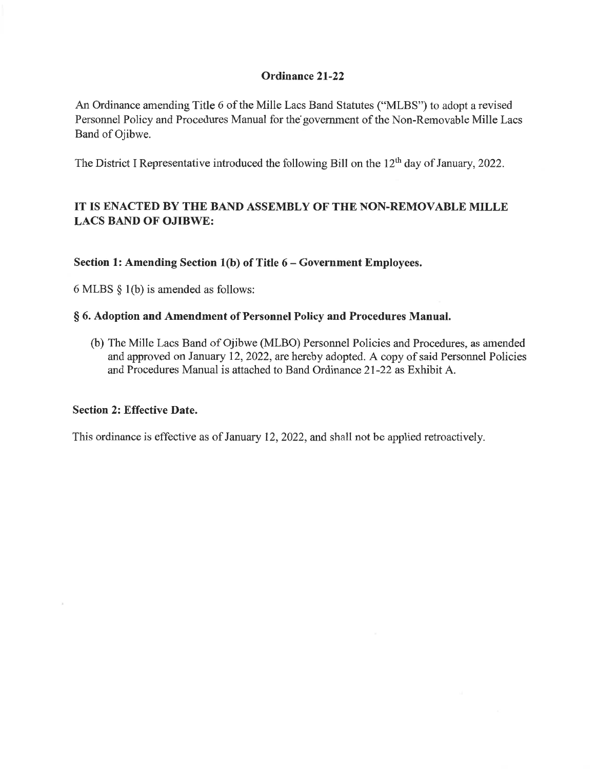#### Ordinance 21-22

An Ordinance amending Title 6 of the Mille Lacs Band Statutes ("MLBS") to adopt a revised Personnel Policy and Procedures Manual for the government of the Non-Removable Mille Lacs Band of Ojibwe.

The District I Representative introduced the following Bill on the 12<sup>th</sup> day of January, 2022.

#### IT IS ENACTED BY THE BAND ASSEMBLY OF THE NON-REMOVABLE MILLE **LACS BAND OF OJIBWE:**

#### Section 1: Amending Section 1(b) of Title 6 – Government Employees.

6 MLBS  $\S$  1(b) is amended as follows:

#### § 6. Adoption and Amendment of Personnel Policy and Procedures Manual.

(b) The Mille Lacs Band of Ojibwe (MLBO) Personnel Policies and Procedures, as amended and approved on January 12, 2022, are hereby adopted. A copy of said Personnel Policies and Procedures Manual is attached to Band Ordinance 21-22 as Exhibit A.

#### **Section 2: Effective Date.**

This ordinance is effective as of January 12, 2022, and shall not be applied retroactively.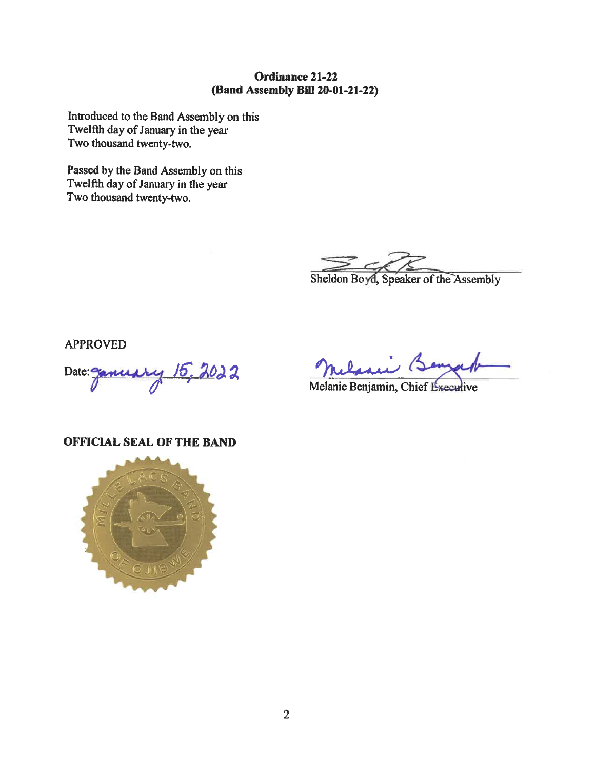#### Ordinance 21-22 (Band Assembly Bill 20-01-21-22)

Introduced to the Band Assembly on this Twelfth day of January in the year Two thousand twenty-two.

Passed by the Band Assembly on this Twelfth day of January in the year Two thousand twenty-two.

Sheldon Boyd, Speaker of the Assembly

**APPROVED** 

15,2022 Date:

Melanie Benjamin, Chief Executive

OFFICIAL SEAL OF THE BAND

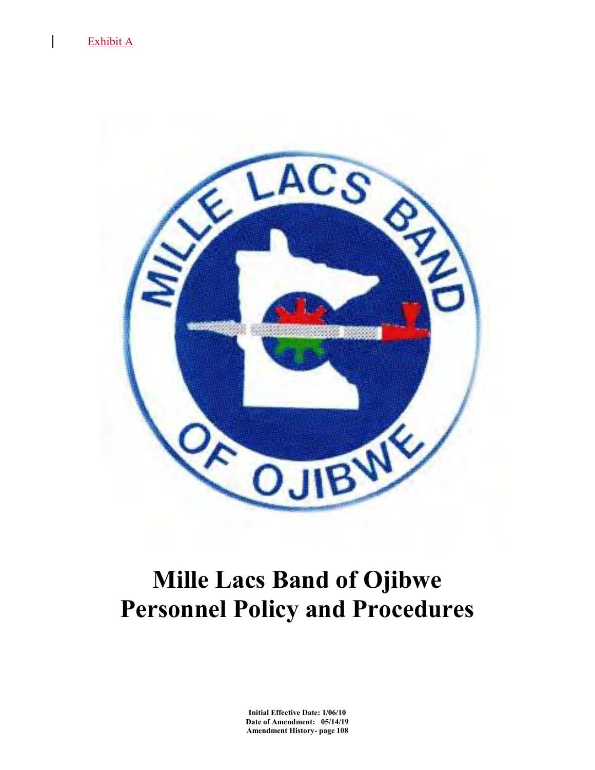

# **Mille Lacs Band of Ojibwe Personnel Policy and Procedures**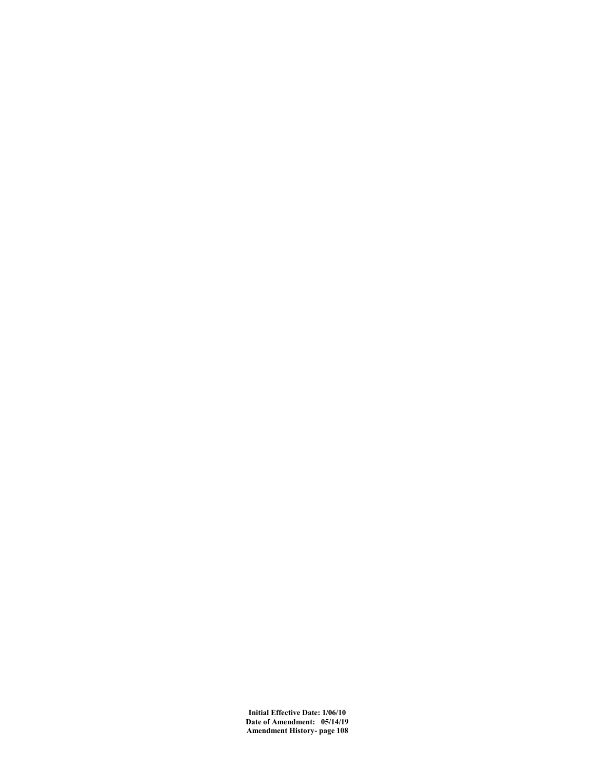**Initial Effective Date: 1/06/10 Date of Amendment: 05/14/19 Amendment History- page 108**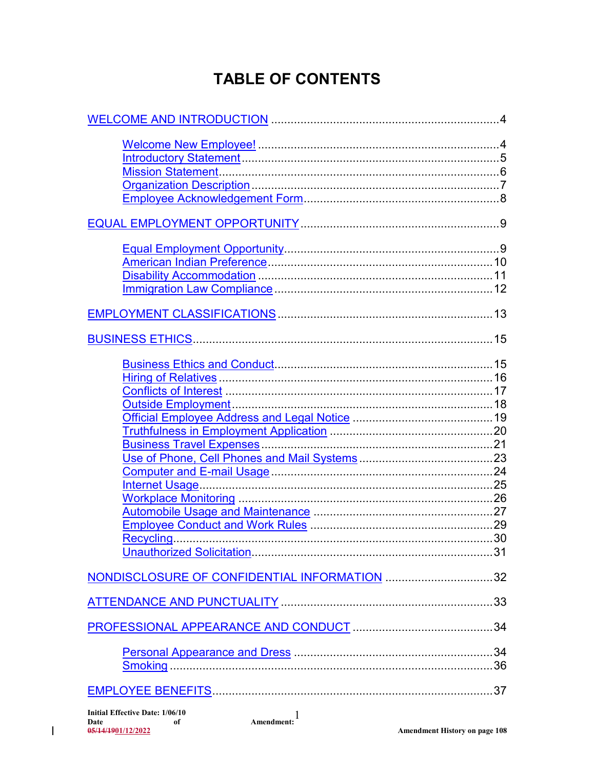# **TABLE OF CONTENTS**

| NONDISCLOSURE OF CONFIDENTIAL INFORMATION 32 |  |
|----------------------------------------------|--|
|                                              |  |
|                                              |  |
|                                              |  |
|                                              |  |

 $\overline{1}$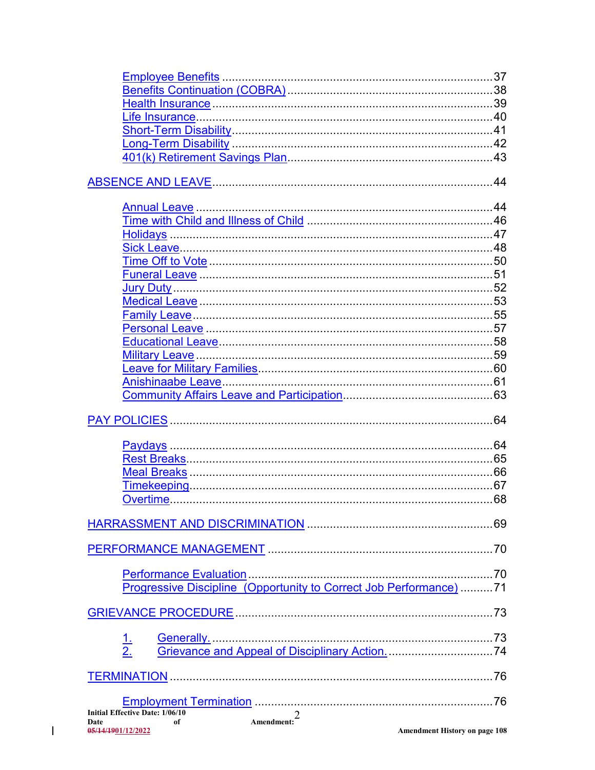| Progressive Discipline (Opportunity to Correct Job Performance) 71                   |  |
|--------------------------------------------------------------------------------------|--|
|                                                                                      |  |
|                                                                                      |  |
|                                                                                      |  |
| $\frac{1}{2}$                                                                        |  |
|                                                                                      |  |
|                                                                                      |  |
|                                                                                      |  |
|                                                                                      |  |
| <b>Initial Effective Date: 1/06/10</b><br>$\overline{2}$<br>Amendment:<br>of<br>Date |  |

 $\overline{1}$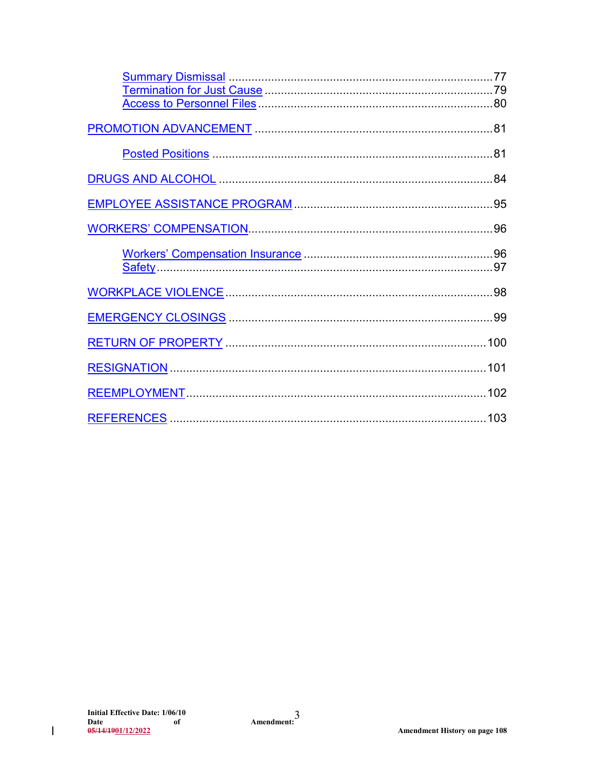<span id="page-6-0"></span> $\mathsf I$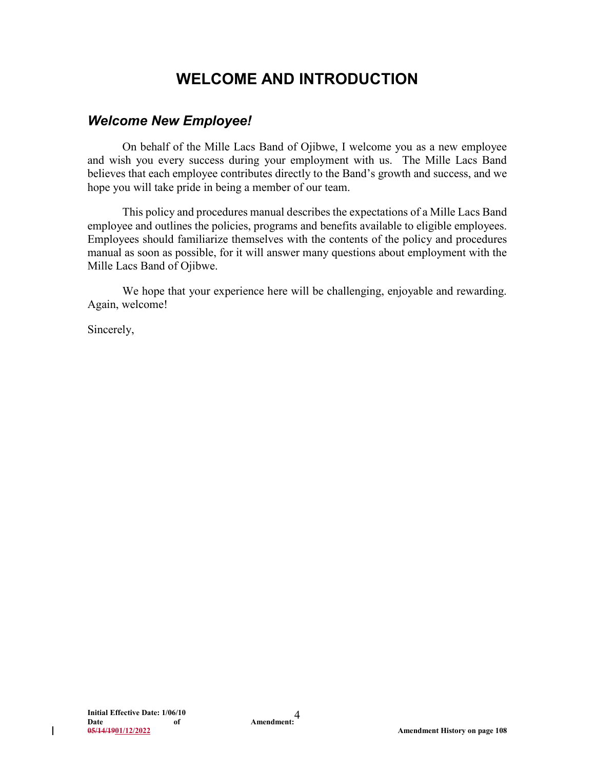# **WELCOME AND INTRODUCTION**

### <span id="page-7-0"></span>*Welcome New Employee!*

On behalf of the Mille Lacs Band of Ojibwe, I welcome you as a new employee and wish you every success during your employment with us. The Mille Lacs Band believes that each employee contributes directly to the Band's growth and success, and we hope you will take pride in being a member of our team.

This policy and procedures manual describes the expectations of a Mille Lacs Band employee and outlines the policies, programs and benefits available to eligible employees. Employees should familiarize themselves with the contents of the policy and procedures manual as soon as possible, for it will answer many questions about employment with the Mille Lacs Band of Ojibwe.

We hope that your experience here will be challenging, enjoyable and rewarding. Again, welcome!

Sincerely,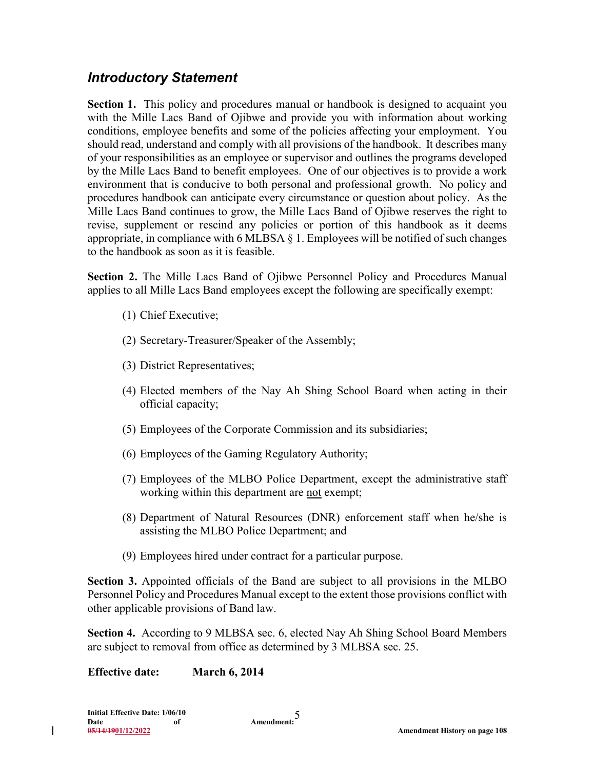### <span id="page-8-0"></span>*Introductory Statement*

**Section 1.** This policy and procedures manual or handbook is designed to acquaint you with the Mille Lacs Band of Ojibwe and provide you with information about working conditions, employee benefits and some of the policies affecting your employment. You should read, understand and comply with all provisions of the handbook. It describes many of your responsibilities as an employee or supervisor and outlines the programs developed by the Mille Lacs Band to benefit employees. One of our objectives is to provide a work environment that is conducive to both personal and professional growth. No policy and procedures handbook can anticipate every circumstance or question about policy. As the Mille Lacs Band continues to grow, the Mille Lacs Band of Ojibwe reserves the right to revise, supplement or rescind any policies or portion of this handbook as it deems appropriate, in compliance with 6 MLBSA  $\S$  1. Employees will be notified of such changes to the handbook as soon as it is feasible.

**Section 2.** The Mille Lacs Band of Ojibwe Personnel Policy and Procedures Manual applies to all Mille Lacs Band employees except the following are specifically exempt:

- (1) Chief Executive;
- (2) Secretary-Treasurer/Speaker of the Assembly;
- (3) District Representatives;
- (4) Elected members of the Nay Ah Shing School Board when acting in their official capacity;
- (5) Employees of the Corporate Commission and its subsidiaries;
- (6) Employees of the Gaming Regulatory Authority;
- (7) Employees of the MLBO Police Department, except the administrative staff working within this department are not exempt;
- (8) Department of Natural Resources (DNR) enforcement staff when he/she is assisting the MLBO Police Department; and
- (9) Employees hired under contract for a particular purpose.

**Section 3.** Appointed officials of the Band are subject to all provisions in the MLBO Personnel Policy and Procedures Manual except to the extent those provisions conflict with other applicable provisions of Band law.

**Section 4.** According to 9 MLBSA sec. 6, elected Nay Ah Shing School Board Members are subject to removal from office as determined by 3 MLBSA sec. 25.

**Effective date: March 6, 2014**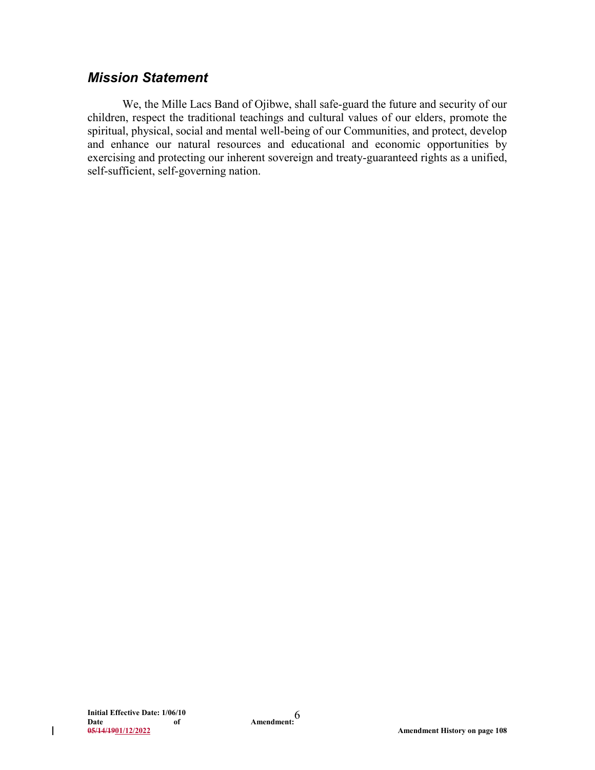### <span id="page-9-0"></span>*Mission Statement*

We, the Mille Lacs Band of Ojibwe, shall safe-guard the future and security of our children, respect the traditional teachings and cultural values of our elders, promote the spiritual, physical, social and mental well-being of our Communities, and protect, develop and enhance our natural resources and educational and economic opportunities by exercising and protecting our inherent sovereign and treaty-guaranteed rights as a unified, self-sufficient, self-governing nation.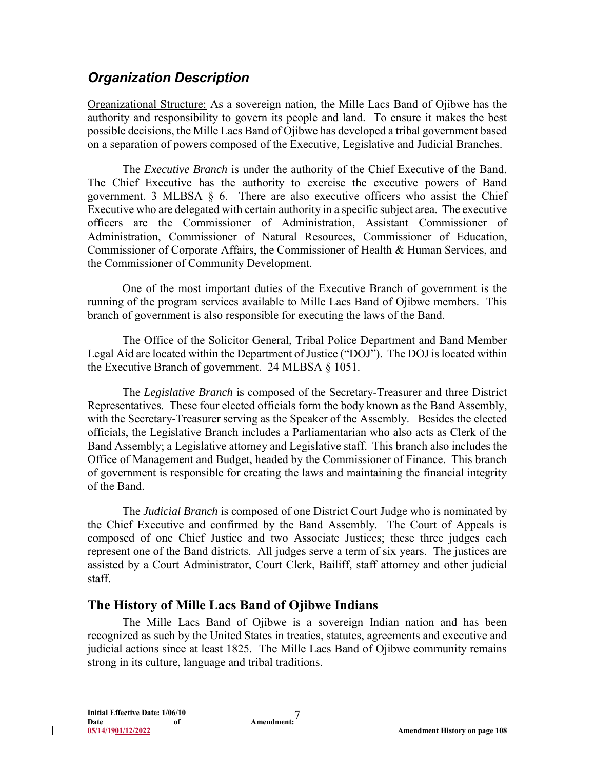### <span id="page-10-0"></span>*Organization Description*

Organizational Structure: As a sovereign nation, the Mille Lacs Band of Ojibwe has the authority and responsibility to govern its people and land. To ensure it makes the best possible decisions, the Mille Lacs Band of Ojibwe has developed a tribal government based on a separation of powers composed of the Executive, Legislative and Judicial Branches.

The *Executive Branch* is under the authority of the Chief Executive of the Band. The Chief Executive has the authority to exercise the executive powers of Band government. 3 MLBSA  $\S$  6. There are also executive officers who assist the Chief Executive who are delegated with certain authority in a specific subject area. The executive officers are the Commissioner of Administration, Assistant Commissioner of Administration, Commissioner of Natural Resources, Commissioner of Education, Commissioner of Corporate Affairs, the Commissioner of Health & Human Services, and the Commissioner of Community Development.

One of the most important duties of the Executive Branch of government is the running of the program services available to Mille Lacs Band of Ojibwe members. This branch of government is also responsible for executing the laws of the Band.

The Office of the Solicitor General, Tribal Police Department and Band Member Legal Aid are located within the Department of Justice ("DOJ"). The DOJ is located within the Executive Branch of government. 24 MLBSA § 1051.

The *Legislative Branch* is composed of the Secretary-Treasurer and three District Representatives. These four elected officials form the body known as the Band Assembly, with the Secretary-Treasurer serving as the Speaker of the Assembly. Besides the elected officials, the Legislative Branch includes a Parliamentarian who also acts as Clerk of the Band Assembly; a Legislative attorney and Legislative staff. This branch also includes the Office of Management and Budget, headed by the Commissioner of Finance. This branch of government is responsible for creating the laws and maintaining the financial integrity of the Band.

The *Judicial Branch* is composed of one District Court Judge who is nominated by the Chief Executive and confirmed by the Band Assembly. The Court of Appeals is composed of one Chief Justice and two Associate Justices; these three judges each represent one of the Band districts. All judges serve a term of six years. The justices are assisted by a Court Administrator, Court Clerk, Bailiff, staff attorney and other judicial staff.

### **The History of Mille Lacs Band of Ojibwe Indians**

The Mille Lacs Band of Ojibwe is a sovereign Indian nation and has been recognized as such by the United States in treaties, statutes, agreements and executive and judicial actions since at least 1825. The Mille Lacs Band of Ojibwe community remains strong in its culture, language and tribal traditions.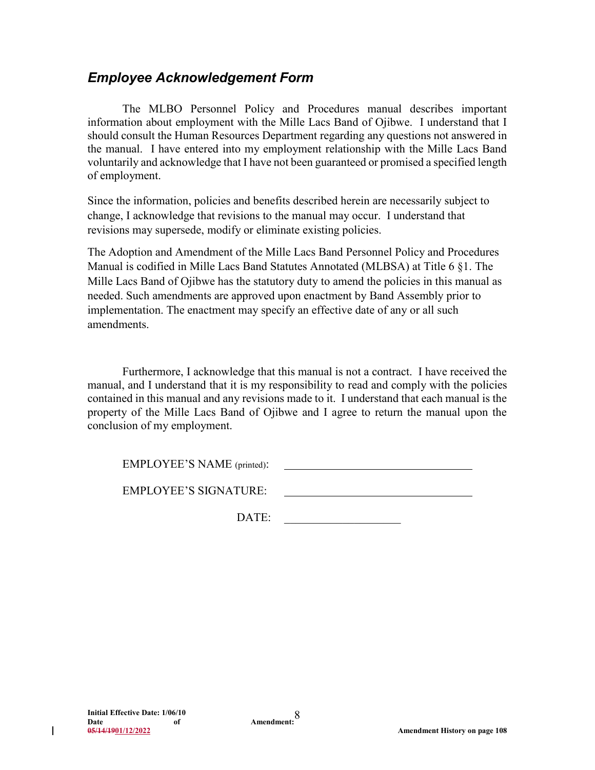### <span id="page-11-0"></span>*Employee Acknowledgement Form*

EMPLOYEE'S SIGNATURE:

The MLBO Personnel Policy and Procedures manual describes important information about employment with the Mille Lacs Band of Ojibwe. I understand that I should consult the Human Resources Department regarding any questions not answered in the manual. I have entered into my employment relationship with the Mille Lacs Band voluntarily and acknowledge that I have not been guaranteed or promised a specified length of employment.

Since the information, policies and benefits described herein are necessarily subject to change, I acknowledge that revisions to the manual may occur. I understand that revisions may supersede, modify or eliminate existing policies.

The Adoption and Amendment of the Mille Lacs Band Personnel Policy and Procedures Manual is codified in Mille Lacs Band Statutes Annotated (MLBSA) at Title 6 §1. The Mille Lacs Band of Ojibwe has the statutory duty to amend the policies in this manual as needed. Such amendments are approved upon enactment by Band Assembly prior to implementation. The enactment may specify an effective date of any or all such amendments.

Furthermore, I acknowledge that this manual is not a contract. I have received the manual, and I understand that it is my responsibility to read and comply with the policies contained in this manual and any revisions made to it. I understand that each manual is the property of the Mille Lacs Band of Ojibwe and I agree to return the manual upon the conclusion of my employment.

| EMPLOYEE'S NAME (printed): |  |
|----------------------------|--|
|                            |  |

DATE:

l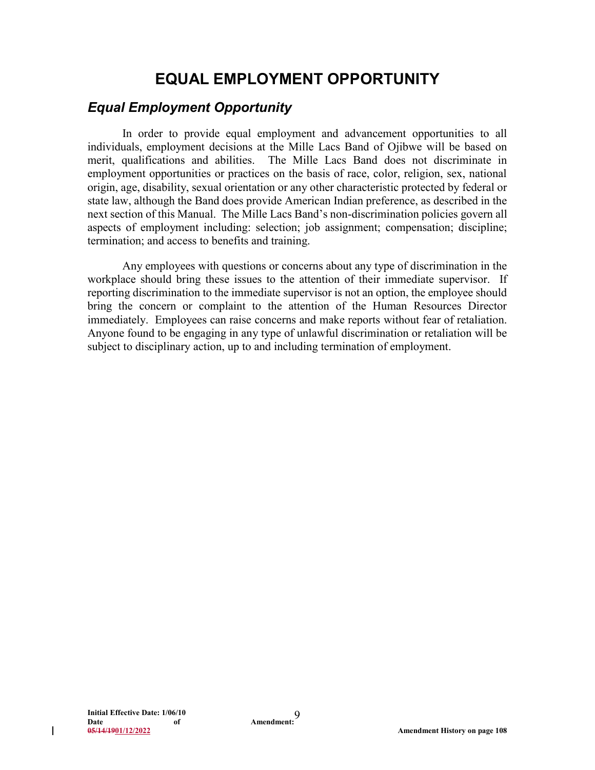# **EQUAL EMPLOYMENT OPPORTUNITY**

### <span id="page-12-1"></span><span id="page-12-0"></span>*Equal Employment Opportunity*

In order to provide equal employment and advancement opportunities to all individuals, employment decisions at the Mille Lacs Band of Ojibwe will be based on merit, qualifications and abilities. The Mille Lacs Band does not discriminate in employment opportunities or practices on the basis of race, color, religion, sex, national origin, age, disability, sexual orientation or any other characteristic protected by federal or state law, although the Band does provide American Indian preference, as described in the next section of this Manual. The Mille Lacs Band's non-discrimination policies govern all aspects of employment including: selection; job assignment; compensation; discipline; termination; and access to benefits and training.

Any employees with questions or concerns about any type of discrimination in the workplace should bring these issues to the attention of their immediate supervisor. If reporting discrimination to the immediate supervisor is not an option, the employee should bring the concern or complaint to the attention of the Human Resources Director immediately. Employees can raise concerns and make reports without fear of retaliation. Anyone found to be engaging in any type of unlawful discrimination or retaliation will be subject to disciplinary action, up to and including termination of employment.

l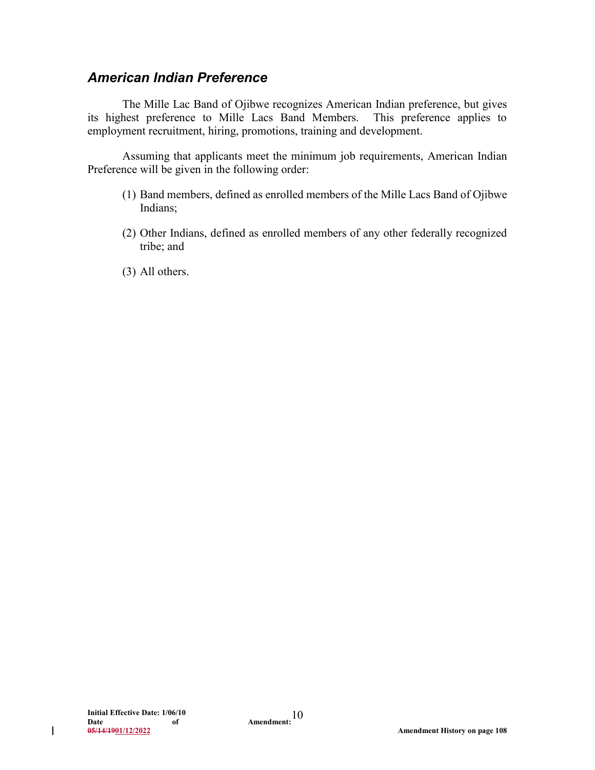### <span id="page-13-0"></span>*American Indian Preference*

The Mille Lac Band of Ojibwe recognizes American Indian preference, but gives its highest preference to Mille Lacs Band Members. This preference applies to employment recruitment, hiring, promotions, training and development.

Assuming that applicants meet the minimum job requirements, American Indian Preference will be given in the following order:

- (1) Band members, defined as enrolled members of the Mille Lacs Band of Ojibwe Indians;
- (2) Other Indians, defined as enrolled members of any other federally recognized tribe; and
- (3) All others.

 $\mathbf{I}$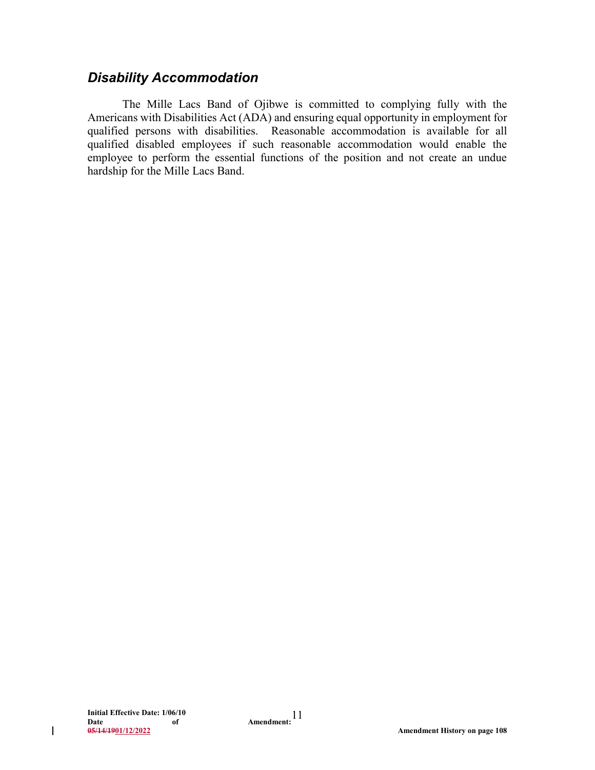### <span id="page-14-0"></span>*Disability Accommodation*

The Mille Lacs Band of Ojibwe is committed to complying fully with the Americans with Disabilities Act (ADA) and ensuring equal opportunity in employment for qualified persons with disabilities. Reasonable accommodation is available for all qualified disabled employees if such reasonable accommodation would enable the employee to perform the essential functions of the position and not create an undue hardship for the Mille Lacs Band.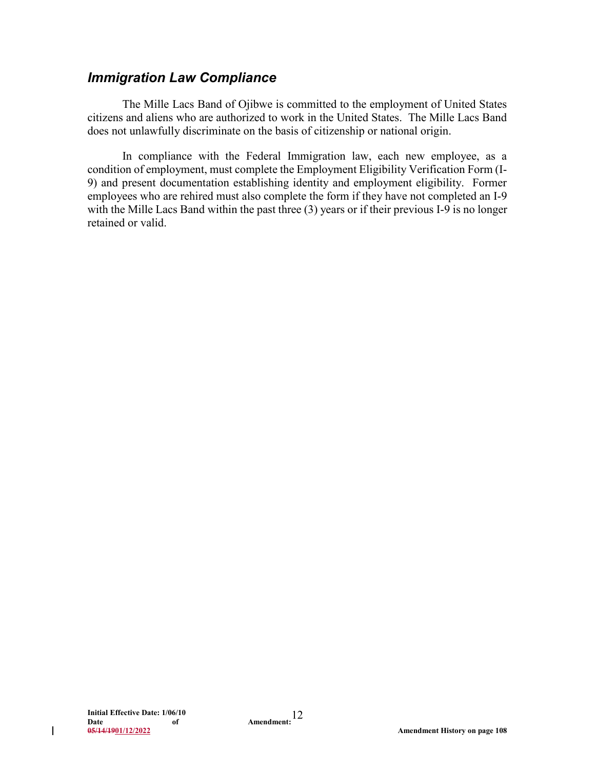### <span id="page-15-0"></span>*Immigration Law Compliance*

The Mille Lacs Band of Ojibwe is committed to the employment of United States citizens and aliens who are authorized to work in the United States. The Mille Lacs Band does not unlawfully discriminate on the basis of citizenship or national origin.

In compliance with the Federal Immigration law, each new employee, as a condition of employment, must complete the Employment Eligibility Verification Form (I-9) and present documentation establishing identity and employment eligibility. Former employees who are rehired must also complete the form if they have not completed an I-9 with the Mille Lacs Band within the past three (3) years or if their previous I-9 is no longer retained or valid.

 $\mathbf{I}$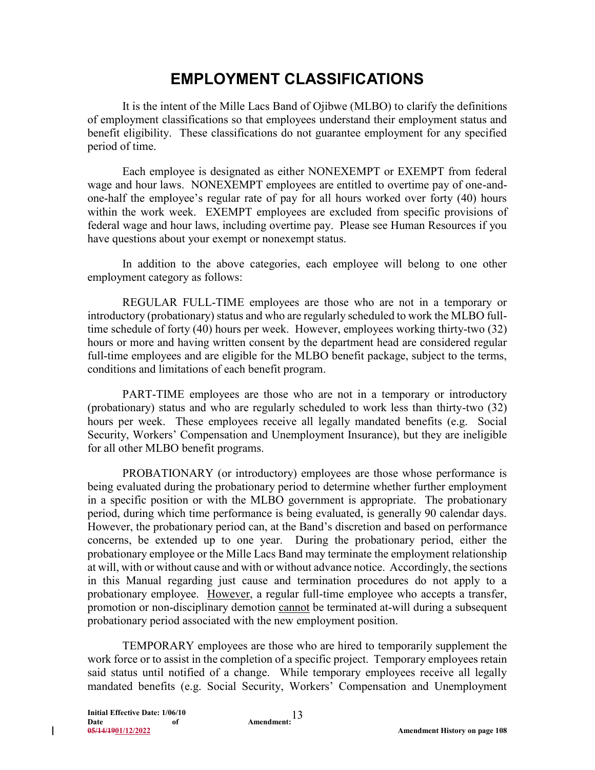# **EMPLOYMENT CLASSIFICATIONS**

<span id="page-16-0"></span>It is the intent of the Mille Lacs Band of Ojibwe (MLBO) to clarify the definitions of employment classifications so that employees understand their employment status and benefit eligibility. These classifications do not guarantee employment for any specified period of time.

Each employee is designated as either NONEXEMPT or EXEMPT from federal wage and hour laws. NONEXEMPT employees are entitled to overtime pay of one-andone-half the employee's regular rate of pay for all hours worked over forty (40) hours within the work week. EXEMPT employees are excluded from specific provisions of federal wage and hour laws, including overtime pay. Please see Human Resources if you have questions about your exempt or nonexempt status.

In addition to the above categories, each employee will belong to one other employment category as follows:

REGULAR FULL-TIME employees are those who are not in a temporary or introductory (probationary) status and who are regularly scheduled to work the MLBO fulltime schedule of forty (40) hours per week. However, employees working thirty-two (32) hours or more and having written consent by the department head are considered regular full-time employees and are eligible for the MLBO benefit package, subject to the terms, conditions and limitations of each benefit program.

PART-TIME employees are those who are not in a temporary or introductory (probationary) status and who are regularly scheduled to work less than thirty-two (32) hours per week. These employees receive all legally mandated benefits (e.g. Social Security, Workers' Compensation and Unemployment Insurance), but they are ineligible for all other MLBO benefit programs.

PROBATIONARY (or introductory) employees are those whose performance is being evaluated during the probationary period to determine whether further employment in a specific position or with the MLBO government is appropriate. The probationary period, during which time performance is being evaluated, is generally 90 calendar days. However, the probationary period can, at the Band's discretion and based on performance concerns, be extended up to one year. During the probationary period, either the probationary employee or the Mille Lacs Band may terminate the employment relationship at will, with or without cause and with or without advance notice. Accordingly, the sections in this Manual regarding just cause and termination procedures do not apply to a probationary employee. However, a regular full-time employee who accepts a transfer, promotion or non-disciplinary demotion cannot be terminated at-will during a subsequent probationary period associated with the new employment position.

TEMPORARY employees are those who are hired to temporarily supplement the work force or to assist in the completion of a specific project. Temporary employees retain said status until notified of a change. While temporary employees receive all legally mandated benefits (e.g. Social Security, Workers' Compensation and Unemployment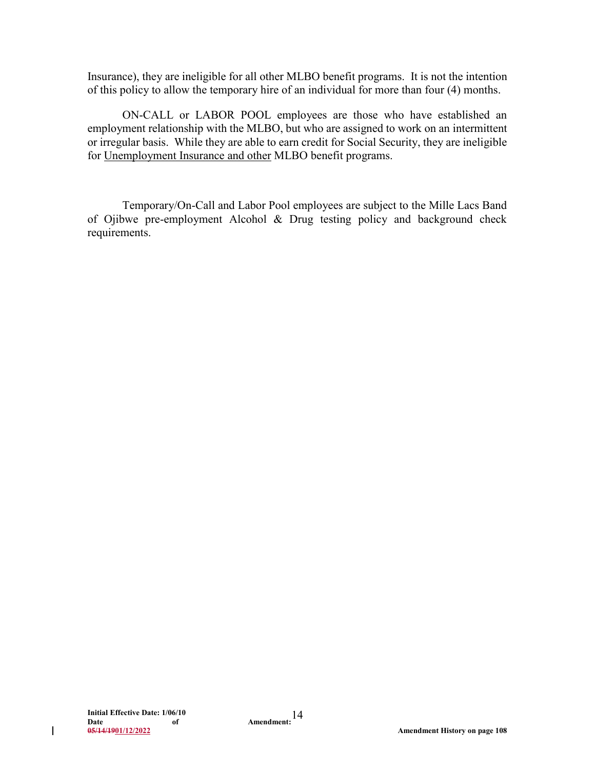Insurance), they are ineligible for all other MLBO benefit programs. It is not the intention of this policy to allow the temporary hire of an individual for more than four (4) months.

ON-CALL or LABOR POOL employees are those who have established an employment relationship with the MLBO, but who are assigned to work on an intermittent or irregular basis. While they are able to earn credit for Social Security, they are ineligible for Unemployment Insurance and other MLBO benefit programs.

Temporary/On-Call and Labor Pool employees are subject to the Mille Lacs Band of Ojibwe pre-employment Alcohol & Drug testing policy and background check requirements.

 $\mathbf{I}$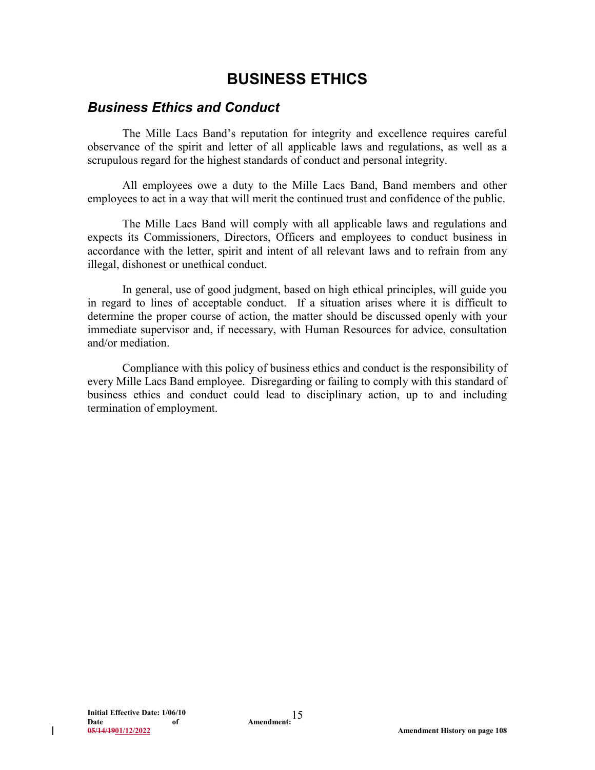# **BUSINESS ETHICS**

### <span id="page-18-1"></span><span id="page-18-0"></span>*Business Ethics and Conduct*

The Mille Lacs Band's reputation for integrity and excellence requires careful observance of the spirit and letter of all applicable laws and regulations, as well as a scrupulous regard for the highest standards of conduct and personal integrity.

All employees owe a duty to the Mille Lacs Band, Band members and other employees to act in a way that will merit the continued trust and confidence of the public.

The Mille Lacs Band will comply with all applicable laws and regulations and expects its Commissioners, Directors, Officers and employees to conduct business in accordance with the letter, spirit and intent of all relevant laws and to refrain from any illegal, dishonest or unethical conduct.

In general, use of good judgment, based on high ethical principles, will guide you in regard to lines of acceptable conduct. If a situation arises where it is difficult to determine the proper course of action, the matter should be discussed openly with your immediate supervisor and, if necessary, with Human Resources for advice, consultation and/or mediation.

Compliance with this policy of business ethics and conduct is the responsibility of every Mille Lacs Band employee. Disregarding or failing to comply with this standard of business ethics and conduct could lead to disciplinary action, up to and including termination of employment.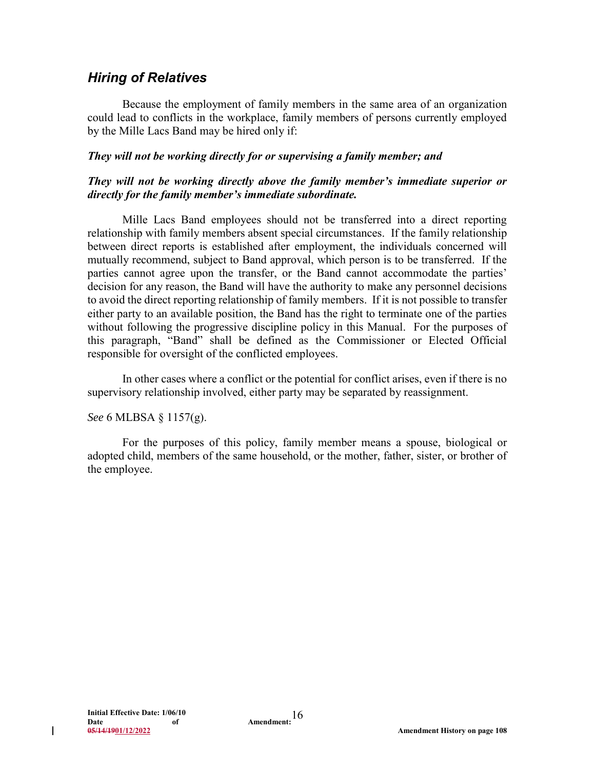### <span id="page-19-0"></span>*Hiring of Relatives*

Because the employment of family members in the same area of an organization could lead to conflicts in the workplace, family members of persons currently employed by the Mille Lacs Band may be hired only if:

#### *They will not be working directly for or supervising a family member; and*

#### *They will not be working directly above the family member's immediate superior or directly for the family member's immediate subordinate.*

Mille Lacs Band employees should not be transferred into a direct reporting relationship with family members absent special circumstances. If the family relationship between direct reports is established after employment, the individuals concerned will mutually recommend, subject to Band approval, which person is to be transferred. If the parties cannot agree upon the transfer, or the Band cannot accommodate the parties' decision for any reason, the Band will have the authority to make any personnel decisions to avoid the direct reporting relationship of family members. If it is not possible to transfer either party to an available position, the Band has the right to terminate one of the parties without following the progressive discipline policy in this Manual. For the purposes of this paragraph, "Band" shall be defined as the Commissioner or Elected Official responsible for oversight of the conflicted employees.

In other cases where a conflict or the potential for conflict arises, even if there is no supervisory relationship involved, either party may be separated by reassignment.

*See* 6 MLBSA § 1157(g).

For the purposes of this policy, family member means a spouse, biological or adopted child, members of the same household, or the mother, father, sister, or brother of the employee.

l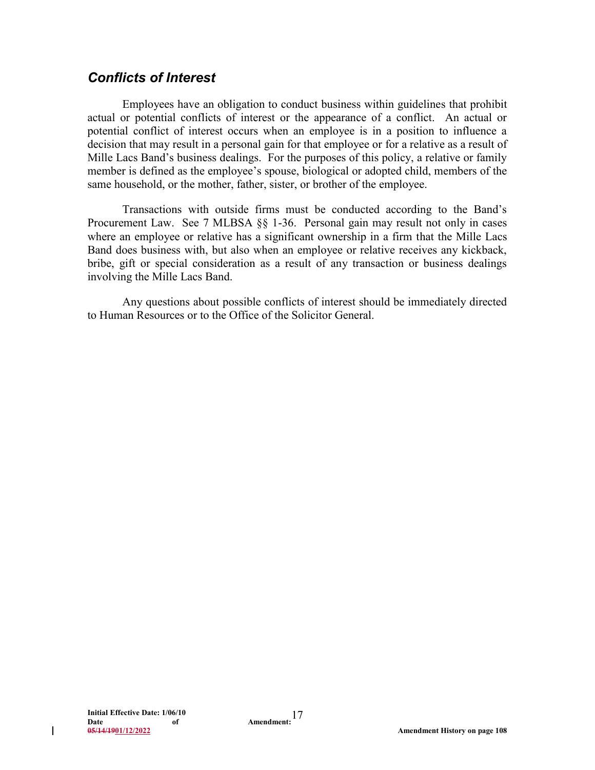### <span id="page-20-0"></span>*Conflicts of Interest*

Employees have an obligation to conduct business within guidelines that prohibit actual or potential conflicts of interest or the appearance of a conflict. An actual or potential conflict of interest occurs when an employee is in a position to influence a decision that may result in a personal gain for that employee or for a relative as a result of Mille Lacs Band's business dealings. For the purposes of this policy, a relative or family member is defined as the employee's spouse, biological or adopted child, members of the same household, or the mother, father, sister, or brother of the employee.

Transactions with outside firms must be conducted according to the Band's Procurement Law. See 7 MLBSA §§ 1-36. Personal gain may result not only in cases where an employee or relative has a significant ownership in a firm that the Mille Lacs Band does business with, but also when an employee or relative receives any kickback, bribe, gift or special consideration as a result of any transaction or business dealings involving the Mille Lacs Band.

Any questions about possible conflicts of interest should be immediately directed to Human Resources or to the Office of the Solicitor General.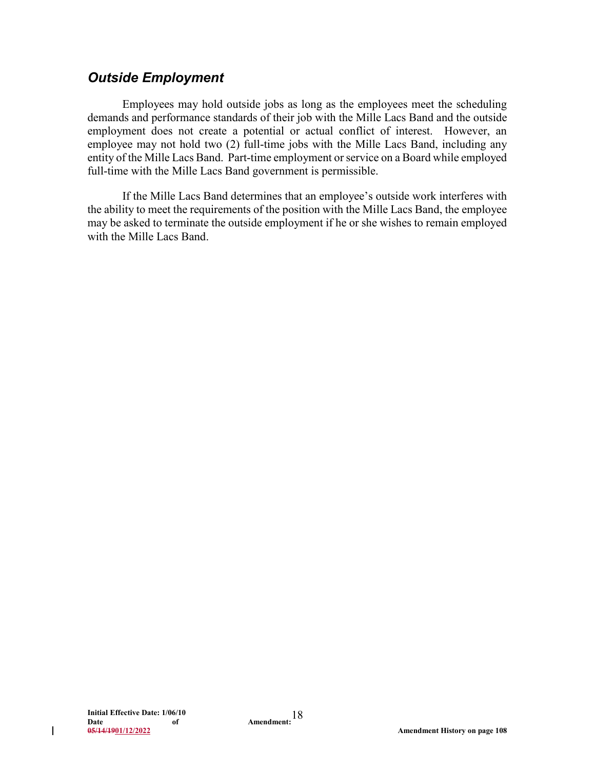### <span id="page-21-0"></span>*Outside Employment*

Employees may hold outside jobs as long as the employees meet the scheduling demands and performance standards of their job with the Mille Lacs Band and the outside employment does not create a potential or actual conflict of interest. However, an employee may not hold two (2) full-time jobs with the Mille Lacs Band, including any entity of the Mille Lacs Band. Part-time employment or service on a Board while employed full-time with the Mille Lacs Band government is permissible.

If the Mille Lacs Band determines that an employee's outside work interferes with the ability to meet the requirements of the position with the Mille Lacs Band, the employee may be asked to terminate the outside employment if he or she wishes to remain employed with the Mille Lacs Band.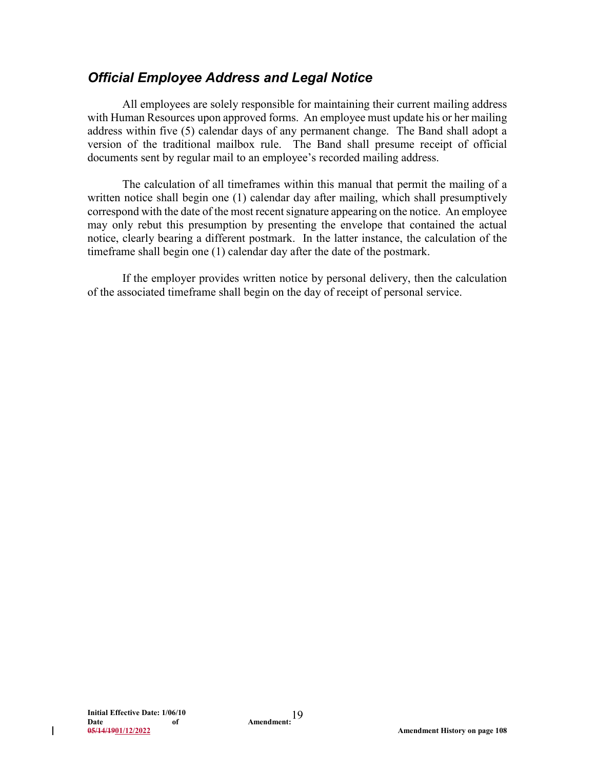### <span id="page-22-0"></span>*Official Employee Address and Legal Notice*

All employees are solely responsible for maintaining their current mailing address with Human Resources upon approved forms. An employee must update his or her mailing address within five (5) calendar days of any permanent change. The Band shall adopt a version of the traditional mailbox rule. The Band shall presume receipt of official documents sent by regular mail to an employee's recorded mailing address.

The calculation of all timeframes within this manual that permit the mailing of a written notice shall begin one (1) calendar day after mailing, which shall presumptively correspond with the date of the most recent signature appearing on the notice. An employee may only rebut this presumption by presenting the envelope that contained the actual notice, clearly bearing a different postmark. In the latter instance, the calculation of the timeframe shall begin one (1) calendar day after the date of the postmark.

If the employer provides written notice by personal delivery, then the calculation of the associated timeframe shall begin on the day of receipt of personal service.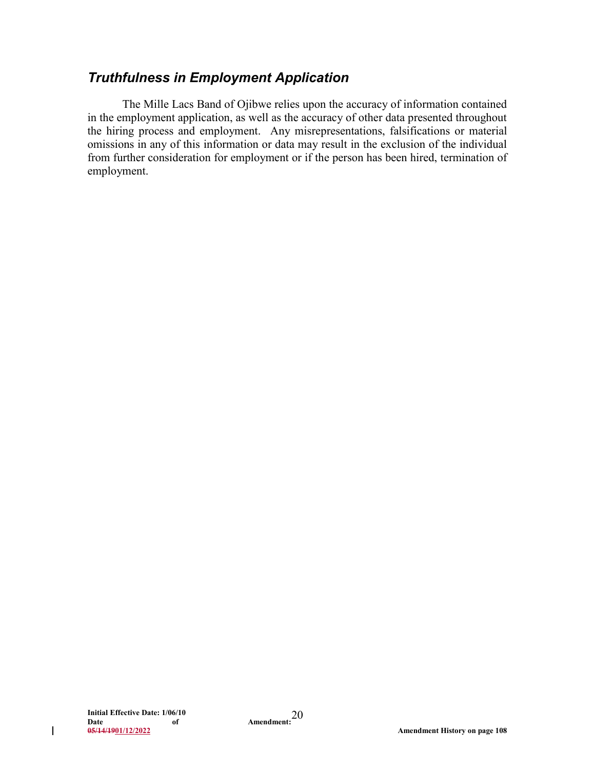### <span id="page-23-0"></span>*Truthfulness in Employment Application*

The Mille Lacs Band of Ojibwe relies upon the accuracy of information contained in the employment application, as well as the accuracy of other data presented throughout the hiring process and employment. Any misrepresentations, falsifications or material omissions in any of this information or data may result in the exclusion of the individual from further consideration for employment or if the person has been hired, termination of employment.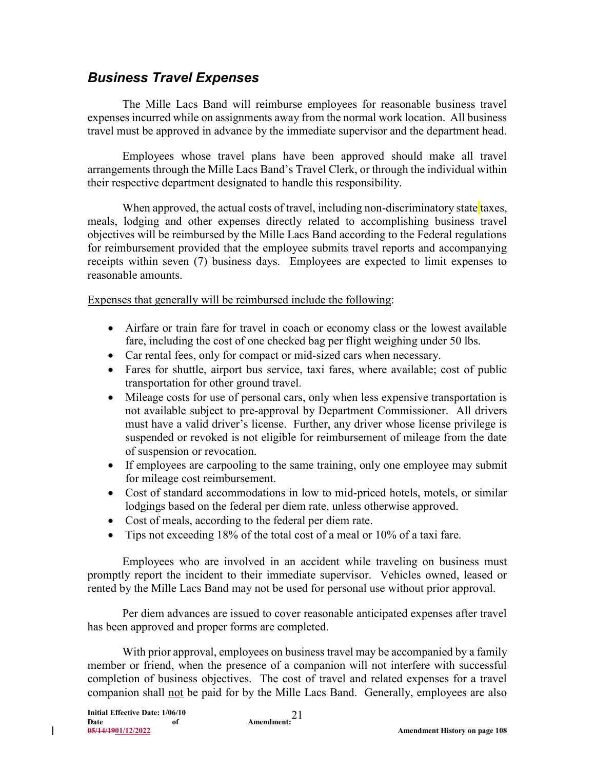### <span id="page-24-0"></span>*Business Travel Expenses*

The Mille Lacs Band will reimburse employees for reasonable business travel expenses incurred while on assignments away from the normal work location. All business travel must be approved in advance by the immediate supervisor and the department head.

Employees whose travel plans have been approved should make all travel arrangements through the Mille Lacs Band's Travel Clerk, or through the individual within their respective department designated to handle this responsibility.

When approved, the actual costs of travel, including non-discriminatory state taxes, meals, lodging and other expenses directly related to accomplishing business travel objectives will be reimbursed by the Mille Lacs Band according to the Federal regulations for reimbursement provided that the employee submits travel reports and accompanying receipts within seven (7) business days. Employees are expected to limit expenses to reasonable amounts.

Expenses that generally will be reimbursed include the following:

- Airfare or train fare for travel in coach or economy class or the lowest available fare, including the cost of one checked bag per flight weighing under 50 lbs.
- Car rental fees, only for compact or mid-sized cars when necessary.
- Fares for shuttle, airport bus service, taxi fares, where available; cost of public transportation for other ground travel.
- Mileage costs for use of personal cars, only when less expensive transportation is not available subject to pre-approval by Department Commissioner. All drivers must have a valid driver's license. Further, any driver whose license privilege is suspended or revoked is not eligible for reimbursement of mileage from the date of suspension or revocation.
- If employees are carpooling to the same training, only one employee may submit for mileage cost reimbursement.
- Cost of standard accommodations in low to mid-priced hotels, motels, or similar lodgings based on the federal per diem rate, unless otherwise approved.
- Cost of meals, according to the federal per diem rate.
- Tips not exceeding 18% of the total cost of a meal or 10% of a taxi fare.

Employees who are involved in an accident while traveling on business must promptly report the incident to their immediate supervisor. Vehicles owned, leased or rented by the Mille Lacs Band may not be used for personal use without prior approval.

Per diem advances are issued to cover reasonable anticipated expenses after travel has been approved and proper forms are completed.

With prior approval, employees on business travel may be accompanied by a family member or friend, when the presence of a companion will not interfere with successful completion of business objectives. The cost of travel and related expenses for a travel companion shall not be paid for by the Mille Lacs Band. Generally, employees are also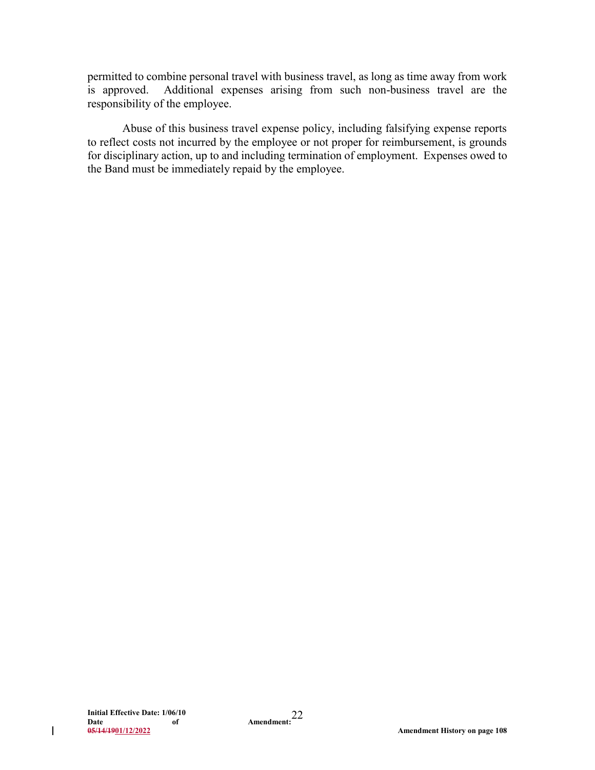permitted to combine personal travel with business travel, as long as time away from work is approved. Additional expenses arising from such non-business travel are the responsibility of the employee.

Abuse of this business travel expense policy, including falsifying expense reports to reflect costs not incurred by the employee or not proper for reimbursement, is grounds for disciplinary action, up to and including termination of employment. Expenses owed to the Band must be immediately repaid by the employee.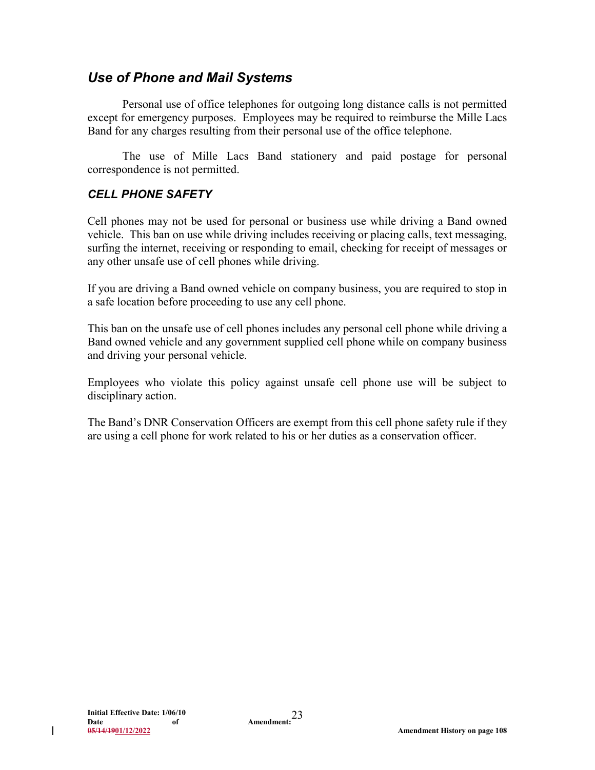### <span id="page-26-0"></span>*Use of Phone and Mail Systems*

Personal use of office telephones for outgoing long distance calls is not permitted except for emergency purposes. Employees may be required to reimburse the Mille Lacs Band for any charges resulting from their personal use of the office telephone.

The use of Mille Lacs Band stationery and paid postage for personal correspondence is not permitted.

#### *CELL PHONE SAFETY*

Cell phones may not be used for personal or business use while driving a Band owned vehicle. This ban on use while driving includes receiving or placing calls, text messaging, surfing the internet, receiving or responding to email, checking for receipt of messages or any other unsafe use of cell phones while driving.

If you are driving a Band owned vehicle on company business, you are required to stop in a safe location before proceeding to use any cell phone.

This ban on the unsafe use of cell phones includes any personal cell phone while driving a Band owned vehicle and any government supplied cell phone while on company business and driving your personal vehicle.

Employees who violate this policy against unsafe cell phone use will be subject to disciplinary action.

The Band's DNR Conservation Officers are exempt from this cell phone safety rule if they are using a cell phone for work related to his or her duties as a conservation officer.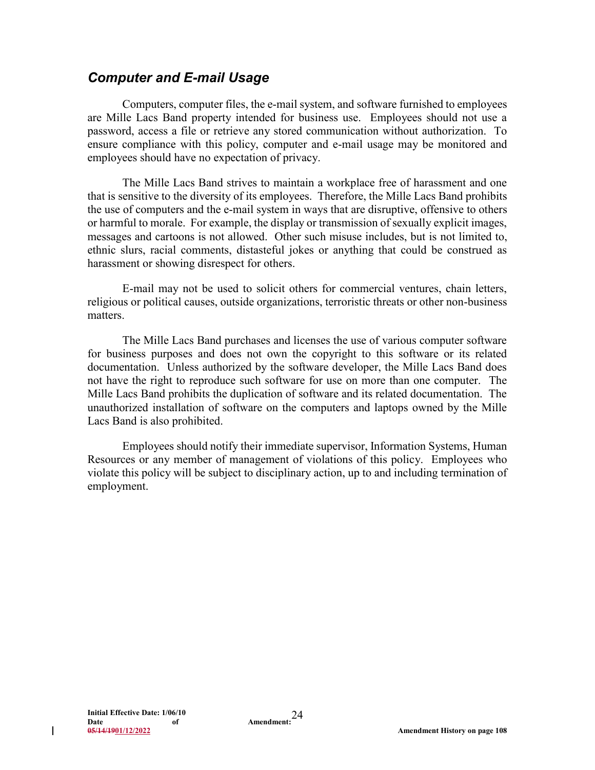### <span id="page-27-0"></span>*Computer and E-mail Usage*

Computers, computer files, the e-mail system, and software furnished to employees are Mille Lacs Band property intended for business use. Employees should not use a password, access a file or retrieve any stored communication without authorization. To ensure compliance with this policy, computer and e-mail usage may be monitored and employees should have no expectation of privacy.

The Mille Lacs Band strives to maintain a workplace free of harassment and one that is sensitive to the diversity of its employees. Therefore, the Mille Lacs Band prohibits the use of computers and the e-mail system in ways that are disruptive, offensive to others or harmful to morale. For example, the display or transmission of sexually explicit images, messages and cartoons is not allowed. Other such misuse includes, but is not limited to, ethnic slurs, racial comments, distasteful jokes or anything that could be construed as harassment or showing disrespect for others.

E-mail may not be used to solicit others for commercial ventures, chain letters, religious or political causes, outside organizations, terroristic threats or other non-business matters.

The Mille Lacs Band purchases and licenses the use of various computer software for business purposes and does not own the copyright to this software or its related documentation. Unless authorized by the software developer, the Mille Lacs Band does not have the right to reproduce such software for use on more than one computer. The Mille Lacs Band prohibits the duplication of software and its related documentation. The unauthorized installation of software on the computers and laptops owned by the Mille Lacs Band is also prohibited.

Employees should notify their immediate supervisor, Information Systems, Human Resources or any member of management of violations of this policy. Employees who violate this policy will be subject to disciplinary action, up to and including termination of employment.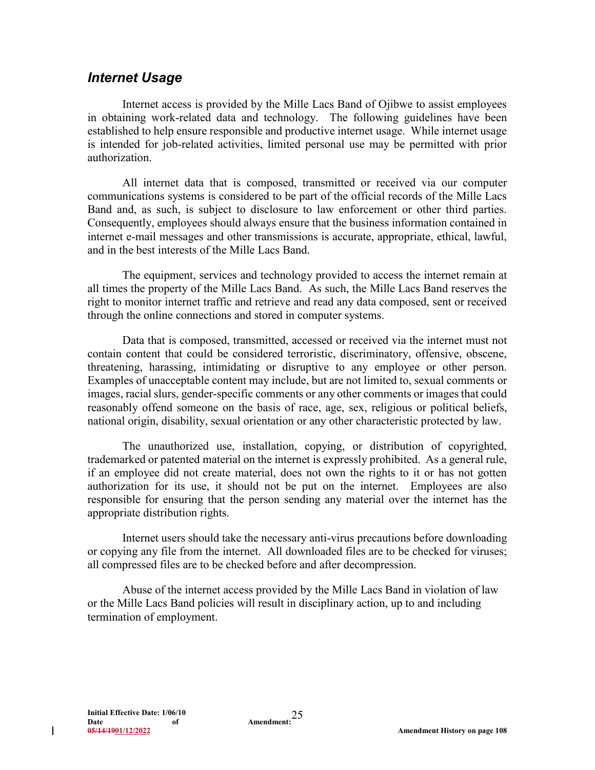### <span id="page-28-0"></span>*Internet Usage*

Internet access is provided by the Mille Lacs Band of Ojibwe to assist employees in obtaining work-related data and technology. The following guidelines have been established to help ensure responsible and productive internet usage. While internet usage is intended for job-related activities, limited personal use may be permitted with prior authorization.

All internet data that is composed, transmitted or received via our computer communications systems is considered to be part of the official records of the Mille Lacs Band and, as such, is subject to disclosure to law enforcement or other third parties. Consequently, employees should always ensure that the business information contained in internet e-mail messages and other transmissions is accurate, appropriate, ethical, lawful, and in the best interests of the Mille Lacs Band.

The equipment, services and technology provided to access the internet remain at all times the property of the Mille Lacs Band. As such, the Mille Lacs Band reserves the right to monitor internet traffic and retrieve and read any data composed, sent or received through the online connections and stored in computer systems.

Data that is composed, transmitted, accessed or received via the internet must not contain content that could be considered terroristic, discriminatory, offensive, obscene, threatening, harassing, intimidating or disruptive to any employee or other person. Examples of unacceptable content may include, but are not limited to, sexual comments or images, racial slurs, gender-specific comments or any other comments or images that could reasonably offend someone on the basis of race, age, sex, religious or political beliefs, national origin, disability, sexual orientation or any other characteristic protected by law.

The unauthorized use, installation, copying, or distribution of copyrighted, trademarked or patented material on the internet is expressly prohibited. As a general rule, if an employee did not create material, does not own the rights to it or has not gotten authorization for its use, it should not be put on the internet. Employees are also responsible for ensuring that the person sending any material over the internet has the appropriate distribution rights.

Internet users should take the necessary anti-virus precautions before downloading or copying any file from the internet. All downloaded files are to be checked for viruses; all compressed files are to be checked before and after decompression.

Abuse of the internet access provided by the Mille Lacs Band in violation of law or the Mille Lacs Band policies will result in disciplinary action, up to and including termination of employment.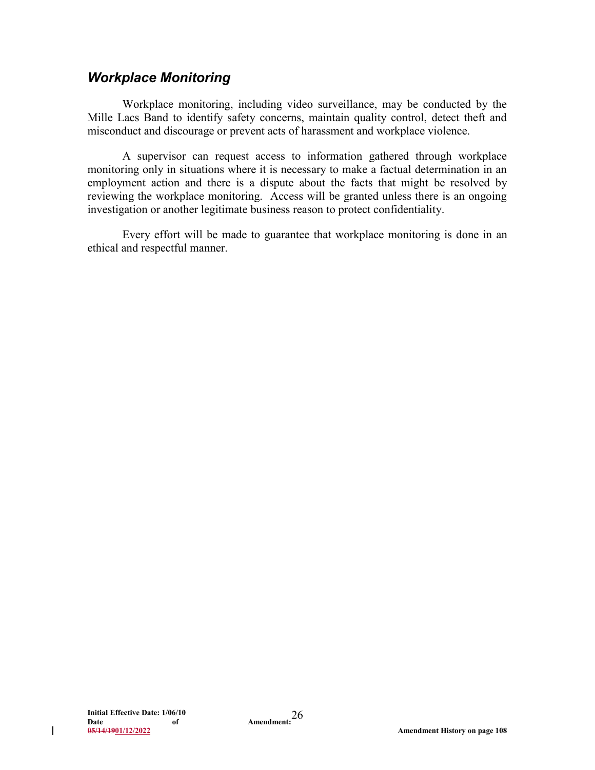### <span id="page-29-0"></span>*Workplace Monitoring*

Workplace monitoring, including video surveillance, may be conducted by the Mille Lacs Band to identify safety concerns, maintain quality control, detect theft and misconduct and discourage or prevent acts of harassment and workplace violence.

A supervisor can request access to information gathered through workplace monitoring only in situations where it is necessary to make a factual determination in an employment action and there is a dispute about the facts that might be resolved by reviewing the workplace monitoring. Access will be granted unless there is an ongoing investigation or another legitimate business reason to protect confidentiality.

Every effort will be made to guarantee that workplace monitoring is done in an ethical and respectful manner.

 $\mathbf{I}$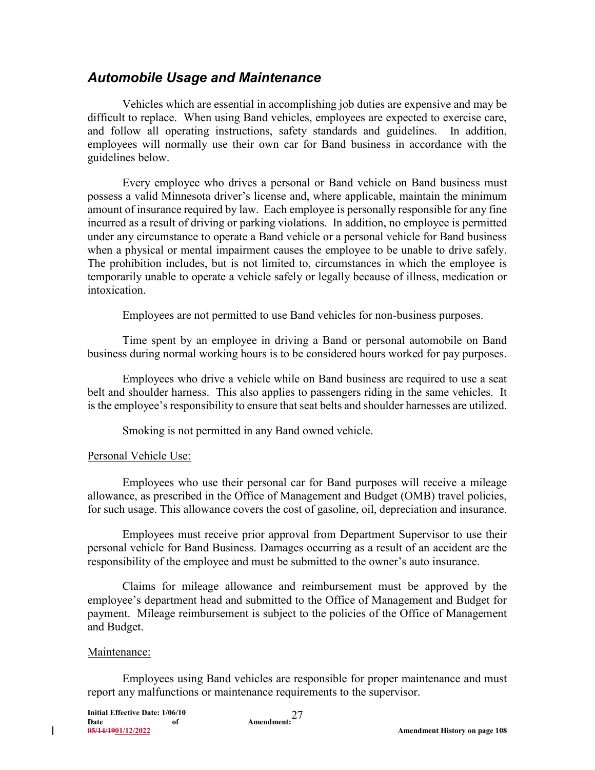### <span id="page-30-0"></span>*Automobile Usage and Maintenance*

Vehicles which are essential in accomplishing job duties are expensive and may be difficult to replace. When using Band vehicles, employees are expected to exercise care, and follow all operating instructions, safety standards and guidelines. In addition, employees will normally use their own car for Band business in accordance with the guidelines below.

Every employee who drives a personal or Band vehicle on Band business must possess a valid Minnesota driver's license and, where applicable, maintain the minimum amount of insurance required by law. Each employee is personally responsible for any fine incurred as a result of driving or parking violations. In addition, no employee is permitted under any circumstance to operate a Band vehicle or a personal vehicle for Band business when a physical or mental impairment causes the employee to be unable to drive safely. The prohibition includes, but is not limited to, circumstances in which the employee is temporarily unable to operate a vehicle safely or legally because of illness, medication or intoxication.

Employees are not permitted to use Band vehicles for non-business purposes.

Time spent by an employee in driving a Band or personal automobile on Band business during normal working hours is to be considered hours worked for pay purposes.

Employees who drive a vehicle while on Band business are required to use a seat belt and shoulder harness. This also applies to passengers riding in the same vehicles. It is the employee's responsibility to ensure that seat belts and shoulder harnesses are utilized.

Smoking is not permitted in any Band owned vehicle.

#### Personal Vehicle Use:

Employees who use their personal car for Band purposes will receive a mileage allowance, as prescribed in the Office of Management and Budget (OMB) travel policies, for such usage. This allowance covers the cost of gasoline, oil, depreciation and insurance.

Employees must receive prior approval from Department Supervisor to use their personal vehicle for Band Business. Damages occurring as a result of an accident are the responsibility of the employee and must be submitted to the owner's auto insurance.

Claims for mileage allowance and reimbursement must be approved by the employee's department head and submitted to the Office of Management and Budget for payment. Mileage reimbursement is subject to the policies of the Office of Management and Budget.

#### Maintenance:

Employees using Band vehicles are responsible for proper maintenance and must report any malfunctions or maintenance requirements to the supervisor.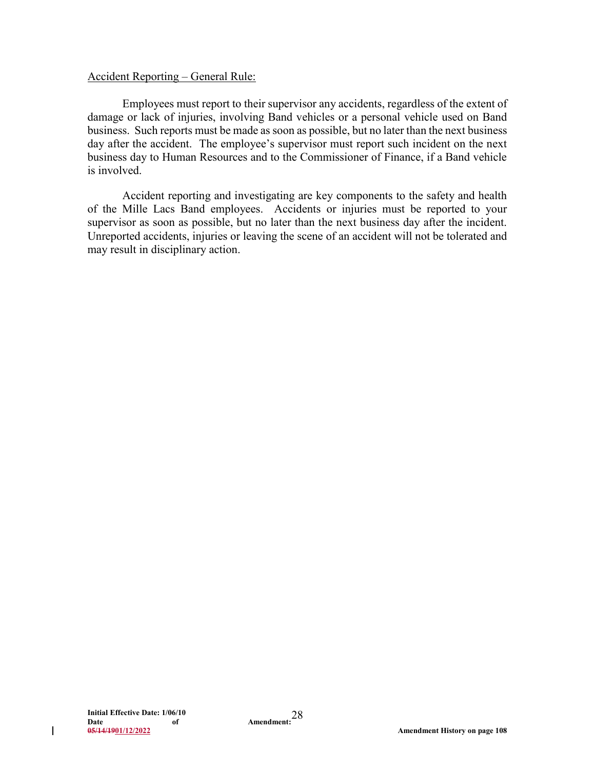#### Accident Reporting – General Rule:

Employees must report to their supervisor any accidents, regardless of the extent of damage or lack of injuries, involving Band vehicles or a personal vehicle used on Band business. Such reports must be made as soon as possible, but no later than the next business day after the accident. The employee's supervisor must report such incident on the next business day to Human Resources and to the Commissioner of Finance, if a Band vehicle is involved.

Accident reporting and investigating are key components to the safety and health of the Mille Lacs Band employees. Accidents or injuries must be reported to your supervisor as soon as possible, but no later than the next business day after the incident. Unreported accidents, injuries or leaving the scene of an accident will not be tolerated and may result in disciplinary action.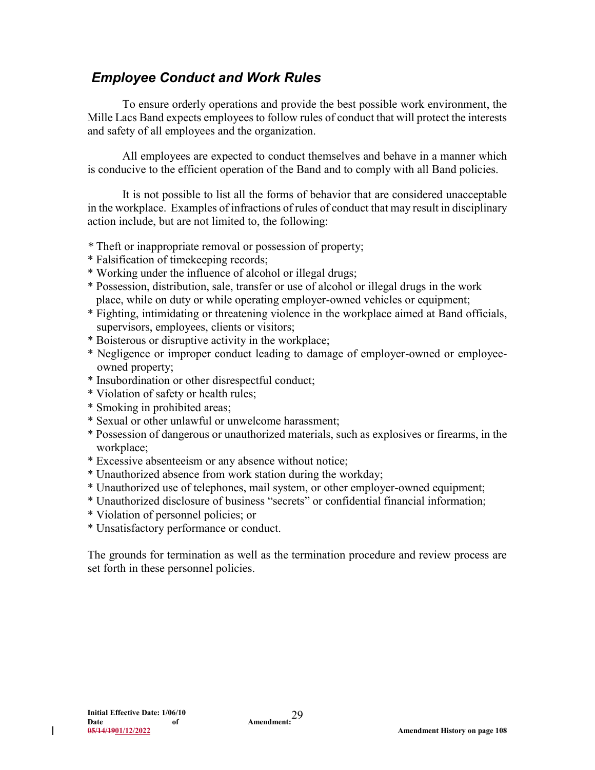### <span id="page-32-0"></span>*Employee Conduct and Work Rules*

To ensure orderly operations and provide the best possible work environment, the Mille Lacs Band expects employees to follow rules of conduct that will protect the interests and safety of all employees and the organization.

All employees are expected to conduct themselves and behave in a manner which is conducive to the efficient operation of the Band and to comply with all Band policies.

It is not possible to list all the forms of behavior that are considered unacceptable in the workplace. Examples of infractions of rules of conduct that may result in disciplinary action include, but are not limited to, the following:

- *\** Theft or inappropriate removal or possession of property;
- \* Falsification of timekeeping records;
- \* Working under the influence of alcohol or illegal drugs;
- \* Possession, distribution, sale, transfer or use of alcohol or illegal drugs in the work place, while on duty or while operating employer-owned vehicles or equipment;
- \* Fighting, intimidating or threatening violence in the workplace aimed at Band officials, supervisors, employees, clients or visitors;
- \* Boisterous or disruptive activity in the workplace;
- \* Negligence or improper conduct leading to damage of employer-owned or employeeowned property;
- \* Insubordination or other disrespectful conduct;
- \* Violation of safety or health rules;
- \* Smoking in prohibited areas;
- \* Sexual or other unlawful or unwelcome harassment;
- \* Possession of dangerous or unauthorized materials, such as explosives or firearms, in the workplace;
- \* Excessive absenteeism or any absence without notice;
- \* Unauthorized absence from work station during the workday;
- \* Unauthorized use of telephones, mail system, or other employer-owned equipment;
- \* Unauthorized disclosure of business "secrets" or confidential financial information;
- \* Violation of personnel policies; or
- \* Unsatisfactory performance or conduct.

The grounds for termination as well as the termination procedure and review process are set forth in these personnel policies.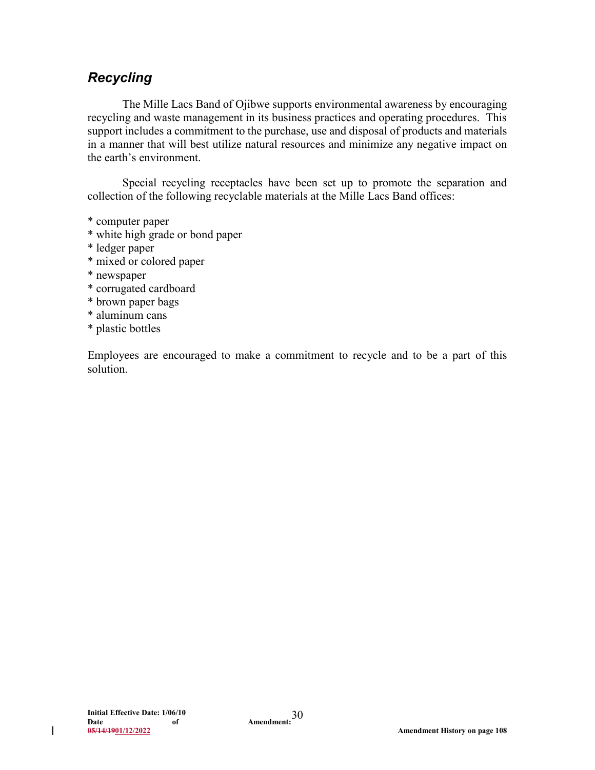### <span id="page-33-0"></span>*Recycling*

The Mille Lacs Band of Ojibwe supports environmental awareness by encouraging recycling and waste management in its business practices and operating procedures. This support includes a commitment to the purchase, use and disposal of products and materials in a manner that will best utilize natural resources and minimize any negative impact on the earth's environment.

Special recycling receptacles have been set up to promote the separation and collection of the following recyclable materials at the Mille Lacs Band offices:

- \* computer paper
- \* white high grade or bond paper
- \* ledger paper
- \* mixed or colored paper
- \* newspaper
- \* corrugated cardboard
- \* brown paper bags
- \* aluminum cans
- \* plastic bottles

Employees are encouraged to make a commitment to recycle and to be a part of this solution.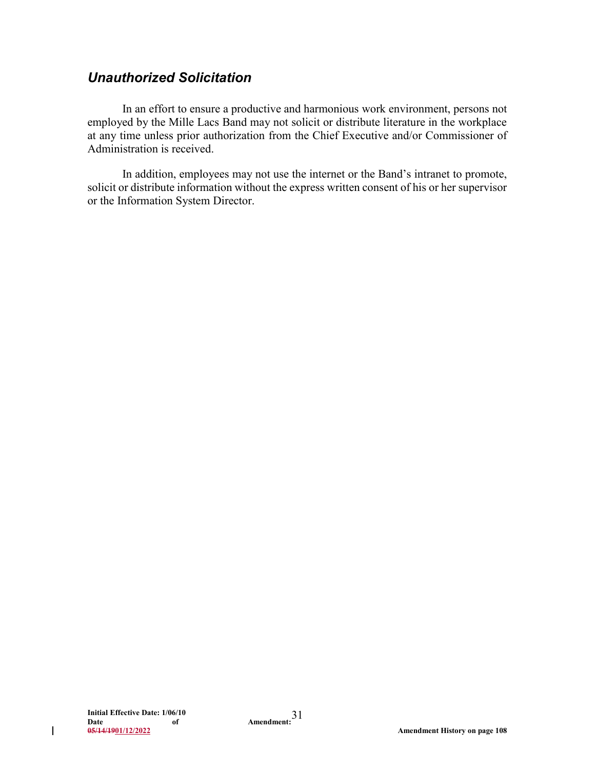### <span id="page-34-0"></span>*Unauthorized Solicitation*

In an effort to ensure a productive and harmonious work environment, persons not employed by the Mille Lacs Band may not solicit or distribute literature in the workplace at any time unless prior authorization from the Chief Executive and/or Commissioner of Administration is received.

In addition, employees may not use the internet or the Band's intranet to promote, solicit or distribute information without the express written consent of his or her supervisor or the Information System Director.

 $\mathbf{I}$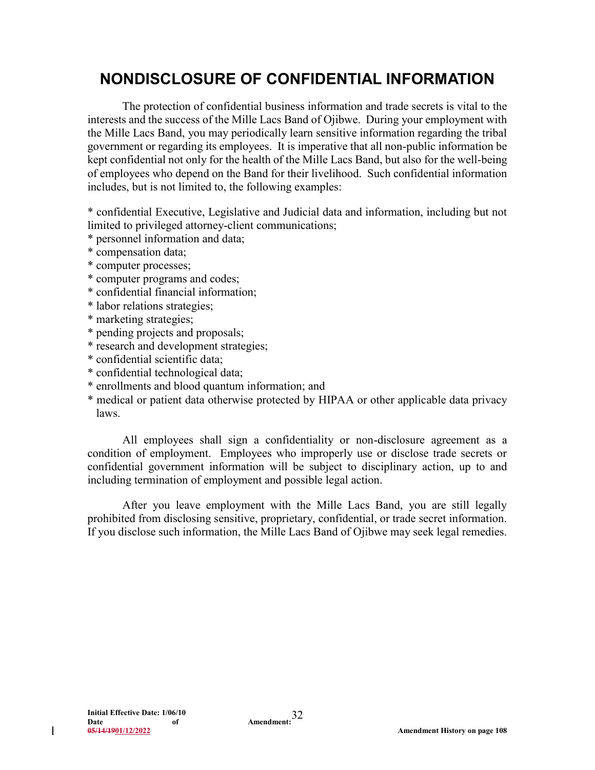# <span id="page-35-0"></span>**NONDISCLOSURE OF CONFIDENTIAL INFORMATION**

The protection of confidential business information and trade secrets is vital to the interests and the success of the Mille Lacs Band of Ojibwe. During your employment with the Mille Lacs Band, you may periodically learn sensitive information regarding the tribal government or regarding its employees. It is imperative that all non-public information be kept confidential not only for the health of the Mille Lacs Band, but also for the well-being of employees who depend on the Band for their livelihood. Such confidential information includes, but is not limited to, the following examples:

\* confidential Executive, Legislative and Judicial data and information, including but not limited to privileged attorney-client communications;

- \* personnel information and data;
- \* compensation data;
- \* computer processes;
- \* computer programs and codes;
- \* confidential financial information;
- \* labor relations strategies;
- \* marketing strategies;
- \* pending projects and proposals;
- \* research and development strategies;
- \* confidential scientific data;
- \* confidential technological data;
- \* enrollments and blood quantum information; and
- \* medical or patient data otherwise protected by HIPAA or other applicable data privacy laws.

All employees shall sign a confidentiality or non-disclosure agreement as a condition of employment. Employees who improperly use or disclose trade secrets or confidential government information will be subject to disciplinary action, up to and including termination of employment and possible legal action.

After you leave employment with the Mille Lacs Band, you are still legally prohibited from disclosing sensitive, proprietary, confidential, or trade secret information. If you disclose such information, the Mille Lacs Band of Ojibwe may seek legal remedies.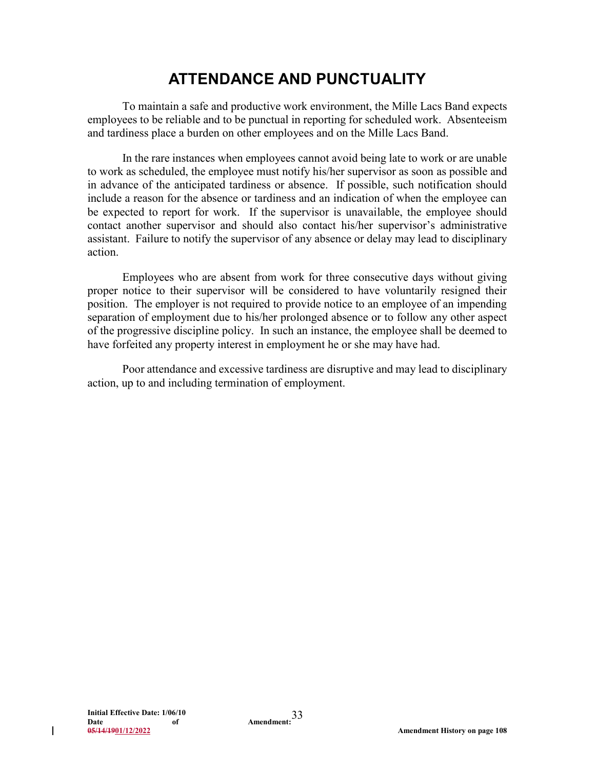# **ATTENDANCE AND PUNCTUALITY**

To maintain a safe and productive work environment, the Mille Lacs Band expects employees to be reliable and to be punctual in reporting for scheduled work. Absenteeism and tardiness place a burden on other employees and on the Mille Lacs Band.

In the rare instances when employees cannot avoid being late to work or are unable to work as scheduled, the employee must notify his/her supervisor as soon as possible and in advance of the anticipated tardiness or absence. If possible, such notification should include a reason for the absence or tardiness and an indication of when the employee can be expected to report for work. If the supervisor is unavailable, the employee should contact another supervisor and should also contact his/her supervisor's administrative assistant. Failure to notify the supervisor of any absence or delay may lead to disciplinary action.

Employees who are absent from work for three consecutive days without giving proper notice to their supervisor will be considered to have voluntarily resigned their position. The employer is not required to provide notice to an employee of an impending separation of employment due to his/her prolonged absence or to follow any other aspect of the progressive discipline policy. In such an instance, the employee shall be deemed to have forfeited any property interest in employment he or she may have had.

Poor attendance and excessive tardiness are disruptive and may lead to disciplinary action, up to and including termination of employment.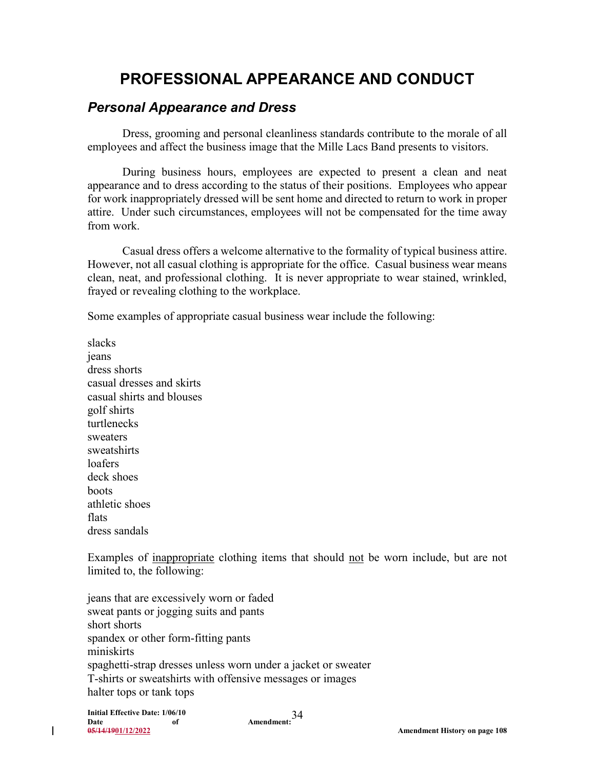# **PROFESSIONAL APPEARANCE AND CONDUCT**

# *Personal Appearance and Dress*

Dress, grooming and personal cleanliness standards contribute to the morale of all employees and affect the business image that the Mille Lacs Band presents to visitors.

During business hours, employees are expected to present a clean and neat appearance and to dress according to the status of their positions. Employees who appear for work inappropriately dressed will be sent home and directed to return to work in proper attire. Under such circumstances, employees will not be compensated for the time away from work.

Casual dress offers a welcome alternative to the formality of typical business attire. However, not all casual clothing is appropriate for the office. Casual business wear means clean, neat, and professional clothing. It is never appropriate to wear stained, wrinkled, frayed or revealing clothing to the workplace.

Some examples of appropriate casual business wear include the following:

slacks jeans dress shorts casual dresses and skirts casual shirts and blouses golf shirts turtlenecks sweaters sweatshirts loafers deck shoes boots athletic shoes flats dress sandals

Examples of inappropriate clothing items that should not be worn include, but are not limited to, the following:

jeans that are excessively worn or faded sweat pants or jogging suits and pants short shorts spandex or other form-fitting pants miniskirts spaghetti-strap dresses unless worn under a jacket or sweater T-shirts or sweatshirts with offensive messages or images halter tops or tank tops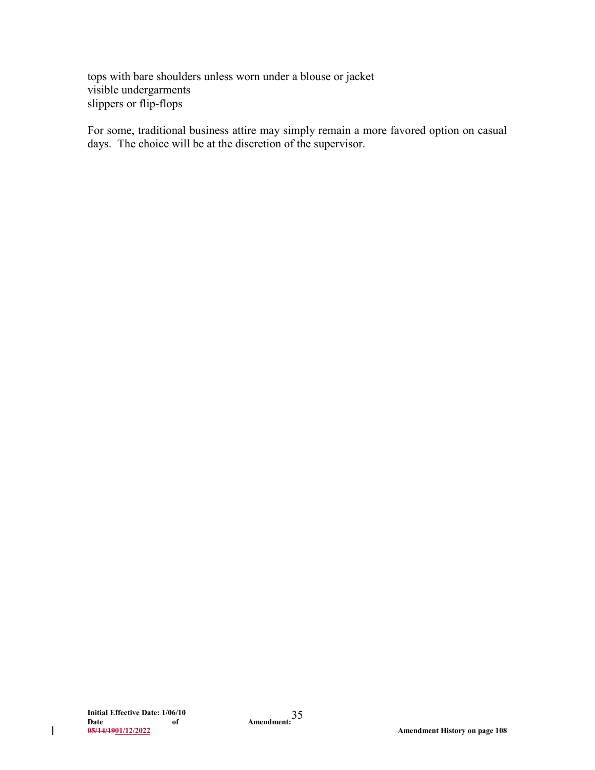tops with bare shoulders unless worn under a blouse or jacket visible undergarments slippers or flip-flops

For some, traditional business attire may simply remain a more favored option on casual days. The choice will be at the discretion of the supervisor.

 $\overline{\phantom{a}}$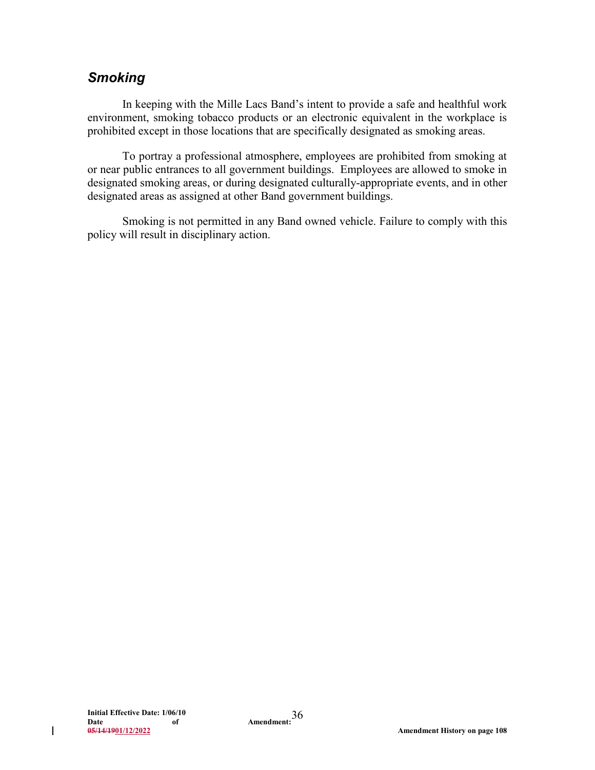# *Smoking*

In keeping with the Mille Lacs Band's intent to provide a safe and healthful work environment, smoking tobacco products or an electronic equivalent in the workplace is prohibited except in those locations that are specifically designated as smoking areas.

To portray a professional atmosphere, employees are prohibited from smoking at or near public entrances to all government buildings. Employees are allowed to smoke in designated smoking areas, or during designated culturally-appropriate events, and in other designated areas as assigned at other Band government buildings.

Smoking is not permitted in any Band owned vehicle. Failure to comply with this policy will result in disciplinary action.

 $\mathbf{I}$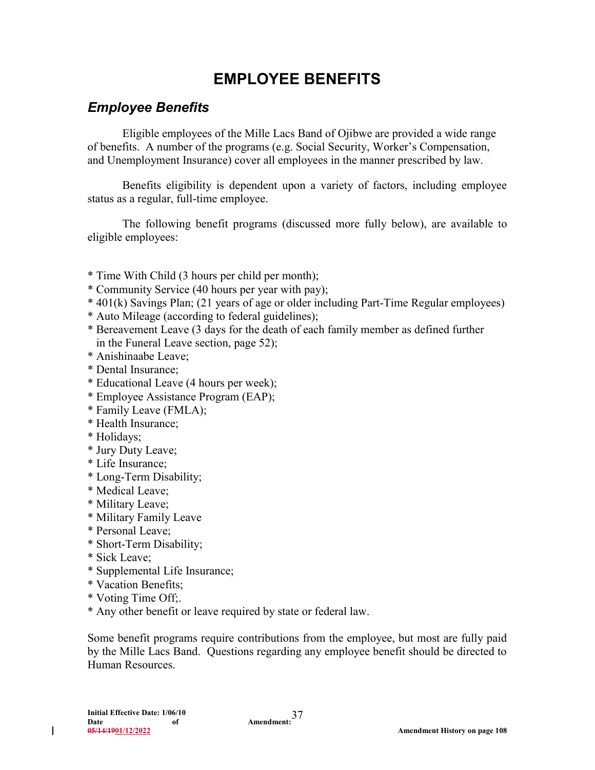# **EMPLOYEE BENEFITS**

# *Employee Benefits*

Eligible employees of the Mille Lacs Band of Ojibwe are provided a wide range of benefits. A number of the programs (e.g. Social Security, Worker's Compensation, and Unemployment Insurance) cover all employees in the manner prescribed by law.

Benefits eligibility is dependent upon a variety of factors, including employee status as a regular, full-time employee.

The following benefit programs (discussed more fully below), are available to eligible employees:

- \* Time With Child (3 hours per child per month);
- \* Community Service (40 hours per year with pay);
- \* 401(k) Savings Plan; (21 years of age or older including Part-Time Regular employees)
- \* Auto Mileage (according to federal guidelines);
- \* Bereavement Leave (3 days for the death of each family member as defined further in the Funeral Leave section, page 52);
- \* Anishinaabe Leave;
- \* Dental Insurance;
- \* Educational Leave (4 hours per week);
- \* Employee Assistance Program (EAP);
- \* Family Leave (FMLA);
- \* Health Insurance;
- \* Holidays;
- \* Jury Duty Leave;
- \* Life Insurance;
- \* Long-Term Disability;
- \* Medical Leave;
- \* Military Leave;
- \* Military Family Leave
- \* Personal Leave;
- \* Short-Term Disability;
- \* Sick Leave;
- \* Supplemental Life Insurance;
- \* Vacation Benefits;
- \* Voting Time Off;.
- \* Any other benefit or leave required by state or federal law.

Some benefit programs require contributions from the employee, but most are fully paid by the Mille Lacs Band. Questions regarding any employee benefit should be directed to Human Resources.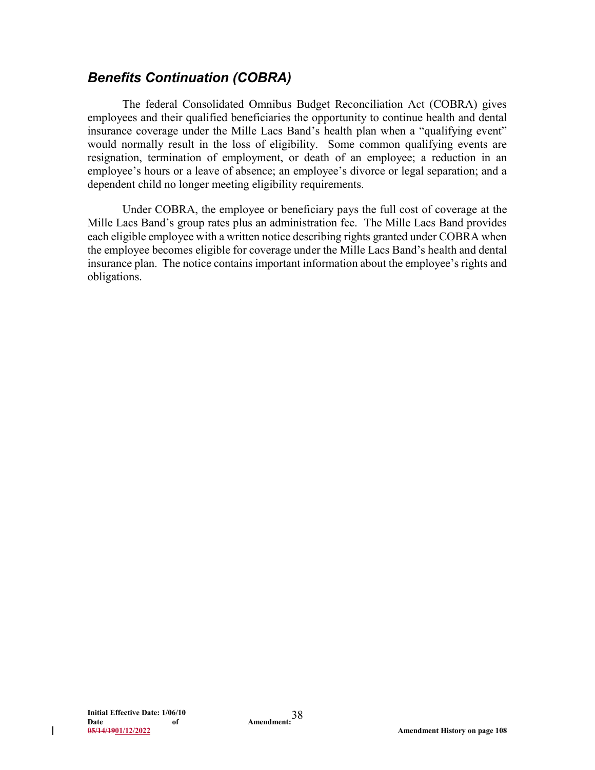# *Benefits Continuation (COBRA)*

The federal Consolidated Omnibus Budget Reconciliation Act (COBRA) gives employees and their qualified beneficiaries the opportunity to continue health and dental insurance coverage under the Mille Lacs Band's health plan when a "qualifying event" would normally result in the loss of eligibility. Some common qualifying events are resignation, termination of employment, or death of an employee; a reduction in an employee's hours or a leave of absence; an employee's divorce or legal separation; and a dependent child no longer meeting eligibility requirements.

Under COBRA, the employee or beneficiary pays the full cost of coverage at the Mille Lacs Band's group rates plus an administration fee. The Mille Lacs Band provides each eligible employee with a written notice describing rights granted under COBRA when the employee becomes eligible for coverage under the Mille Lacs Band's health and dental insurance plan. The notice contains important information about the employee's rights and obligations.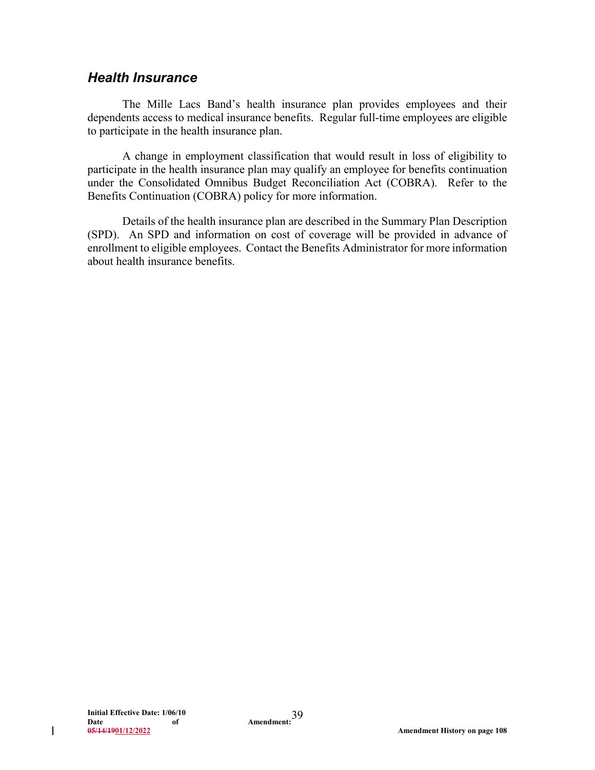#### *Health Insurance*

The Mille Lacs Band's health insurance plan provides employees and their dependents access to medical insurance benefits. Regular full-time employees are eligible to participate in the health insurance plan.

A change in employment classification that would result in loss of eligibility to participate in the health insurance plan may qualify an employee for benefits continuation under the Consolidated Omnibus Budget Reconciliation Act (COBRA). Refer to the Benefits Continuation (COBRA) policy for more information.

Details of the health insurance plan are described in the Summary Plan Description (SPD). An SPD and information on cost of coverage will be provided in advance of enrollment to eligible employees. Contact the Benefits Administrator for more information about health insurance benefits.

 $\mathbf{I}$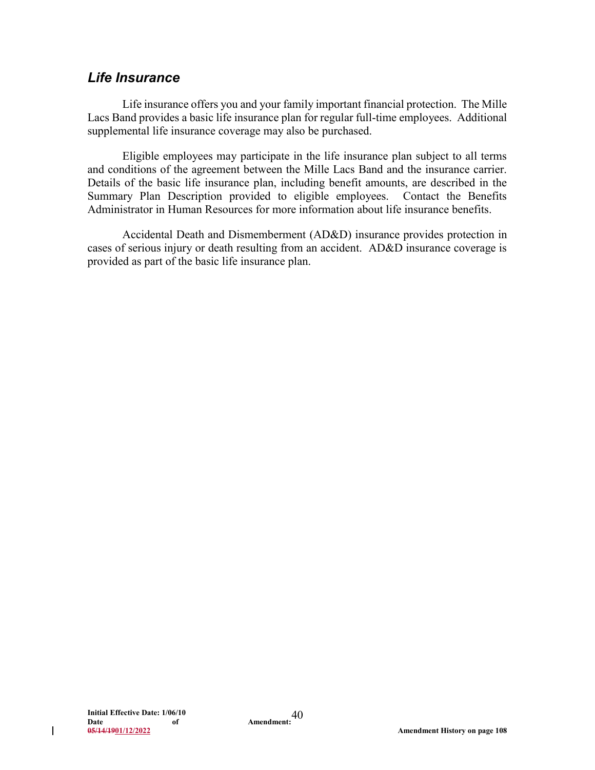# *Life Insurance*

Life insurance offers you and your family important financial protection. The Mille Lacs Band provides a basic life insurance plan for regular full-time employees. Additional supplemental life insurance coverage may also be purchased.

Eligible employees may participate in the life insurance plan subject to all terms and conditions of the agreement between the Mille Lacs Band and the insurance carrier. Details of the basic life insurance plan, including benefit amounts, are described in the Summary Plan Description provided to eligible employees. Contact the Benefits Administrator in Human Resources for more information about life insurance benefits.

Accidental Death and Dismemberment (AD&D) insurance provides protection in cases of serious injury or death resulting from an accident. AD&D insurance coverage is provided as part of the basic life insurance plan.

 $\mathbf{I}$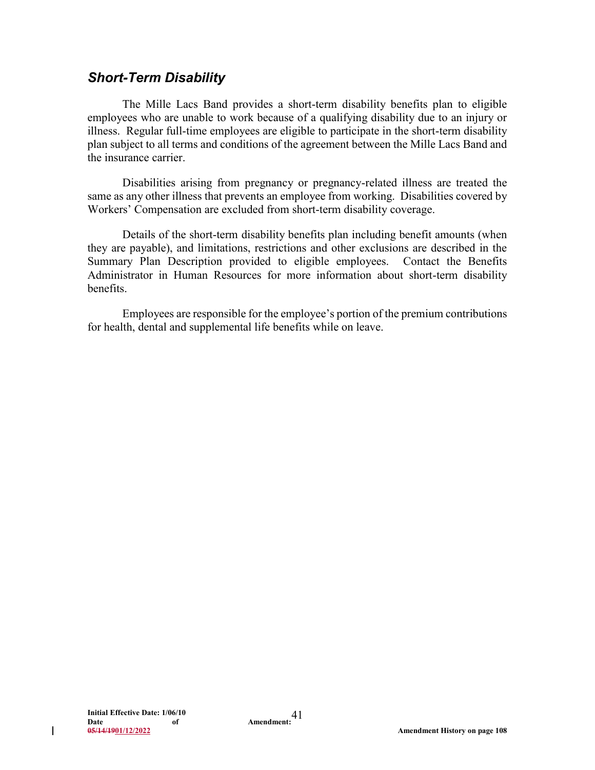### *Short-Term Disability*

The Mille Lacs Band provides a short-term disability benefits plan to eligible employees who are unable to work because of a qualifying disability due to an injury or illness. Regular full-time employees are eligible to participate in the short-term disability plan subject to all terms and conditions of the agreement between the Mille Lacs Band and the insurance carrier.

Disabilities arising from pregnancy or pregnancy-related illness are treated the same as any other illness that prevents an employee from working. Disabilities covered by Workers' Compensation are excluded from short-term disability coverage.

Details of the short-term disability benefits plan including benefit amounts (when they are payable), and limitations, restrictions and other exclusions are described in the Summary Plan Description provided to eligible employees. Contact the Benefits Administrator in Human Resources for more information about short-term disability benefits.

Employees are responsible for the employee's portion of the premium contributions for health, dental and supplemental life benefits while on leave.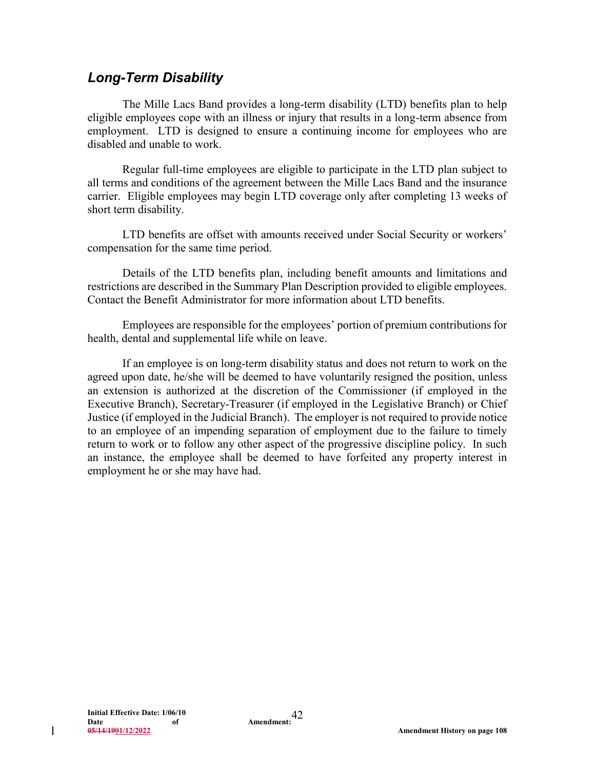# *Long-Term Disability*

The Mille Lacs Band provides a long-term disability (LTD) benefits plan to help eligible employees cope with an illness or injury that results in a long-term absence from employment. LTD is designed to ensure a continuing income for employees who are disabled and unable to work.

Regular full-time employees are eligible to participate in the LTD plan subject to all terms and conditions of the agreement between the Mille Lacs Band and the insurance carrier. Eligible employees may begin LTD coverage only after completing 13 weeks of short term disability.

LTD benefits are offset with amounts received under Social Security or workers' compensation for the same time period.

Details of the LTD benefits plan, including benefit amounts and limitations and restrictions are described in the Summary Plan Description provided to eligible employees. Contact the Benefit Administrator for more information about LTD benefits.

Employees are responsible for the employees' portion of premium contributions for health, dental and supplemental life while on leave.

If an employee is on long-term disability status and does not return to work on the agreed upon date, he/she will be deemed to have voluntarily resigned the position, unless an extension is authorized at the discretion of the Commissioner (if employed in the Executive Branch), Secretary-Treasurer (if employed in the Legislative Branch) or Chief Justice (if employed in the Judicial Branch). The employer is not required to provide notice to an employee of an impending separation of employment due to the failure to timely return to work or to follow any other aspect of the progressive discipline policy. In such an instance, the employee shall be deemed to have forfeited any property interest in employment he or she may have had.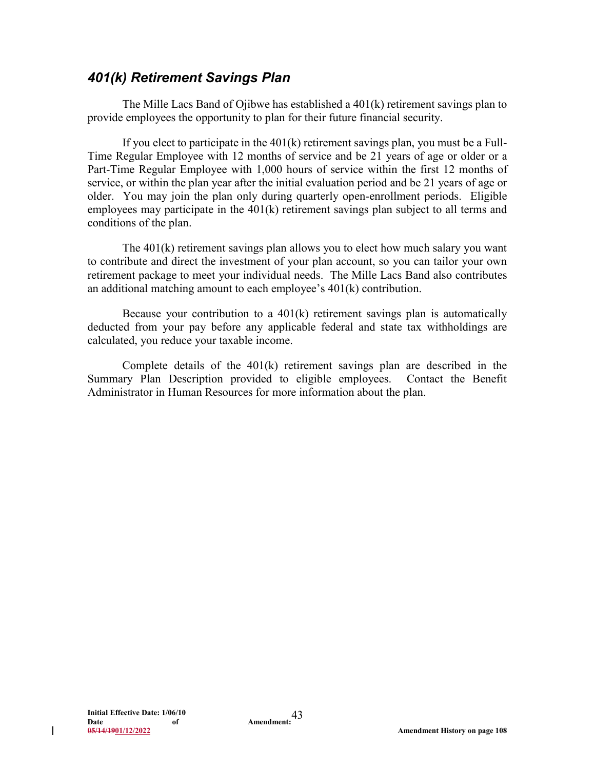# *401(k) Retirement Savings Plan*

The Mille Lacs Band of Ojibwe has established a 401(k) retirement savings plan to provide employees the opportunity to plan for their future financial security.

If you elect to participate in the  $401(k)$  retirement savings plan, you must be a Full-Time Regular Employee with 12 months of service and be 21 years of age or older or a Part-Time Regular Employee with 1,000 hours of service within the first 12 months of service, or within the plan year after the initial evaluation period and be 21 years of age or older. You may join the plan only during quarterly open-enrollment periods. Eligible employees may participate in the 401(k) retirement savings plan subject to all terms and conditions of the plan.

The 401(k) retirement savings plan allows you to elect how much salary you want to contribute and direct the investment of your plan account, so you can tailor your own retirement package to meet your individual needs. The Mille Lacs Band also contributes an additional matching amount to each employee's 401(k) contribution.

Because your contribution to a 401(k) retirement savings plan is automatically deducted from your pay before any applicable federal and state tax withholdings are calculated, you reduce your taxable income.

Complete details of the 401(k) retirement savings plan are described in the Summary Plan Description provided to eligible employees. Contact the Benefit Administrator in Human Resources for more information about the plan.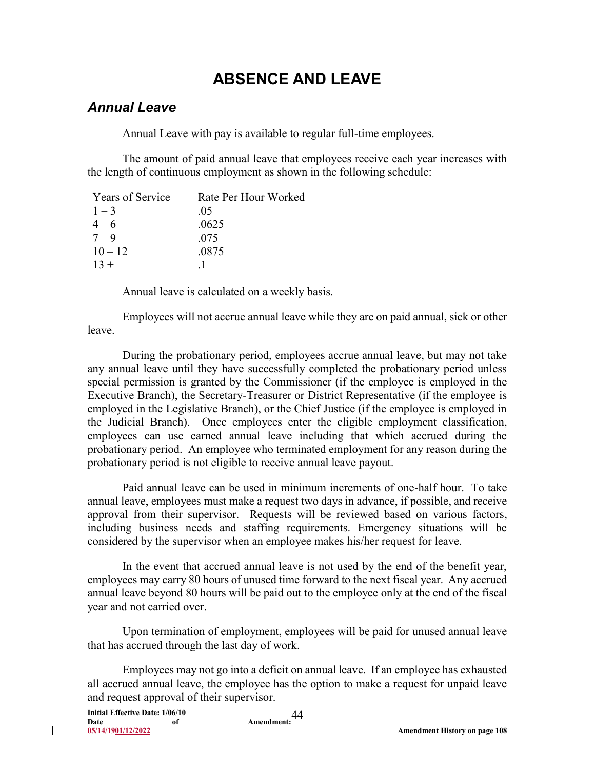# **ABSENCE AND LEAVE**

# *Annual Leave*

Annual Leave with pay is available to regular full-time employees.

The amount of paid annual leave that employees receive each year increases with the length of continuous employment as shown in the following schedule:

| <b>Years of Service</b> | Rate Per Hour Worked |
|-------------------------|----------------------|
| $1 - 3$                 | .05                  |
| $4 - 6$                 | .0625                |
| $7 - 9$                 | .075                 |
| $10 - 12$               | .0875                |
| $13 +$                  |                      |

Annual leave is calculated on a weekly basis.

Employees will not accrue annual leave while they are on paid annual, sick or other leave.

During the probationary period, employees accrue annual leave, but may not take any annual leave until they have successfully completed the probationary period unless special permission is granted by the Commissioner (if the employee is employed in the Executive Branch), the Secretary-Treasurer or District Representative (if the employee is employed in the Legislative Branch), or the Chief Justice (if the employee is employed in the Judicial Branch). Once employees enter the eligible employment classification, employees can use earned annual leave including that which accrued during the probationary period. An employee who terminated employment for any reason during the probationary period is not eligible to receive annual leave payout.

Paid annual leave can be used in minimum increments of one-half hour. To take annual leave, employees must make a request two days in advance, if possible, and receive approval from their supervisor. Requests will be reviewed based on various factors, including business needs and staffing requirements. Emergency situations will be considered by the supervisor when an employee makes his/her request for leave.

In the event that accrued annual leave is not used by the end of the benefit year, employees may carry 80 hours of unused time forward to the next fiscal year. Any accrued annual leave beyond 80 hours will be paid out to the employee only at the end of the fiscal year and not carried over.

Upon termination of employment, employees will be paid for unused annual leave that has accrued through the last day of work.

Employees may not go into a deficit on annual leave. If an employee has exhausted all accrued annual leave, the employee has the option to make a request for unpaid leave and request approval of their supervisor.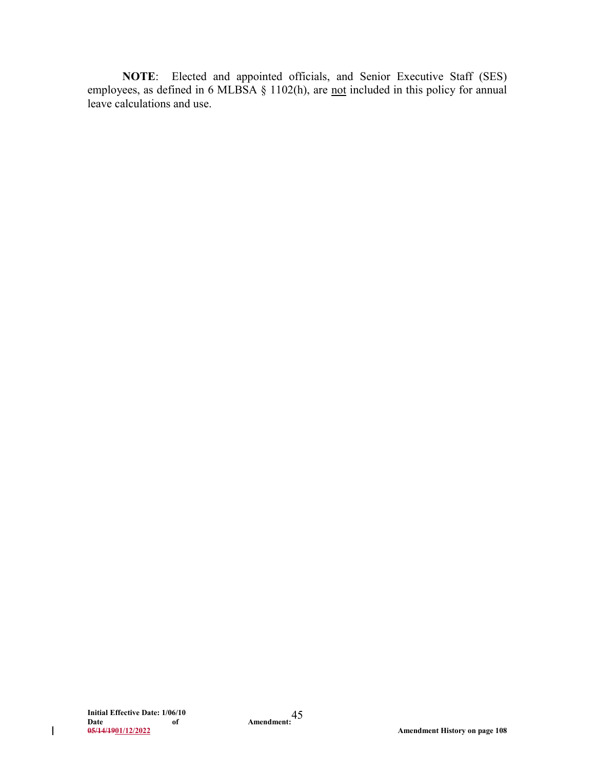**NOTE**: Elected and appointed officials, and Senior Executive Staff (SES) employees, as defined in 6 MLBSA § 1102(h), are not included in this policy for annual leave calculations and use.

 $\begin{array}{c} \hline \end{array}$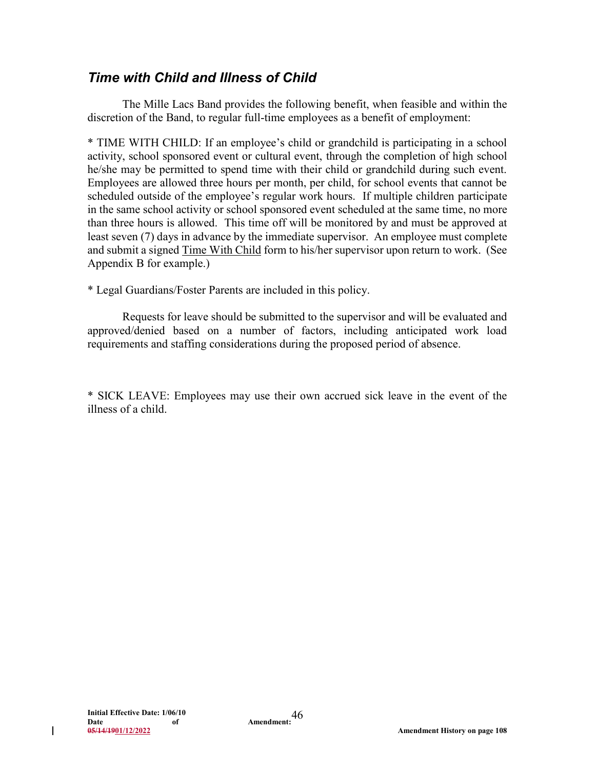# *Time with Child and Illness of Child*

The Mille Lacs Band provides the following benefit, when feasible and within the discretion of the Band, to regular full-time employees as a benefit of employment:

\* TIME WITH CHILD: If an employee's child or grandchild is participating in a school activity, school sponsored event or cultural event, through the completion of high school he/she may be permitted to spend time with their child or grandchild during such event. Employees are allowed three hours per month, per child, for school events that cannot be scheduled outside of the employee's regular work hours. If multiple children participate in the same school activity or school sponsored event scheduled at the same time, no more than three hours is allowed. This time off will be monitored by and must be approved at least seven (7) days in advance by the immediate supervisor. An employee must complete and submit a signed Time With Child form to his/her supervisor upon return to work. (See Appendix B for example.)

\* Legal Guardians/Foster Parents are included in this policy.

Requests for leave should be submitted to the supervisor and will be evaluated and approved/denied based on a number of factors, including anticipated work load requirements and staffing considerations during the proposed period of absence.

\* SICK LEAVE: Employees may use their own accrued sick leave in the event of the illness of a child.

l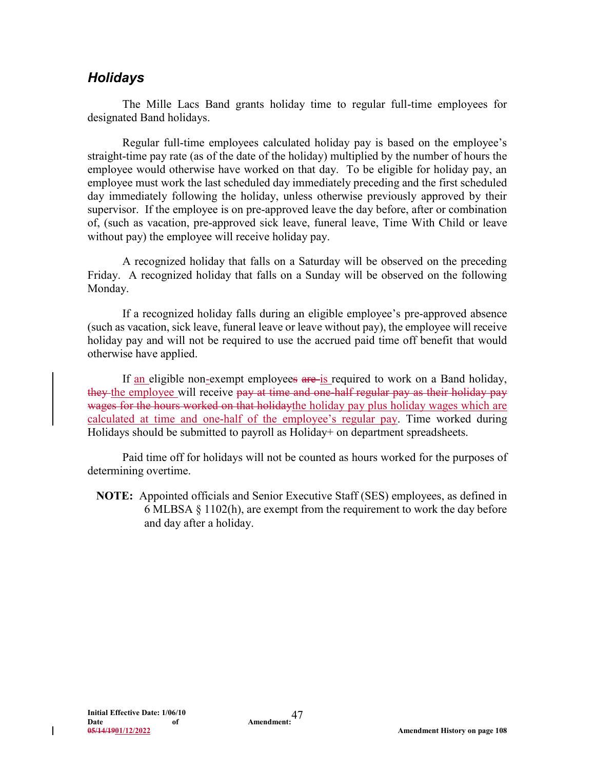#### *Holidays*

The Mille Lacs Band grants holiday time to regular full-time employees for designated Band holidays.

Regular full-time employees calculated holiday pay is based on the employee's straight-time pay rate (as of the date of the holiday) multiplied by the number of hours the employee would otherwise have worked on that day. To be eligible for holiday pay, an employee must work the last scheduled day immediately preceding and the first scheduled day immediately following the holiday, unless otherwise previously approved by their supervisor. If the employee is on pre-approved leave the day before, after or combination of, (such as vacation, pre-approved sick leave, funeral leave, Time With Child or leave without pay) the employee will receive holiday pay.

A recognized holiday that falls on a Saturday will be observed on the preceding Friday. A recognized holiday that falls on a Sunday will be observed on the following Monday.

If a recognized holiday falls during an eligible employee's pre-approved absence (such as vacation, sick leave, funeral leave or leave without pay), the employee will receive holiday pay and will not be required to use the accrued paid time off benefit that would otherwise have applied.

If an eligible non-exempt employees are is required to work on a Band holiday, they the employee will receive pay at time and one-half regular pay as their holiday pay wages for the hours worked on that holidaythe holiday pay plus holiday wages which are calculated at time and one-half of the employee's regular pay. Time worked during Holidays should be submitted to payroll as Holiday+ on department spreadsheets.

Paid time off for holidays will not be counted as hours worked for the purposes of determining overtime.

 **NOTE:** Appointed officials and Senior Executive Staff (SES) employees, as defined in 6 MLBSA § 1102(h), are exempt from the requirement to work the day before and day after a holiday.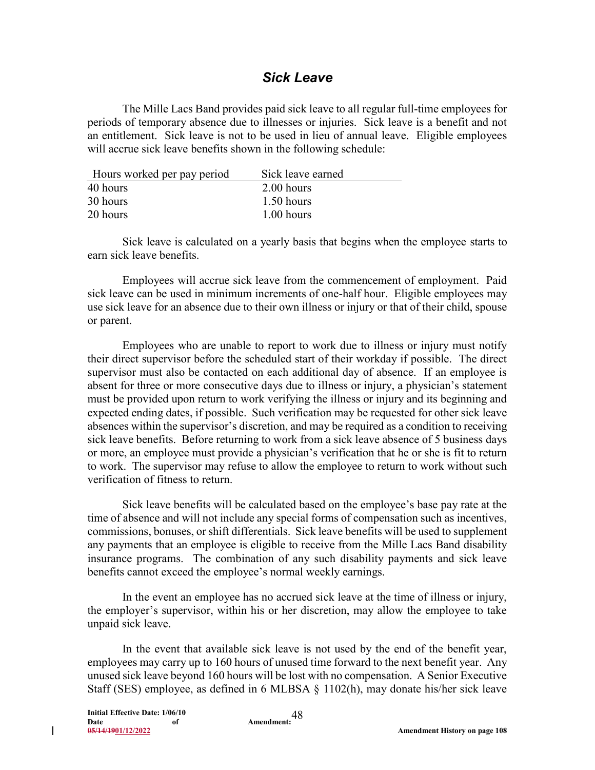#### *Sick Leave*

The Mille Lacs Band provides paid sick leave to all regular full-time employees for periods of temporary absence due to illnesses or injuries. Sick leave is a benefit and not an entitlement. Sick leave is not to be used in lieu of annual leave. Eligible employees will accrue sick leave benefits shown in the following schedule:

| Hours worked per pay period | Sick leave earned |
|-----------------------------|-------------------|
| 40 hours                    | 2.00 hours        |
| 30 hours                    | $1.50$ hours      |
| 20 hours                    | $1.00$ hours      |
|                             |                   |

Sick leave is calculated on a yearly basis that begins when the employee starts to earn sick leave benefits.

Employees will accrue sick leave from the commencement of employment. Paid sick leave can be used in minimum increments of one-half hour. Eligible employees may use sick leave for an absence due to their own illness or injury or that of their child, spouse or parent.

Employees who are unable to report to work due to illness or injury must notify their direct supervisor before the scheduled start of their workday if possible. The direct supervisor must also be contacted on each additional day of absence. If an employee is absent for three or more consecutive days due to illness or injury, a physician's statement must be provided upon return to work verifying the illness or injury and its beginning and expected ending dates, if possible. Such verification may be requested for other sick leave absences within the supervisor's discretion, and may be required as a condition to receiving sick leave benefits. Before returning to work from a sick leave absence of 5 business days or more, an employee must provide a physician's verification that he or she is fit to return to work. The supervisor may refuse to allow the employee to return to work without such verification of fitness to return.

Sick leave benefits will be calculated based on the employee's base pay rate at the time of absence and will not include any special forms of compensation such as incentives, commissions, bonuses, or shift differentials. Sick leave benefits will be used to supplement any payments that an employee is eligible to receive from the Mille Lacs Band disability insurance programs. The combination of any such disability payments and sick leave benefits cannot exceed the employee's normal weekly earnings.

In the event an employee has no accrued sick leave at the time of illness or injury, the employer's supervisor, within his or her discretion, may allow the employee to take unpaid sick leave.

In the event that available sick leave is not used by the end of the benefit year, employees may carry up to 160 hours of unused time forward to the next benefit year. Any unused sick leave beyond 160 hours will be lost with no compensation. A Senior Executive Staff (SES) employee, as defined in 6 MLBSA § 1102(h), may donate his/her sick leave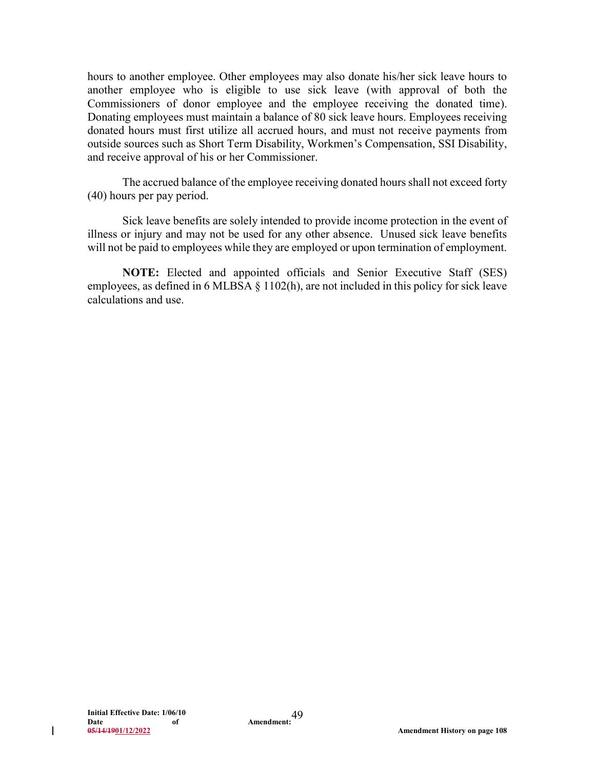hours to another employee. Other employees may also donate his/her sick leave hours to another employee who is eligible to use sick leave (with approval of both the Commissioners of donor employee and the employee receiving the donated time). Donating employees must maintain a balance of 80 sick leave hours. Employees receiving donated hours must first utilize all accrued hours, and must not receive payments from outside sources such as Short Term Disability, Workmen's Compensation, SSI Disability, and receive approval of his or her Commissioner.

The accrued balance of the employee receiving donated hours shall not exceed forty (40) hours per pay period.

Sick leave benefits are solely intended to provide income protection in the event of illness or injury and may not be used for any other absence. Unused sick leave benefits will not be paid to employees while they are employed or upon termination of employment.

**NOTE:** Elected and appointed officials and Senior Executive Staff (SES) employees, as defined in 6 MLBSA § 1102(h), are not included in this policy for sick leave calculations and use.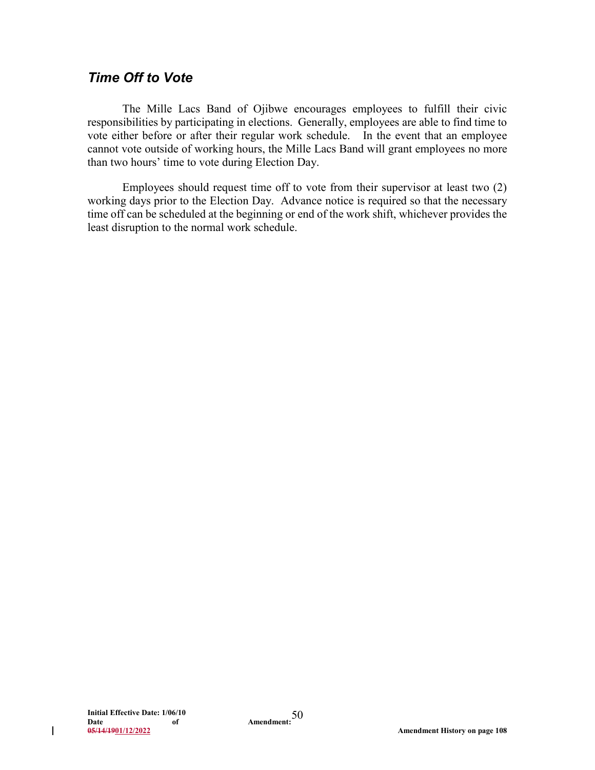# *Time Off to Vote*

The Mille Lacs Band of Ojibwe encourages employees to fulfill their civic responsibilities by participating in elections. Generally, employees are able to find time to vote either before or after their regular work schedule. In the event that an employee cannot vote outside of working hours, the Mille Lacs Band will grant employees no more than two hours' time to vote during Election Day.

Employees should request time off to vote from their supervisor at least two (2) working days prior to the Election Day. Advance notice is required so that the necessary time off can be scheduled at the beginning or end of the work shift, whichever provides the least disruption to the normal work schedule.

 $\mathbf{I}$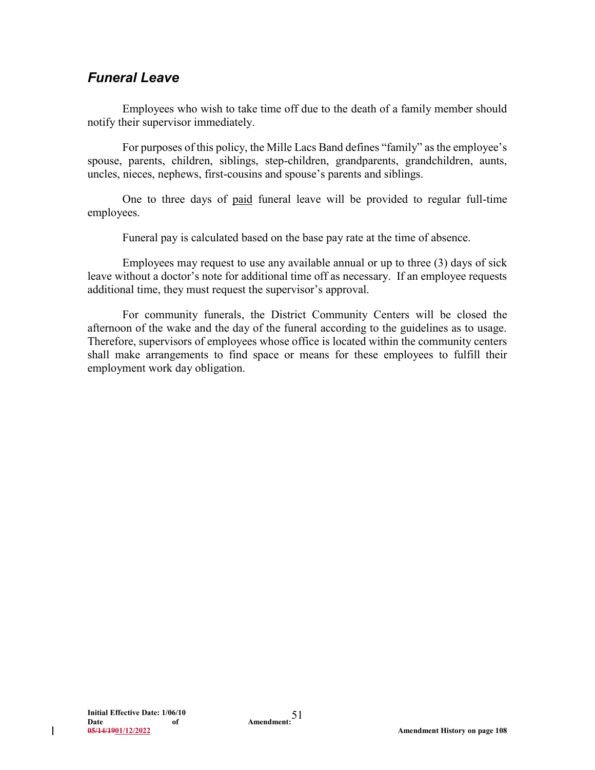# *Funeral Leave*

Employees who wish to take time off due to the death of a family member should notify their supervisor immediately.

For purposes of this policy, the Mille Lacs Band defines "family" as the employee's spouse, parents, children, siblings, step-children, grandparents, grandchildren, aunts, uncles, nieces, nephews, first-cousins and spouse's parents and siblings.

One to three days of paid funeral leave will be provided to regular full-time employees.

Funeral pay is calculated based on the base pay rate at the time of absence.

Employees may request to use any available annual or up to three (3) days of sick leave without a doctor's note for additional time off as necessary. If an employee requests additional time, they must request the supervisor's approval.

For community funerals, the District Community Centers will be closed the afternoon of the wake and the day of the funeral according to the guidelines as to usage. Therefore, supervisors of employees whose office is located within the community centers shall make arrangements to find space or means for these employees to fulfill their employment work day obligation.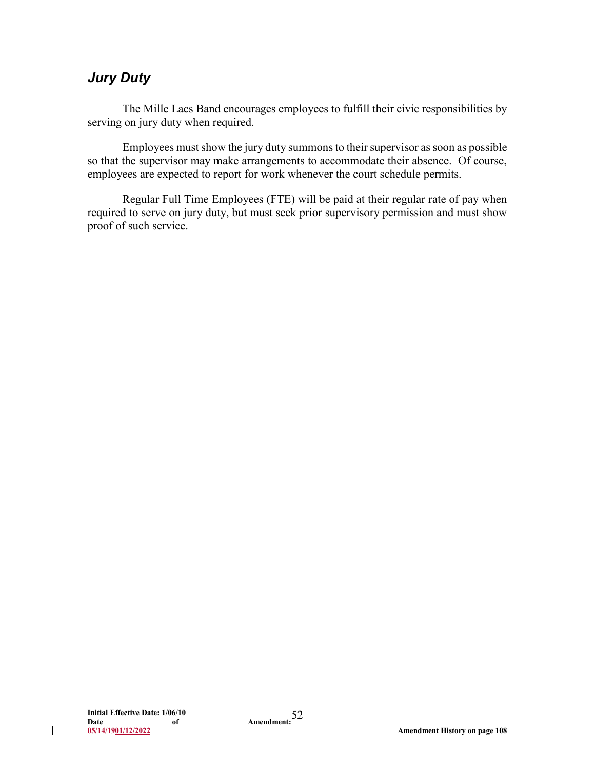# *Jury Duty*

The Mille Lacs Band encourages employees to fulfill their civic responsibilities by serving on jury duty when required.

Employees must show the jury duty summons to their supervisor as soon as possible so that the supervisor may make arrangements to accommodate their absence. Of course, employees are expected to report for work whenever the court schedule permits.

Regular Full Time Employees (FTE) will be paid at their regular rate of pay when required to serve on jury duty, but must seek prior supervisory permission and must show proof of such service.

 $\overline{\phantom{a}}$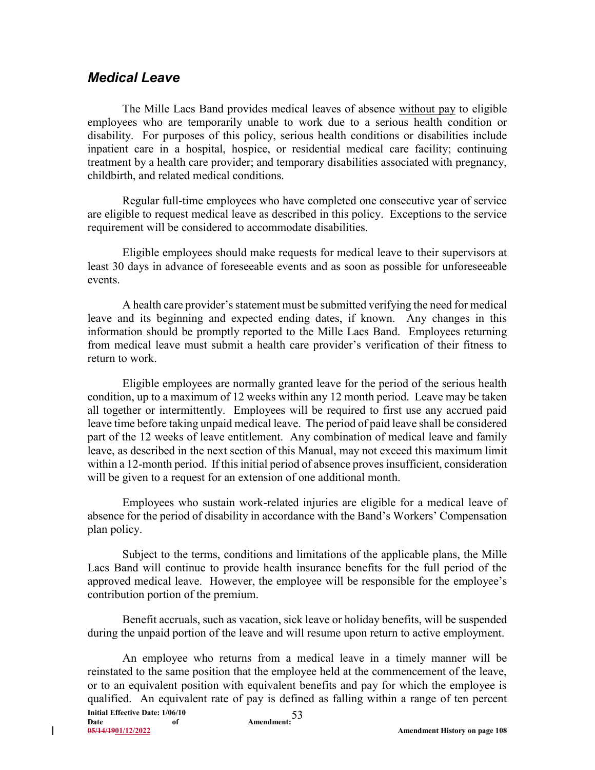#### *Medical Leave*

The Mille Lacs Band provides medical leaves of absence without pay to eligible employees who are temporarily unable to work due to a serious health condition or disability. For purposes of this policy, serious health conditions or disabilities include inpatient care in a hospital, hospice, or residential medical care facility; continuing treatment by a health care provider; and temporary disabilities associated with pregnancy, childbirth, and related medical conditions.

Regular full-time employees who have completed one consecutive year of service are eligible to request medical leave as described in this policy. Exceptions to the service requirement will be considered to accommodate disabilities.

Eligible employees should make requests for medical leave to their supervisors at least 30 days in advance of foreseeable events and as soon as possible for unforeseeable events.

A health care provider's statement must be submitted verifying the need for medical leave and its beginning and expected ending dates, if known. Any changes in this information should be promptly reported to the Mille Lacs Band. Employees returning from medical leave must submit a health care provider's verification of their fitness to return to work.

Eligible employees are normally granted leave for the period of the serious health condition, up to a maximum of 12 weeks within any 12 month period. Leave may be taken all together or intermittently. Employees will be required to first use any accrued paid leave time before taking unpaid medical leave. The period of paid leave shall be considered part of the 12 weeks of leave entitlement. Any combination of medical leave and family leave, as described in the next section of this Manual, may not exceed this maximum limit within a 12-month period. If this initial period of absence proves insufficient, consideration will be given to a request for an extension of one additional month.

Employees who sustain work-related injuries are eligible for a medical leave of absence for the period of disability in accordance with the Band's Workers' Compensation plan policy.

Subject to the terms, conditions and limitations of the applicable plans, the Mille Lacs Band will continue to provide health insurance benefits for the full period of the approved medical leave. However, the employee will be responsible for the employee's contribution portion of the premium.

Benefit accruals, such as vacation, sick leave or holiday benefits, will be suspended during the unpaid portion of the leave and will resume upon return to active employment.

**Initial Effective Date: 1/06/10**<br>Date of **Date of Amendment:**  53 **05/14/1901/12/2022 Amendment History on page 108**  An employee who returns from a medical leave in a timely manner will be reinstated to the same position that the employee held at the commencement of the leave, or to an equivalent position with equivalent benefits and pay for which the employee is qualified. An equivalent rate of pay is defined as falling within a range of ten percent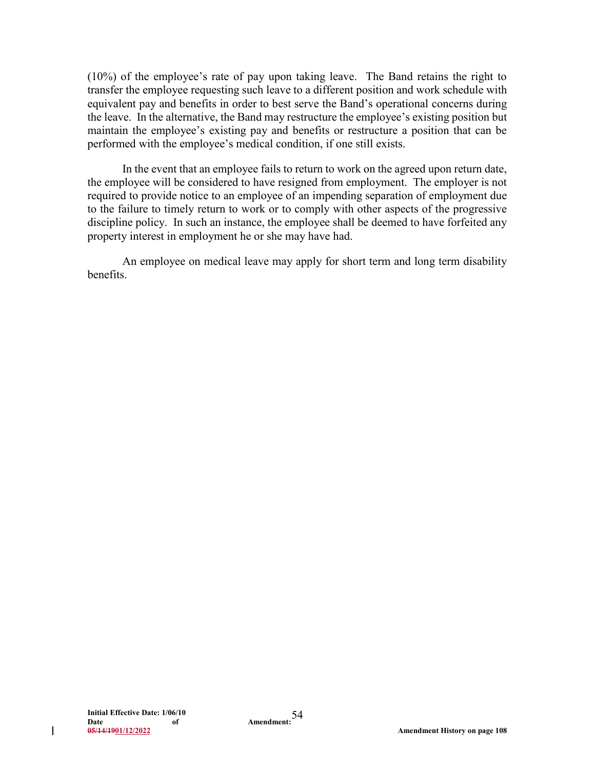(10%) of the employee's rate of pay upon taking leave. The Band retains the right to transfer the employee requesting such leave to a different position and work schedule with equivalent pay and benefits in order to best serve the Band's operational concerns during the leave. In the alternative, the Band may restructure the employee's existing position but maintain the employee's existing pay and benefits or restructure a position that can be performed with the employee's medical condition, if one still exists.

In the event that an employee fails to return to work on the agreed upon return date, the employee will be considered to have resigned from employment. The employer is not required to provide notice to an employee of an impending separation of employment due to the failure to timely return to work or to comply with other aspects of the progressive discipline policy. In such an instance, the employee shall be deemed to have forfeited any property interest in employment he or she may have had.

An employee on medical leave may apply for short term and long term disability benefits.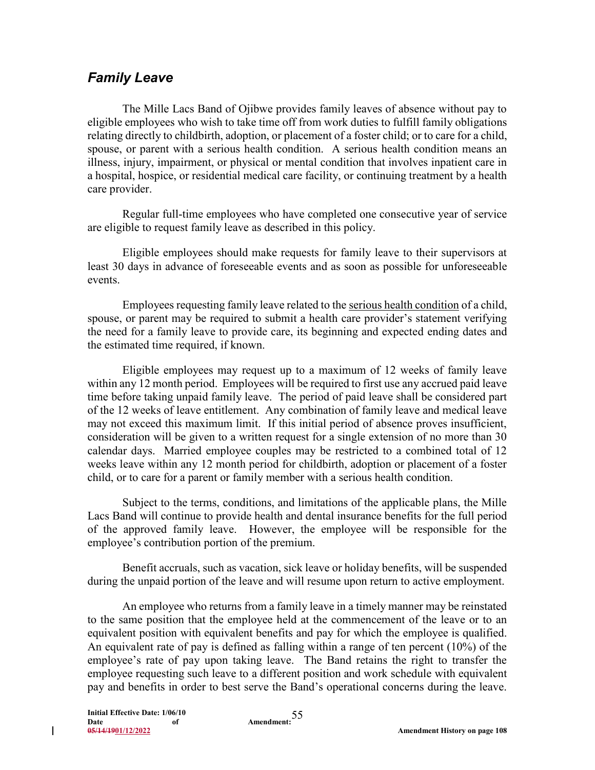# *Family Leave*

The Mille Lacs Band of Ojibwe provides family leaves of absence without pay to eligible employees who wish to take time off from work duties to fulfill family obligations relating directly to childbirth, adoption, or placement of a foster child; or to care for a child, spouse, or parent with a serious health condition. A serious health condition means an illness, injury, impairment, or physical or mental condition that involves inpatient care in a hospital, hospice, or residential medical care facility, or continuing treatment by a health care provider.

Regular full-time employees who have completed one consecutive year of service are eligible to request family leave as described in this policy.

Eligible employees should make requests for family leave to their supervisors at least 30 days in advance of foreseeable events and as soon as possible for unforeseeable events.

Employees requesting family leave related to the serious health condition of a child, spouse, or parent may be required to submit a health care provider's statement verifying the need for a family leave to provide care, its beginning and expected ending dates and the estimated time required, if known.

Eligible employees may request up to a maximum of 12 weeks of family leave within any 12 month period. Employees will be required to first use any accrued paid leave time before taking unpaid family leave. The period of paid leave shall be considered part of the 12 weeks of leave entitlement. Any combination of family leave and medical leave may not exceed this maximum limit. If this initial period of absence proves insufficient, consideration will be given to a written request for a single extension of no more than 30 calendar days. Married employee couples may be restricted to a combined total of 12 weeks leave within any 12 month period for childbirth, adoption or placement of a foster child, or to care for a parent or family member with a serious health condition.

Subject to the terms, conditions, and limitations of the applicable plans, the Mille Lacs Band will continue to provide health and dental insurance benefits for the full period of the approved family leave. However, the employee will be responsible for the employee's contribution portion of the premium.

Benefit accruals, such as vacation, sick leave or holiday benefits, will be suspended during the unpaid portion of the leave and will resume upon return to active employment.

An employee who returns from a family leave in a timely manner may be reinstated to the same position that the employee held at the commencement of the leave or to an equivalent position with equivalent benefits and pay for which the employee is qualified. An equivalent rate of pay is defined as falling within a range of ten percent (10%) of the employee's rate of pay upon taking leave. The Band retains the right to transfer the employee requesting such leave to a different position and work schedule with equivalent pay and benefits in order to best serve the Band's operational concerns during the leave.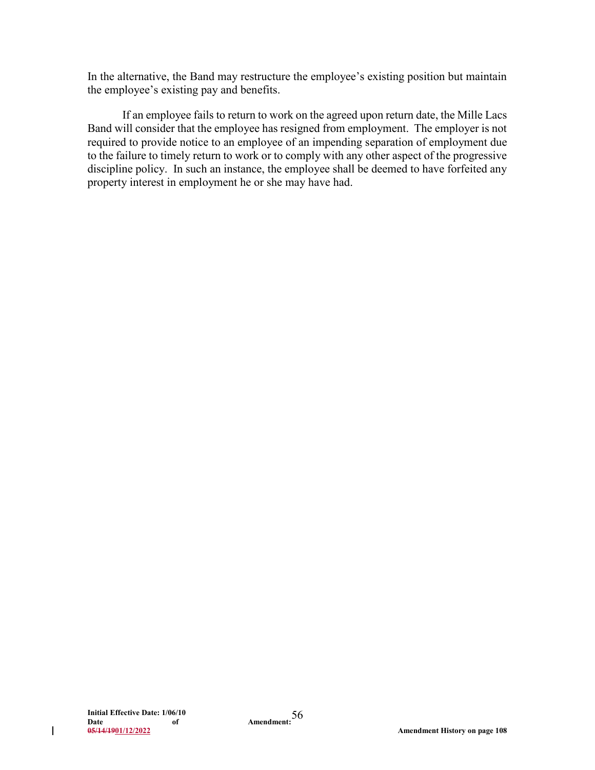In the alternative, the Band may restructure the employee's existing position but maintain the employee's existing pay and benefits.

If an employee fails to return to work on the agreed upon return date, the Mille Lacs Band will consider that the employee has resigned from employment. The employer is not required to provide notice to an employee of an impending separation of employment due to the failure to timely return to work or to comply with any other aspect of the progressive discipline policy. In such an instance, the employee shall be deemed to have forfeited any property interest in employment he or she may have had.

 $\overline{\phantom{a}}$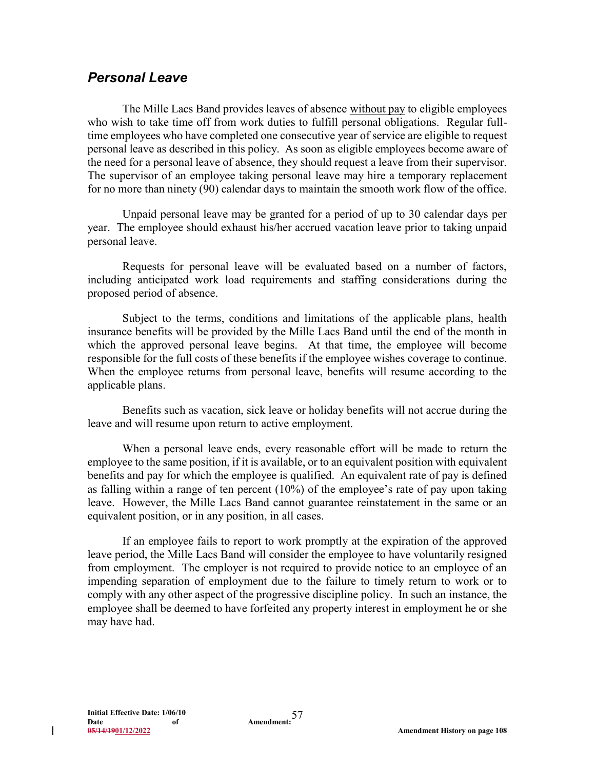### *Personal Leave*

The Mille Lacs Band provides leaves of absence without pay to eligible employees who wish to take time off from work duties to fulfill personal obligations. Regular fulltime employees who have completed one consecutive year of service are eligible to request personal leave as described in this policy. As soon as eligible employees become aware of the need for a personal leave of absence, they should request a leave from their supervisor. The supervisor of an employee taking personal leave may hire a temporary replacement for no more than ninety (90) calendar days to maintain the smooth work flow of the office.

Unpaid personal leave may be granted for a period of up to 30 calendar days per year. The employee should exhaust his/her accrued vacation leave prior to taking unpaid personal leave.

Requests for personal leave will be evaluated based on a number of factors, including anticipated work load requirements and staffing considerations during the proposed period of absence.

Subject to the terms, conditions and limitations of the applicable plans, health insurance benefits will be provided by the Mille Lacs Band until the end of the month in which the approved personal leave begins. At that time, the employee will become responsible for the full costs of these benefits if the employee wishes coverage to continue. When the employee returns from personal leave, benefits will resume according to the applicable plans.

Benefits such as vacation, sick leave or holiday benefits will not accrue during the leave and will resume upon return to active employment.

When a personal leave ends, every reasonable effort will be made to return the employee to the same position, if it is available, or to an equivalent position with equivalent benefits and pay for which the employee is qualified. An equivalent rate of pay is defined as falling within a range of ten percent (10%) of the employee's rate of pay upon taking leave. However, the Mille Lacs Band cannot guarantee reinstatement in the same or an equivalent position, or in any position, in all cases.

If an employee fails to report to work promptly at the expiration of the approved leave period, the Mille Lacs Band will consider the employee to have voluntarily resigned from employment. The employer is not required to provide notice to an employee of an impending separation of employment due to the failure to timely return to work or to comply with any other aspect of the progressive discipline policy. In such an instance, the employee shall be deemed to have forfeited any property interest in employment he or she may have had.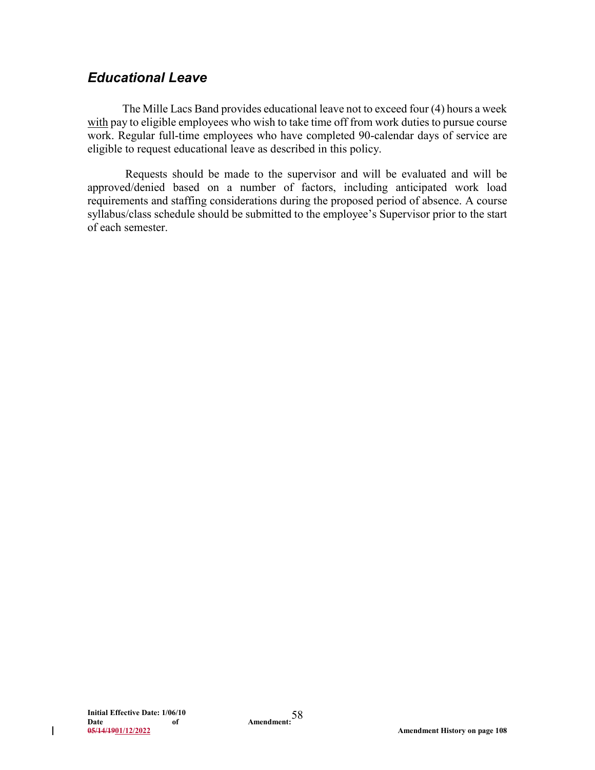### *Educational Leave*

The Mille Lacs Band provides educational leave not to exceed four (4) hours a week with pay to eligible employees who wish to take time off from work duties to pursue course work. Regular full-time employees who have completed 90-calendar days of service are eligible to request educational leave as described in this policy.

Requests should be made to the supervisor and will be evaluated and will be approved/denied based on a number of factors, including anticipated work load requirements and staffing considerations during the proposed period of absence. A course syllabus/class schedule should be submitted to the employee's Supervisor prior to the start of each semester.

 $\mathbf{I}$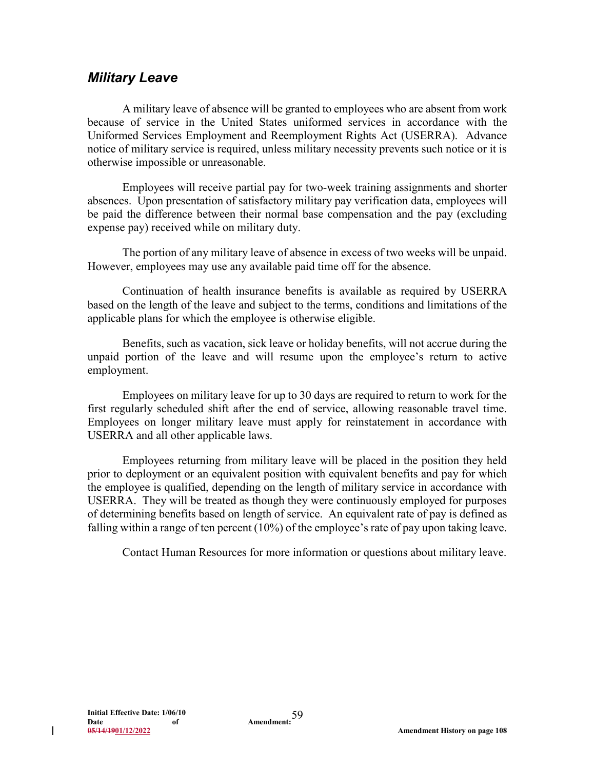# *Military Leave*

A military leave of absence will be granted to employees who are absent from work because of service in the United States uniformed services in accordance with the Uniformed Services Employment and Reemployment Rights Act (USERRA). Advance notice of military service is required, unless military necessity prevents such notice or it is otherwise impossible or unreasonable.

Employees will receive partial pay for two-week training assignments and shorter absences. Upon presentation of satisfactory military pay verification data, employees will be paid the difference between their normal base compensation and the pay (excluding expense pay) received while on military duty.

The portion of any military leave of absence in excess of two weeks will be unpaid. However, employees may use any available paid time off for the absence.

Continuation of health insurance benefits is available as required by USERRA based on the length of the leave and subject to the terms, conditions and limitations of the applicable plans for which the employee is otherwise eligible.

Benefits, such as vacation, sick leave or holiday benefits, will not accrue during the unpaid portion of the leave and will resume upon the employee's return to active employment.

Employees on military leave for up to 30 days are required to return to work for the first regularly scheduled shift after the end of service, allowing reasonable travel time. Employees on longer military leave must apply for reinstatement in accordance with USERRA and all other applicable laws.

Employees returning from military leave will be placed in the position they held prior to deployment or an equivalent position with equivalent benefits and pay for which the employee is qualified, depending on the length of military service in accordance with USERRA. They will be treated as though they were continuously employed for purposes of determining benefits based on length of service. An equivalent rate of pay is defined as falling within a range of ten percent (10%) of the employee's rate of pay upon taking leave.

Contact Human Resources for more information or questions about military leave.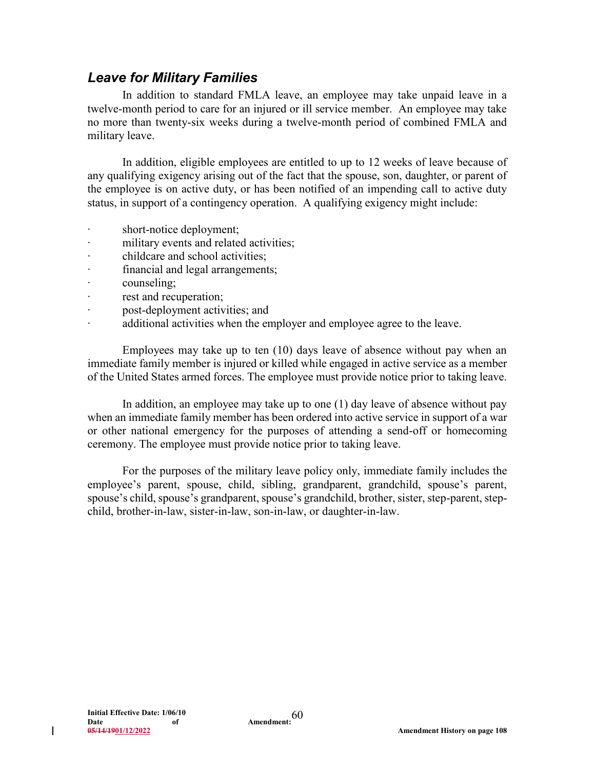# *Leave for Military Families*

In addition to standard FMLA leave, an employee may take unpaid leave in a twelve-month period to care for an injured or ill service member. An employee may take no more than twenty-six weeks during a twelve-month period of combined FMLA and military leave.

In addition, eligible employees are entitled to up to 12 weeks of leave because of any qualifying exigency arising out of the fact that the spouse, son, daughter, or parent of the employee is on active duty, or has been notified of an impending call to active duty status, in support of a contingency operation. A qualifying exigency might include:

- ∙ short-notice deployment;
- ∙ military events and related activities;
- ∙ childcare and school activities;
- ∙ financial and legal arrangements;
- ∙ counseling;
- ∙ rest and recuperation;
- ∙ post-deployment activities; and
- ∙ additional activities when the employer and employee agree to the leave.

Employees may take up to ten (10) days leave of absence without pay when an immediate family member is injured or killed while engaged in active service as a member of the United States armed forces. The employee must provide notice prior to taking leave.

In addition, an employee may take up to one (1) day leave of absence without pay when an immediate family member has been ordered into active service in support of a war or other national emergency for the purposes of attending a send-off or homecoming ceremony. The employee must provide notice prior to taking leave.

For the purposes of the military leave policy only, immediate family includes the employee's parent, spouse, child, sibling, grandparent, grandchild, spouse's parent, spouse's child, spouse's grandparent, spouse's grandchild, brother, sister, step-parent, stepchild, brother-in-law, sister-in-law, son-in-law, or daughter-in-law.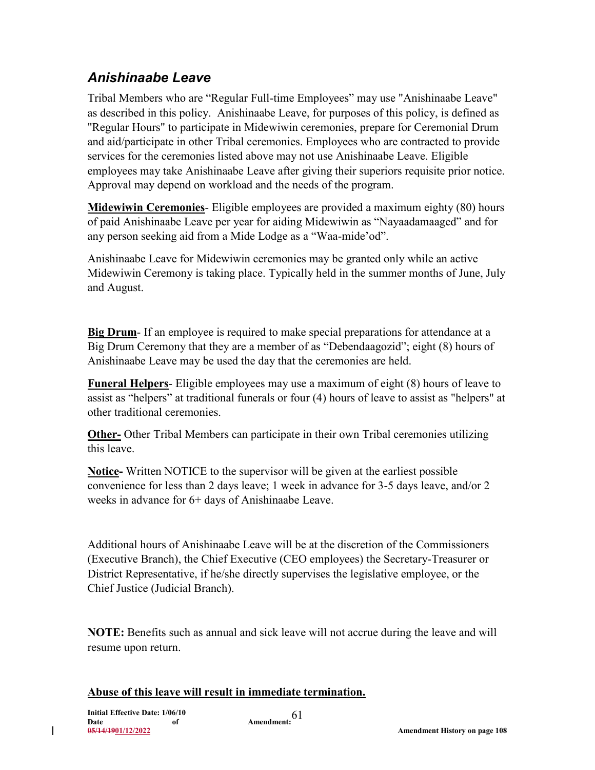# *Anishinaabe Leave*

Tribal Members who are "Regular Full-time Employees" may use "Anishinaabe Leave" as described in this policy. Anishinaabe Leave, for purposes of this policy, is defined as "Regular Hours" to participate in Midewiwin ceremonies, prepare for Ceremonial Drum and aid/participate in other Tribal ceremonies. Employees who are contracted to provide services for the ceremonies listed above may not use Anishinaabe Leave. Eligible employees may take Anishinaabe Leave after giving their superiors requisite prior notice. Approval may depend on workload and the needs of the program.

**Midewiwin Ceremonies**- Eligible employees are provided a maximum eighty (80) hours of paid Anishinaabe Leave per year for aiding Midewiwin as "Nayaadamaaged" and for any person seeking aid from a Mide Lodge as a "Waa-mide'od".

Anishinaabe Leave for Midewiwin ceremonies may be granted only while an active Midewiwin Ceremony is taking place. Typically held in the summer months of June, July and August.

**Big Drum**- If an employee is required to make special preparations for attendance at a Big Drum Ceremony that they are a member of as "Debendaagozid"; eight (8) hours of Anishinaabe Leave may be used the day that the ceremonies are held.

**Funeral Helpers**- Eligible employees may use a maximum of eight (8) hours of leave to assist as "helpers" at traditional funerals or four (4) hours of leave to assist as "helpers" at other traditional ceremonies.

**Other-** Other Tribal Members can participate in their own Tribal ceremonies utilizing this leave.

**Notice-** Written NOTICE to the supervisor will be given at the earliest possible convenience for less than 2 days leave; 1 week in advance for 3-5 days leave, and/or 2 weeks in advance for 6+ days of Anishinaabe Leave.

Additional hours of Anishinaabe Leave will be at the discretion of the Commissioners (Executive Branch), the Chief Executive (CEO employees) the Secretary-Treasurer or District Representative, if he/she directly supervises the legislative employee, or the Chief Justice (Judicial Branch).

**NOTE:** Benefits such as annual and sick leave will not accrue during the leave and will resume upon return.

#### **Abuse of this leave will result in immediate termination.**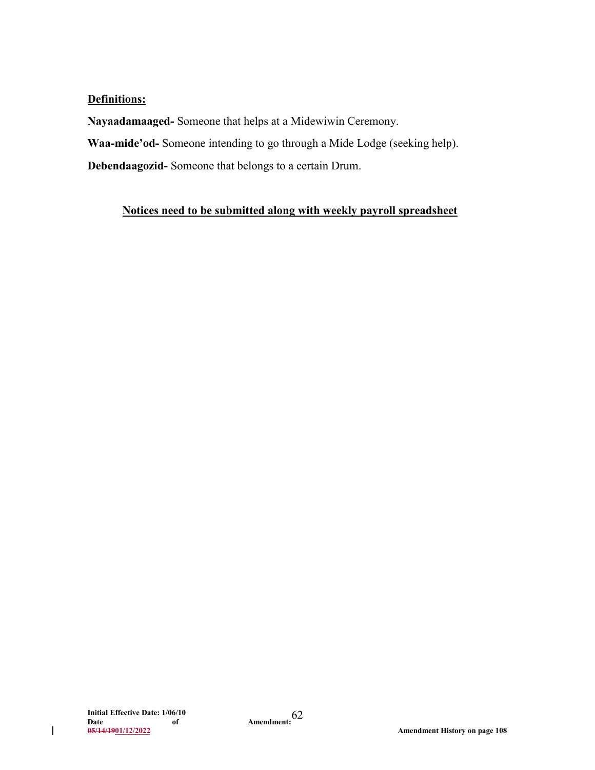#### **Definitions:**

**Nayaadamaaged-** Someone that helps at a Midewiwin Ceremony.

**Waa-mide'od-** Someone intending to go through a Mide Lodge (seeking help).

**Debendaagozid-** Someone that belongs to a certain Drum.

## **Notices need to be submitted along with weekly payroll spreadsheet**

 $\overline{\phantom{a}}$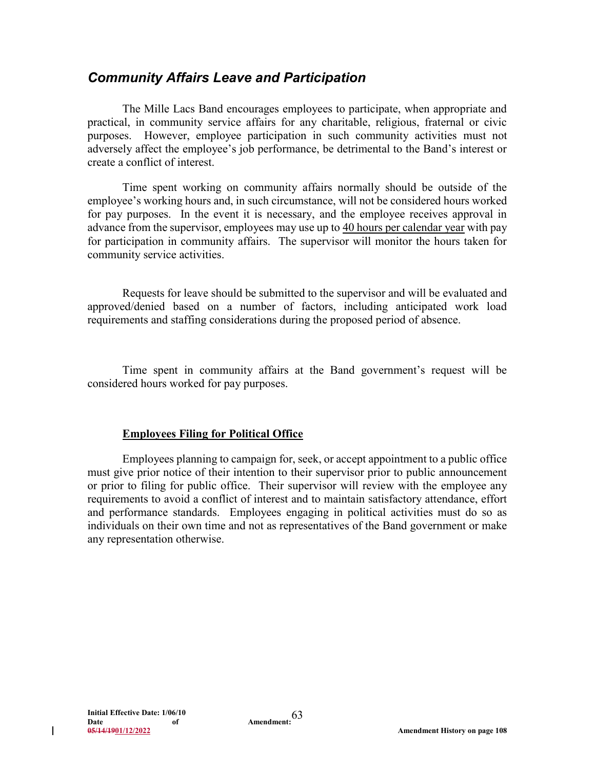### *Community Affairs Leave and Participation*

The Mille Lacs Band encourages employees to participate, when appropriate and practical, in community service affairs for any charitable, religious, fraternal or civic purposes. However, employee participation in such community activities must not adversely affect the employee's job performance, be detrimental to the Band's interest or create a conflict of interest.

Time spent working on community affairs normally should be outside of the employee's working hours and, in such circumstance, will not be considered hours worked for pay purposes. In the event it is necessary, and the employee receives approval in advance from the supervisor, employees may use up to 40 hours per calendar year with pay for participation in community affairs. The supervisor will monitor the hours taken for community service activities.

Requests for leave should be submitted to the supervisor and will be evaluated and approved/denied based on a number of factors, including anticipated work load requirements and staffing considerations during the proposed period of absence.

Time spent in community affairs at the Band government's request will be considered hours worked for pay purposes.

#### **Employees Filing for Political Office**

Employees planning to campaign for, seek, or accept appointment to a public office must give prior notice of their intention to their supervisor prior to public announcement or prior to filing for public office. Their supervisor will review with the employee any requirements to avoid a conflict of interest and to maintain satisfactory attendance, effort and performance standards. Employees engaging in political activities must do so as individuals on their own time and not as representatives of the Band government or make any representation otherwise.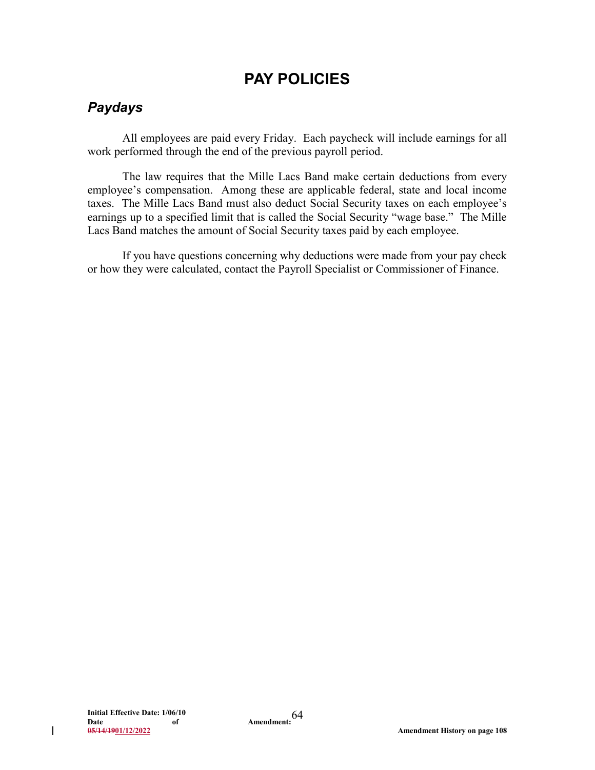# **PAY POLICIES**

# *Paydays*

All employees are paid every Friday. Each paycheck will include earnings for all work performed through the end of the previous payroll period.

The law requires that the Mille Lacs Band make certain deductions from every employee's compensation. Among these are applicable federal, state and local income taxes. The Mille Lacs Band must also deduct Social Security taxes on each employee's earnings up to a specified limit that is called the Social Security "wage base." The Mille Lacs Band matches the amount of Social Security taxes paid by each employee.

If you have questions concerning why deductions were made from your pay check or how they were calculated, contact the Payroll Specialist or Commissioner of Finance.

 $\mathbf{I}$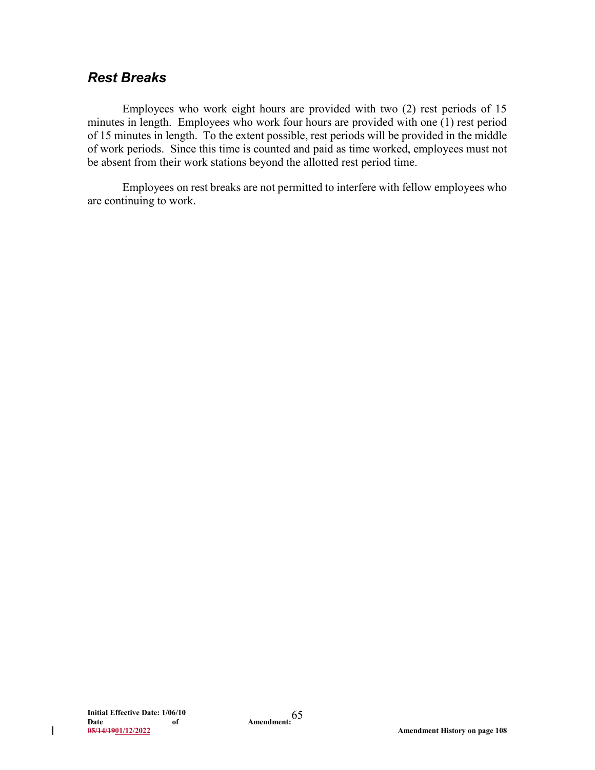# *Rest Breaks*

Employees who work eight hours are provided with two (2) rest periods of 15 minutes in length. Employees who work four hours are provided with one (1) rest period of 15 minutes in length. To the extent possible, rest periods will be provided in the middle of work periods. Since this time is counted and paid as time worked, employees must not be absent from their work stations beyond the allotted rest period time.

Employees on rest breaks are not permitted to interfere with fellow employees who are continuing to work.

 $\overline{\phantom{a}}$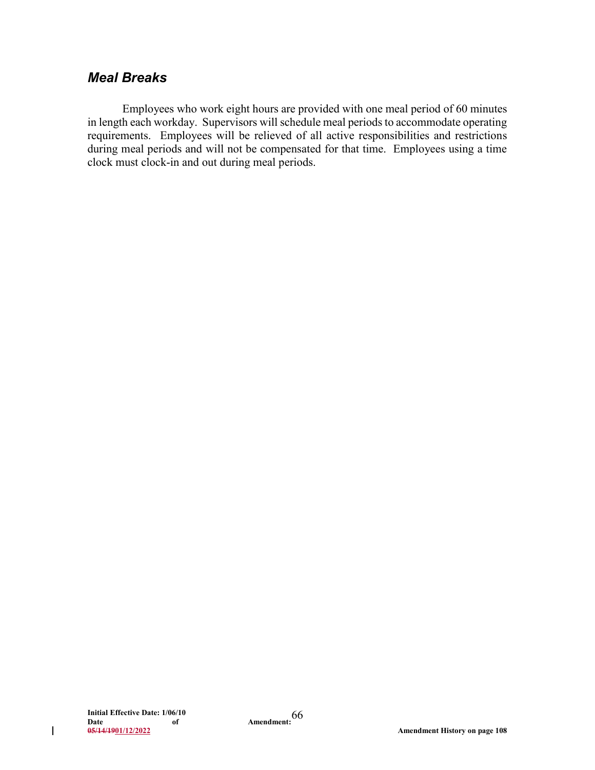# *Meal Breaks*

Employees who work eight hours are provided with one meal period of 60 minutes in length each workday. Supervisors will schedule meal periods to accommodate operating requirements. Employees will be relieved of all active responsibilities and restrictions during meal periods and will not be compensated for that time. Employees using a time clock must clock-in and out during meal periods.

 $\overline{\phantom{a}}$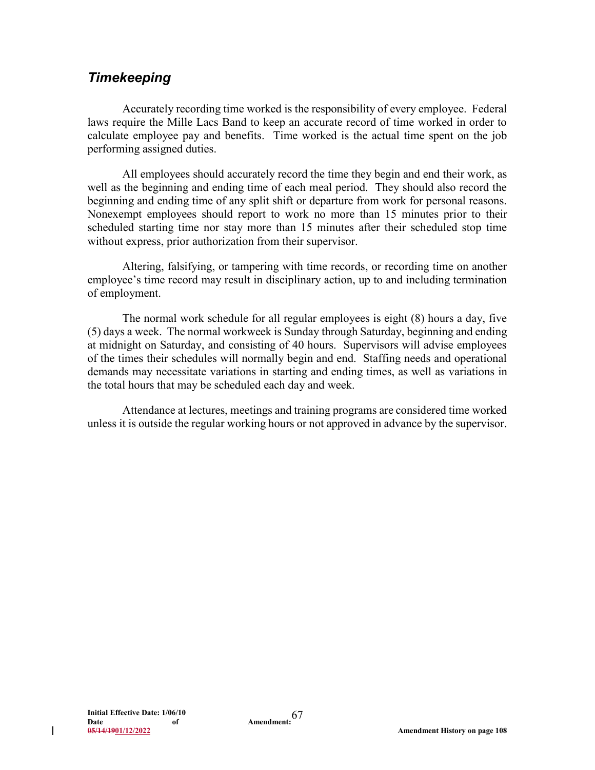# *Timekeeping*

Accurately recording time worked is the responsibility of every employee. Federal laws require the Mille Lacs Band to keep an accurate record of time worked in order to calculate employee pay and benefits. Time worked is the actual time spent on the job performing assigned duties.

All employees should accurately record the time they begin and end their work, as well as the beginning and ending time of each meal period. They should also record the beginning and ending time of any split shift or departure from work for personal reasons. Nonexempt employees should report to work no more than 15 minutes prior to their scheduled starting time nor stay more than 15 minutes after their scheduled stop time without express, prior authorization from their supervisor.

Altering, falsifying, or tampering with time records, or recording time on another employee's time record may result in disciplinary action, up to and including termination of employment.

The normal work schedule for all regular employees is eight (8) hours a day, five (5) days a week. The normal workweek is Sunday through Saturday, beginning and ending at midnight on Saturday, and consisting of 40 hours. Supervisors will advise employees of the times their schedules will normally begin and end. Staffing needs and operational demands may necessitate variations in starting and ending times, as well as variations in the total hours that may be scheduled each day and week.

Attendance at lectures, meetings and training programs are considered time worked unless it is outside the regular working hours or not approved in advance by the supervisor.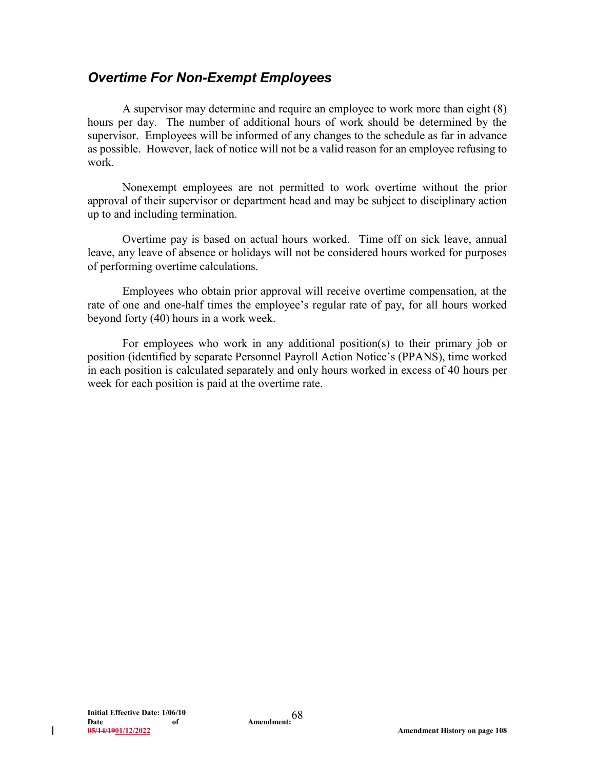# *Overtime For Non-Exempt Employees*

A supervisor may determine and require an employee to work more than eight (8) hours per day. The number of additional hours of work should be determined by the supervisor. Employees will be informed of any changes to the schedule as far in advance as possible. However, lack of notice will not be a valid reason for an employee refusing to work.

Nonexempt employees are not permitted to work overtime without the prior approval of their supervisor or department head and may be subject to disciplinary action up to and including termination.

Overtime pay is based on actual hours worked. Time off on sick leave, annual leave, any leave of absence or holidays will not be considered hours worked for purposes of performing overtime calculations.

Employees who obtain prior approval will receive overtime compensation, at the rate of one and one-half times the employee's regular rate of pay, for all hours worked beyond forty (40) hours in a work week.

For employees who work in any additional position(s) to their primary job or position (identified by separate Personnel Payroll Action Notice's (PPANS), time worked in each position is calculated separately and only hours worked in excess of 40 hours per week for each position is paid at the overtime rate.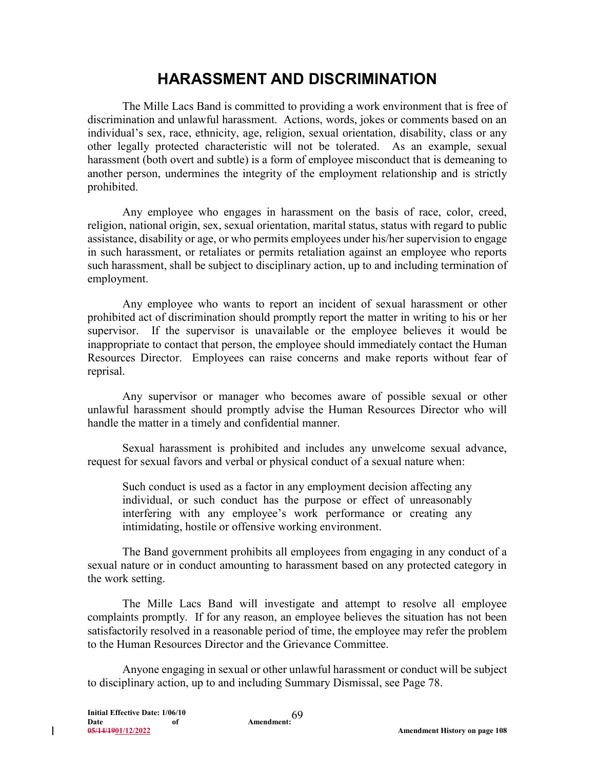## **HARASSMENT AND DISCRIMINATION**

The Mille Lacs Band is committed to providing a work environment that is free of discrimination and unlawful harassment. Actions, words, jokes or comments based on an individual's sex, race, ethnicity, age, religion, sexual orientation, disability, class or any other legally protected characteristic will not be tolerated. As an example, sexual harassment (both overt and subtle) is a form of employee misconduct that is demeaning to another person, undermines the integrity of the employment relationship and is strictly prohibited.

Any employee who engages in harassment on the basis of race, color, creed, religion, national origin, sex, sexual orientation, marital status, status with regard to public assistance, disability or age, or who permits employees under his/her supervision to engage in such harassment, or retaliates or permits retaliation against an employee who reports such harassment, shall be subject to disciplinary action, up to and including termination of employment.

Any employee who wants to report an incident of sexual harassment or other prohibited act of discrimination should promptly report the matter in writing to his or her supervisor. If the supervisor is unavailable or the employee believes it would be inappropriate to contact that person, the employee should immediately contact the Human Resources Director. Employees can raise concerns and make reports without fear of reprisal.

Any supervisor or manager who becomes aware of possible sexual or other unlawful harassment should promptly advise the Human Resources Director who will handle the matter in a timely and confidential manner.

Sexual harassment is prohibited and includes any unwelcome sexual advance, request for sexual favors and verbal or physical conduct of a sexual nature when:

Such conduct is used as a factor in any employment decision affecting any individual, or such conduct has the purpose or effect of unreasonably interfering with any employee's work performance or creating any intimidating, hostile or offensive working environment.

The Band government prohibits all employees from engaging in any conduct of a sexual nature or in conduct amounting to harassment based on any protected category in the work setting.

The Mille Lacs Band will investigate and attempt to resolve all employee complaints promptly. If for any reason, an employee believes the situation has not been satisfactorily resolved in a reasonable period of time, the employee may refer the problem to the Human Resources Director and the Grievance Committee.

Anyone engaging in sexual or other unlawful harassment or conduct will be subject to disciplinary action, up to and including Summary Dismissal, see Page 78.

l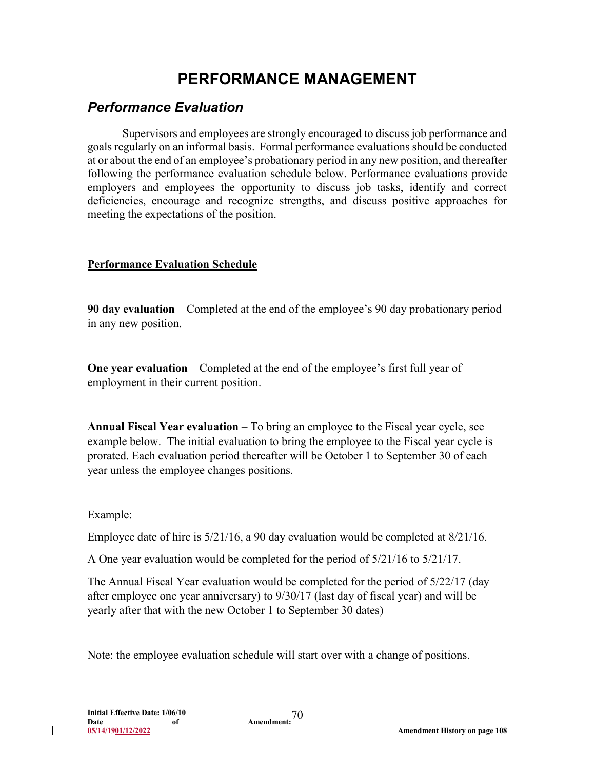# **PERFORMANCE MANAGEMENT**

## *Performance Evaluation*

Supervisors and employees are strongly encouraged to discuss job performance and goals regularly on an informal basis. Formal performance evaluations should be conducted at or about the end of an employee's probationary period in any new position, and thereafter following the performance evaluation schedule below. Performance evaluations provide employers and employees the opportunity to discuss job tasks, identify and correct deficiencies, encourage and recognize strengths, and discuss positive approaches for meeting the expectations of the position.

### **Performance Evaluation Schedule**

**90 day evaluation** – Completed at the end of the employee's 90 day probationary period in any new position.

**One year evaluation** – Completed at the end of the employee's first full year of employment in their current position.

**Annual Fiscal Year evaluation** – To bring an employee to the Fiscal year cycle, see example below. The initial evaluation to bring the employee to the Fiscal year cycle is prorated. Each evaluation period thereafter will be October 1 to September 30 of each year unless the employee changes positions.

#### Example:

Employee date of hire is 5/21/16, a 90 day evaluation would be completed at 8/21/16.

A One year evaluation would be completed for the period of 5/21/16 to 5/21/17.

The Annual Fiscal Year evaluation would be completed for the period of 5/22/17 (day after employee one year anniversary) to 9/30/17 (last day of fiscal year) and will be yearly after that with the new October 1 to September 30 dates)

Note: the employee evaluation schedule will start over with a change of positions.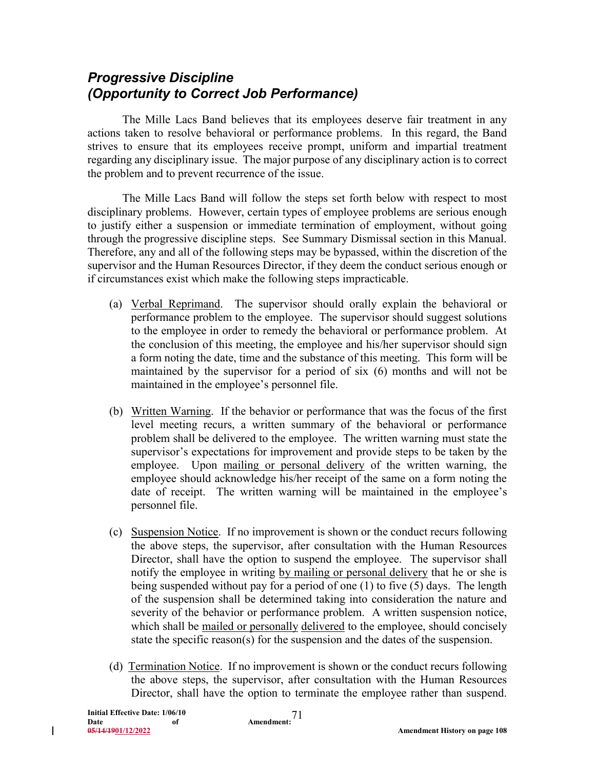## *Progressive Discipline (Opportunity to Correct Job Performance)*

The Mille Lacs Band believes that its employees deserve fair treatment in any actions taken to resolve behavioral or performance problems. In this regard, the Band strives to ensure that its employees receive prompt, uniform and impartial treatment regarding any disciplinary issue. The major purpose of any disciplinary action is to correct the problem and to prevent recurrence of the issue.

The Mille Lacs Band will follow the steps set forth below with respect to most disciplinary problems. However, certain types of employee problems are serious enough to justify either a suspension or immediate termination of employment, without going through the progressive discipline steps. See Summary Dismissal section in this Manual. Therefore, any and all of the following steps may be bypassed, within the discretion of the supervisor and the Human Resources Director, if they deem the conduct serious enough or if circumstances exist which make the following steps impracticable.

- (a) Verbal Reprimand. The supervisor should orally explain the behavioral or performance problem to the employee. The supervisor should suggest solutions to the employee in order to remedy the behavioral or performance problem. At the conclusion of this meeting, the employee and his/her supervisor should sign a form noting the date, time and the substance of this meeting.This form will be maintained by the supervisor for a period of six (6) months and will not be maintained in the employee's personnel file.
- (b) Written Warning. If the behavior or performance that was the focus of the first level meeting recurs, a written summary of the behavioral or performance problem shall be delivered to the employee. The written warning must state the supervisor's expectations for improvement and provide steps to be taken by the employee. Upon mailing or personal delivery of the written warning, the employee should acknowledge his/her receipt of the same on a form noting the date of receipt. The written warning will be maintained in the employee's personnel file.
- (c) Suspension Notice. If no improvement is shown or the conduct recurs following the above steps, the supervisor, after consultation with the Human Resources Director, shall have the option to suspend the employee. The supervisor shall notify the employee in writing by mailing or personal delivery that he or she is being suspended without pay for a period of one (1) to five (5) days. The length of the suspension shall be determined taking into consideration the nature and severity of the behavior or performance problem. A written suspension notice, which shall be mailed or personally delivered to the employee, should concisely state the specific reason(s) for the suspension and the dates of the suspension.
- (d) Termination Notice. If no improvement is shown or the conduct recurs following the above steps, the supervisor, after consultation with the Human Resources Director, shall have the option to terminate the employee rather than suspend.

| Initial Effective Date: 1/06/10 |    |            |
|---------------------------------|----|------------|
| Date                            | of | Amendment: |
| 05/14/1901/12/2022              |    |            |

 $\overline{\phantom{a}}$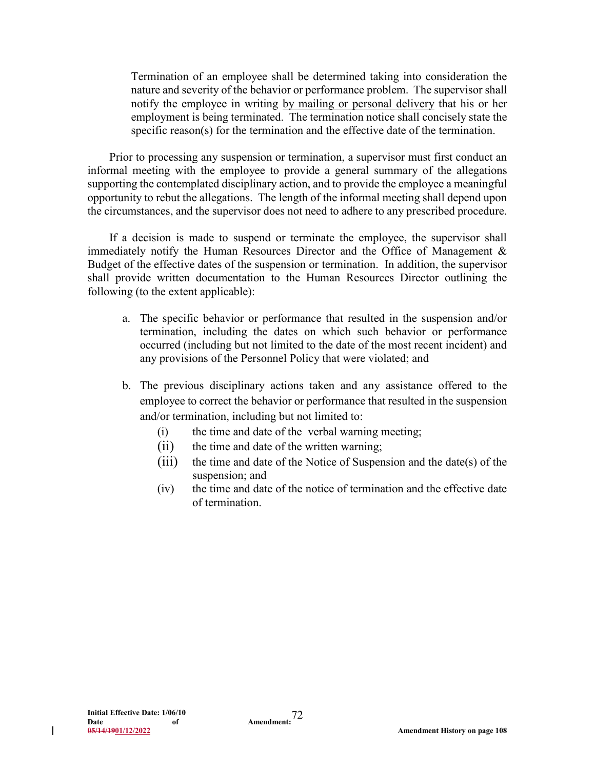Termination of an employee shall be determined taking into consideration the nature and severity of the behavior or performance problem. The supervisor shall notify the employee in writing by mailing or personal delivery that his or her employment is being terminated. The termination notice shall concisely state the specific reason(s) for the termination and the effective date of the termination.

Prior to processing any suspension or termination, a supervisor must first conduct an informal meeting with the employee to provide a general summary of the allegations supporting the contemplated disciplinary action, and to provide the employee a meaningful opportunity to rebut the allegations. The length of the informal meeting shall depend upon the circumstances, and the supervisor does not need to adhere to any prescribed procedure.

If a decision is made to suspend or terminate the employee, the supervisor shall immediately notify the Human Resources Director and the Office of Management & Budget of the effective dates of the suspension or termination. In addition, the supervisor shall provide written documentation to the Human Resources Director outlining the following (to the extent applicable):

- a. The specific behavior or performance that resulted in the suspension and/or termination, including the dates on which such behavior or performance occurred (including but not limited to the date of the most recent incident) and any provisions of the Personnel Policy that were violated; and
- b. The previous disciplinary actions taken and any assistance offered to the employee to correct the behavior or performance that resulted in the suspension and/or termination, including but not limited to:
	- (i) the time and date of the verbal warning meeting;
	- (ii) the time and date of the written warning;
	- (iii) the time and date of the Notice of Suspension and the date(s) of the suspension; and
	- (iv) the time and date of the notice of termination and the effective date of termination.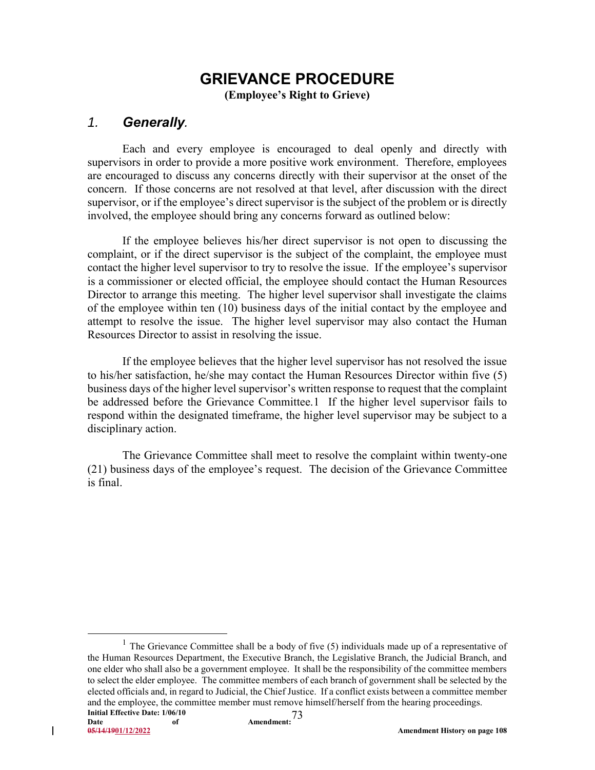# **GRIEVANCE PROCEDURE**

**(Employee's Right to Grieve)**

#### *1. Generally.*

Each and every employee is encouraged to deal openly and directly with supervisors in order to provide a more positive work environment. Therefore, employees are encouraged to discuss any concerns directly with their supervisor at the onset of the concern. If those concerns are not resolved at that level, after discussion with the direct supervisor, or if the employee's direct supervisor is the subject of the problem or is directly involved, the employee should bring any concerns forward as outlined below:

If the employee believes his/her direct supervisor is not open to discussing the complaint, or if the direct supervisor is the subject of the complaint, the employee must contact the higher level supervisor to try to resolve the issue. If the employee's supervisor is a commissioner or elected official, the employee should contact the Human Resources Director to arrange this meeting. The higher level supervisor shall investigate the claims of the employee within ten (10) business days of the initial contact by the employee and attempt to resolve the issue. The higher level supervisor may also contact the Human Resources Director to assist in resolving the issue.

If the employee believes that the higher level supervisor has not resolved the issue to his/her satisfaction, he/she may contact the Human Resources Director within five (5) business days of the higher level supervisor's written response to request that the complaint be addressed before the Grievance Committee.1 If the higher level supervisor fails to respond within the designated timeframe, the higher level supervisor may be subject to a disciplinary action.

The Grievance Committee shall meet to resolve the complaint within twenty-one (21) business days of the employee's request. The decision of the Grievance Committee is final.

 $\overline{\phantom{a}}$ 

**Initial Effective Date: 1/06/10**<br>Date of <sup>1</sup> The Grievance Committee shall be a body of five  $(5)$  individuals made up of a representative of the Human Resources Department, the Executive Branch, the Legislative Branch, the Judicial Branch, and one elder who shall also be a government employee. It shall be the responsibility of the committee members to select the elder employee. The committee members of each branch of government shall be selected by the elected officials and, in regard to Judicial, the Chief Justice. If a conflict exists between a committee member and the employee, the committee member must remove himself/herself from the hearing proceedings.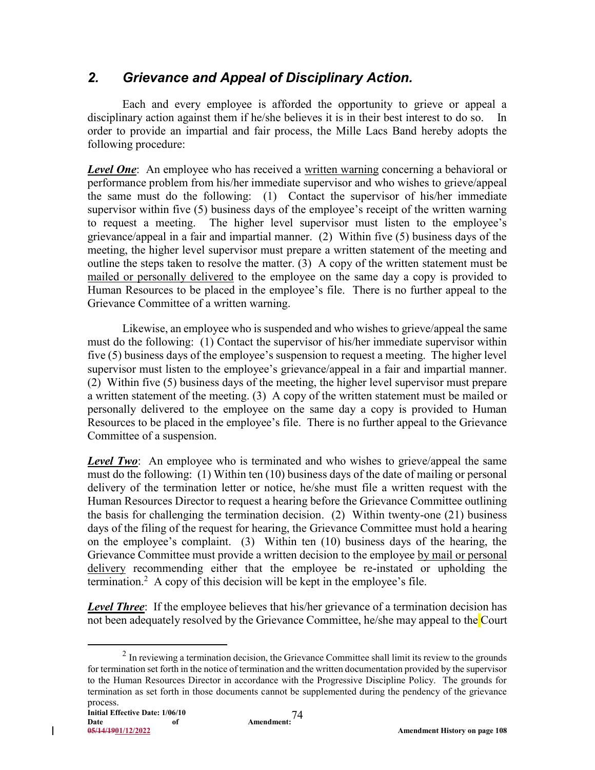## *2. Grievance and Appeal of Disciplinary Action.*

Each and every employee is afforded the opportunity to grieve or appeal a disciplinary action against them if he/she believes it is in their best interest to do so. In order to provide an impartial and fair process, the Mille Lacs Band hereby adopts the following procedure:

*Level One*: An employee who has received a written warning concerning a behavioral or performance problem from his/her immediate supervisor and who wishes to grieve/appeal the same must do the following: (1) Contact the supervisor of his/her immediate supervisor within five (5) business days of the employee's receipt of the written warning to request a meeting. The higher level supervisor must listen to the employee's grievance/appeal in a fair and impartial manner. (2) Within five (5) business days of the meeting, the higher level supervisor must prepare a written statement of the meeting and outline the steps taken to resolve the matter. (3) A copy of the written statement must be mailed or personally delivered to the employee on the same day a copy is provided to Human Resources to be placed in the employee's file. There is no further appeal to the Grievance Committee of a written warning.

Likewise, an employee who is suspended and who wishes to grieve/appeal the same must do the following: (1) Contact the supervisor of his/her immediate supervisor within five (5) business days of the employee's suspension to request a meeting. The higher level supervisor must listen to the employee's grievance/appeal in a fair and impartial manner. (2) Within five (5) business days of the meeting, the higher level supervisor must prepare a written statement of the meeting. (3) A copy of the written statement must be mailed or personally delivered to the employee on the same day a copy is provided to Human Resources to be placed in the employee's file. There is no further appeal to the Grievance Committee of a suspension.

**Level Two**: An employee who is terminated and who wishes to grieve/appeal the same must do the following: (1) Within ten (10) business days of the date of mailing or personal delivery of the termination letter or notice, he/she must file a written request with the Human Resources Director to request a hearing before the Grievance Committee outlining the basis for challenging the termination decision. (2) Within twenty-one (21) business days of the filing of the request for hearing, the Grievance Committee must hold a hearing on the employee's complaint. (3) Within ten (10) business days of the hearing, the Grievance Committee must provide a written decision to the employee by mail or personal delivery recommending either that the employee be re-instated or upholding the termination.<sup>2</sup> A copy of this decision will be kept in the employee's file.

*Level Three*: If the employee believes that his/her grievance of a termination decision has not been adequately resolved by the Grievance Committee, he/she may appeal to the Court

l

 $2$  In reviewing a termination decision, the Grievance Committee shall limit its review to the grounds for termination set forth in the notice of termination and the written documentation provided by the supervisor to the Human Resources Director in accordance with the Progressive Discipline Policy. The grounds for termination as set forth in those documents cannot be supplemented during the pendency of the grievance process.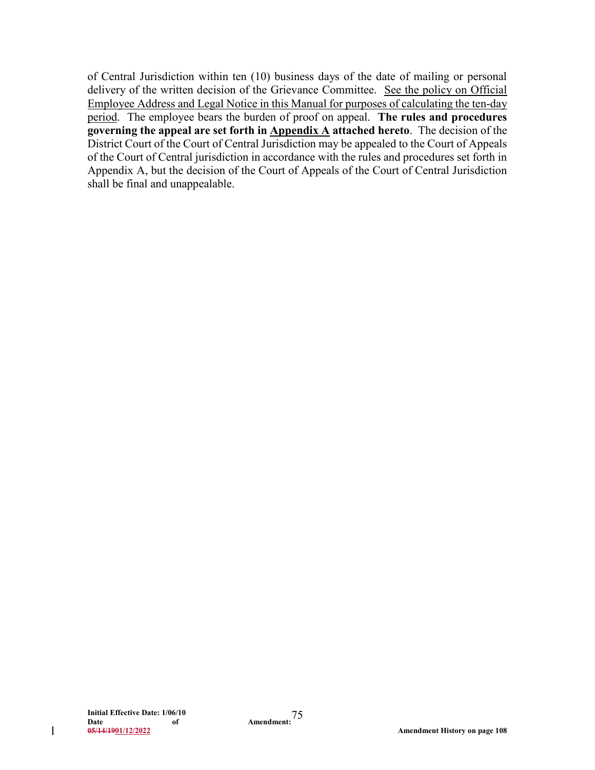of Central Jurisdiction within ten (10) business days of the date of mailing or personal delivery of the written decision of the Grievance Committee. See the policy on Official Employee Address and Legal Notice in this Manual for purposes of calculating the ten-day period. The employee bears the burden of proof on appeal. **The rules and procedures governing the appeal are set forth in Appendix A attached hereto**. The decision of the District Court of the Court of Central Jurisdiction may be appealed to the Court of Appeals of the Court of Central jurisdiction in accordance with the rules and procedures set forth in Appendix A, but the decision of the Court of Appeals of the Court of Central Jurisdiction shall be final and unappealable.

 $\mathbf{I}$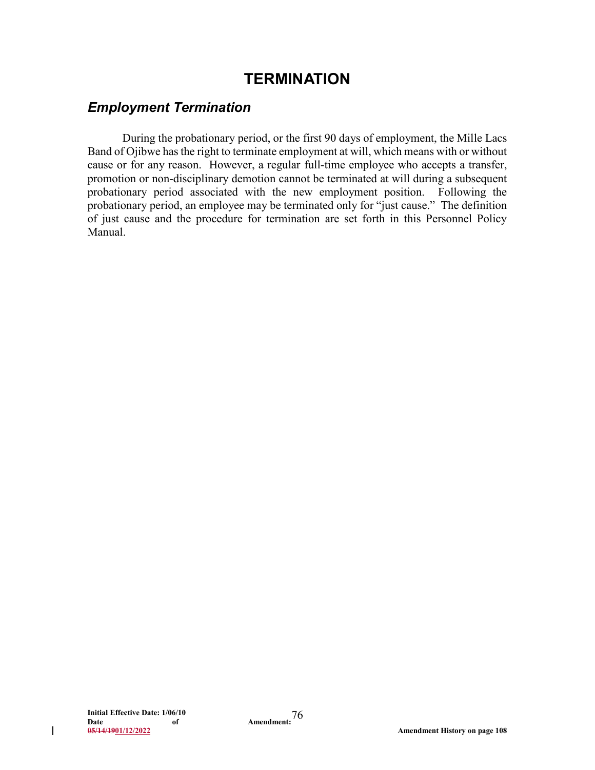# **TERMINATION**

### *Employment Termination*

During the probationary period, or the first 90 days of employment, the Mille Lacs Band of Ojibwe has the right to terminate employment at will, which means with or without cause or for any reason. However, a regular full-time employee who accepts a transfer, promotion or non-disciplinary demotion cannot be terminated at will during a subsequent probationary period associated with the new employment position. Following the probationary period, an employee may be terminated only for "just cause." The definition of just cause and the procedure for termination are set forth in this Personnel Policy Manual.

 $\overline{\phantom{a}}$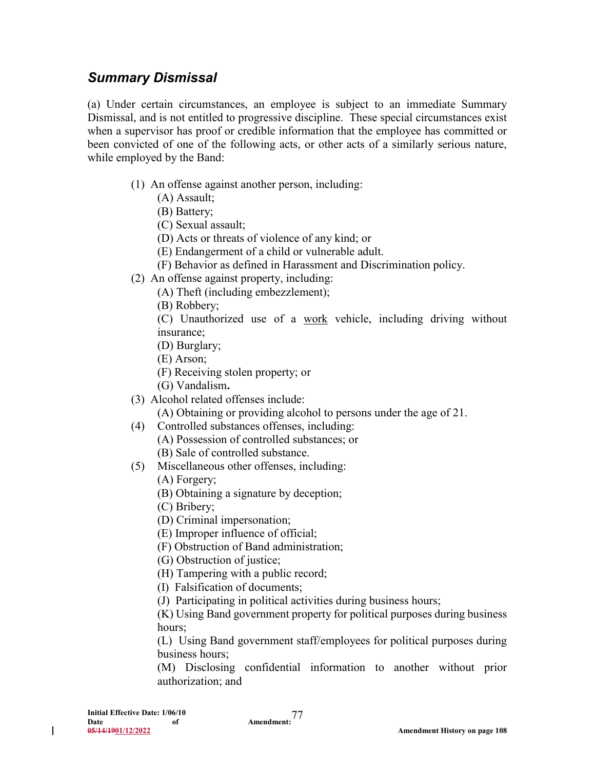### *Summary Dismissal*

(a) Under certain circumstances, an employee is subject to an immediate Summary Dismissal, and is not entitled to progressive discipline. These special circumstances exist when a supervisor has proof or credible information that the employee has committed or been convicted of one of the following acts, or other acts of a similarly serious nature, while employed by the Band:

- (1) An offense against another person, including:
	- (A) Assault;
	- (B) Battery;
	- (C) Sexual assault;
	- (D) Acts or threats of violence of any kind; or
	- (E) Endangerment of a child or vulnerable adult.
	- (F) Behavior as defined in Harassment and Discrimination policy.
- (2) An offense against property, including:
	- (A) Theft (including embezzlement);
	- (B) Robbery;
	- (C) Unauthorized use of a work vehicle, including driving without insurance;
	- (D) Burglary;
	- (E) Arson;
	- (F) Receiving stolen property; or
	- (G) Vandalism**.**
- (3) Alcohol related offenses include:
	- (A) Obtaining or providing alcohol to persons under the age of 21.
- (4) Controlled substances offenses, including:
	- (A) Possession of controlled substances; or
	- (B) Sale of controlled substance.
- (5) Miscellaneous other offenses, including:
	- (A) Forgery;
	- (B) Obtaining a signature by deception;
	- (C) Bribery;
	- (D) Criminal impersonation;
	- (E) Improper influence of official;
	- (F) Obstruction of Band administration;
	- (G) Obstruction of justice;
	- (H) Tampering with a public record;
	- (I) Falsification of documents;
	- (J) Participating in political activities during business hours;
	- (K) Using Band government property for political purposes during business hours;

(L) Using Band government staff/employees for political purposes during business hours;

(M) Disclosing confidential information to another without prior authorization; and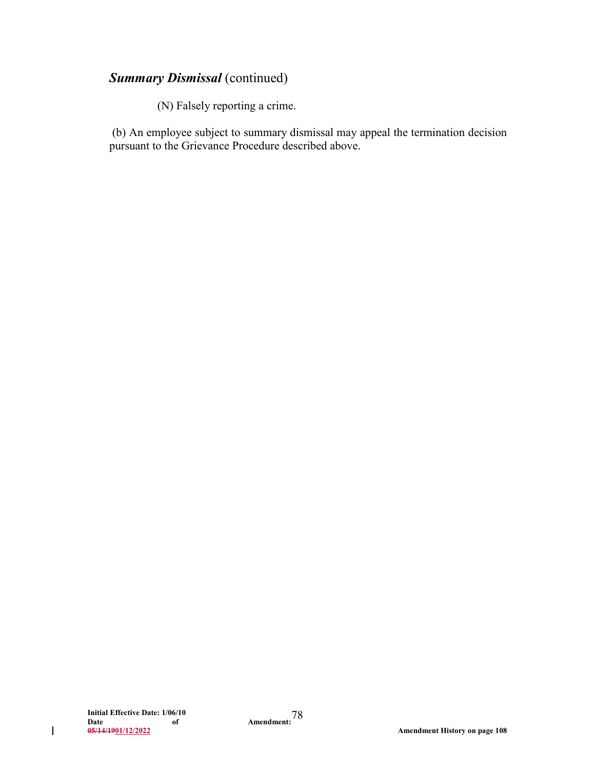# *Summary Dismissal* (continued)

(N) Falsely reporting a crime.

(b) An employee subject to summary dismissal may appeal the termination decision pursuant to the Grievance Procedure described above.

 $\overline{\phantom{a}}$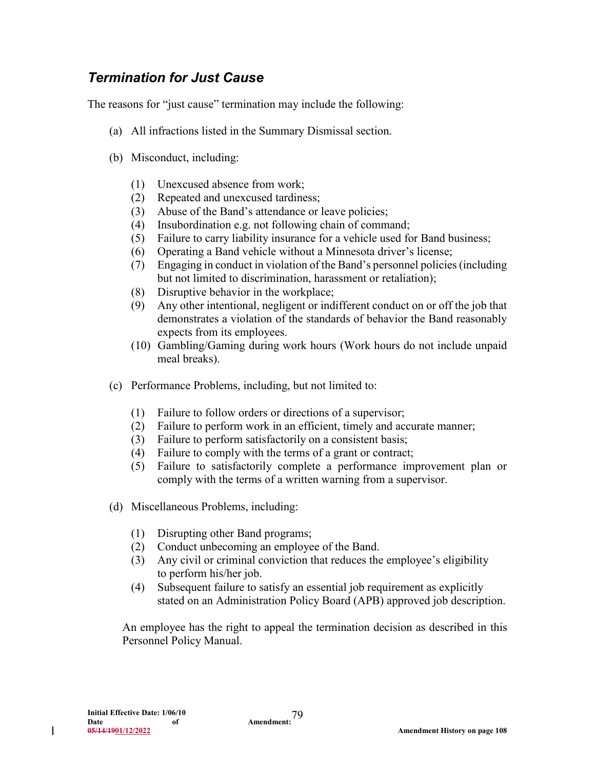## *Termination for Just Cause*

The reasons for "just cause" termination may include the following:

- (a) All infractions listed in the Summary Dismissal section.
- (b) Misconduct, including:
	- (1) Unexcused absence from work;
	- (2) Repeated and unexcused tardiness;
	- (3) Abuse of the Band's attendance or leave policies;
	- (4) Insubordination e.g. not following chain of command;
	- (5) Failure to carry liability insurance for a vehicle used for Band business;
	- (6) Operating a Band vehicle without a Minnesota driver's license;
	- (7) Engaging in conduct in violation of the Band's personnel policies (including but not limited to discrimination, harassment or retaliation);
	- (8) Disruptive behavior in the workplace;
	- (9) Any other intentional, negligent or indifferent conduct on or off the job that demonstrates a violation of the standards of behavior the Band reasonably expects from its employees.
	- (10) Gambling/Gaming during work hours (Work hours do not include unpaid meal breaks).
- (c) Performance Problems, including, but not limited to:
	- (1) Failure to follow orders or directions of a supervisor;
	- (2) Failure to perform work in an efficient, timely and accurate manner;
	- (3) Failure to perform satisfactorily on a consistent basis;
	- (4) Failure to comply with the terms of a grant or contract;
	- (5) Failure to satisfactorily complete a performance improvement plan or comply with the terms of a written warning from a supervisor.
- (d) Miscellaneous Problems, including:
	- (1) Disrupting other Band programs;
	- (2) Conduct unbecoming an employee of the Band.
	- (3) Any civil or criminal conviction that reduces the employee's eligibility to perform his/her job.
	- (4) Subsequent failure to satisfy an essential job requirement as explicitly stated on an Administration Policy Board (APB) approved job description.

An employee has the right to appeal the termination decision as described in this Personnel Policy Manual.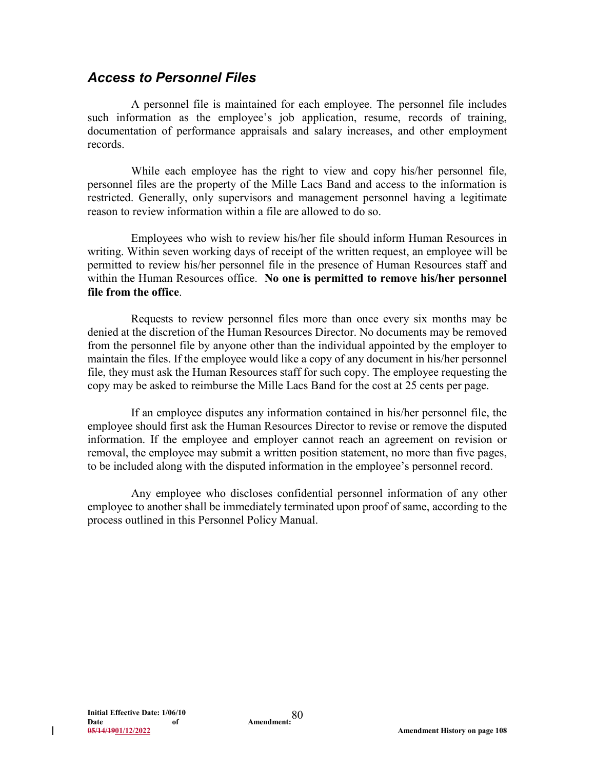### *Access to Personnel Files*

A personnel file is maintained for each employee. The personnel file includes such information as the employee's job application, resume, records of training, documentation of performance appraisals and salary increases, and other employment records.

While each employee has the right to view and copy his/her personnel file, personnel files are the property of the Mille Lacs Band and access to the information is restricted. Generally, only supervisors and management personnel having a legitimate reason to review information within a file are allowed to do so.

Employees who wish to review his/her file should inform Human Resources in writing. Within seven working days of receipt of the written request, an employee will be permitted to review his/her personnel file in the presence of Human Resources staff and within the Human Resources office. **No one is permitted to remove his/her personnel file from the office**.

Requests to review personnel files more than once every six months may be denied at the discretion of the Human Resources Director. No documents may be removed from the personnel file by anyone other than the individual appointed by the employer to maintain the files. If the employee would like a copy of any document in his/her personnel file, they must ask the Human Resources staff for such copy. The employee requesting the copy may be asked to reimburse the Mille Lacs Band for the cost at 25 cents per page.

If an employee disputes any information contained in his/her personnel file, the employee should first ask the Human Resources Director to revise or remove the disputed information. If the employee and employer cannot reach an agreement on revision or removal, the employee may submit a written position statement, no more than five pages, to be included along with the disputed information in the employee's personnel record.

Any employee who discloses confidential personnel information of any other employee to another shall be immediately terminated upon proof of same, according to the process outlined in this Personnel Policy Manual.

l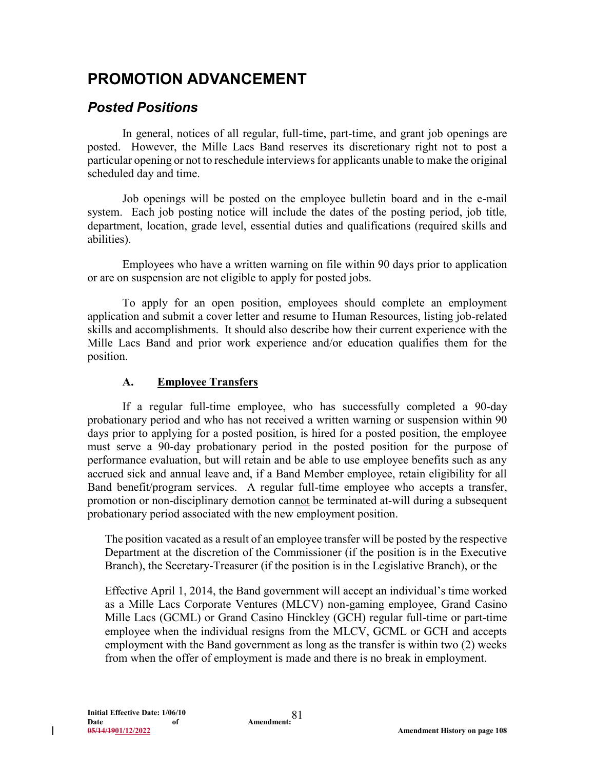# **PROMOTION ADVANCEMENT**

## *Posted Positions*

In general, notices of all regular, full-time, part-time, and grant job openings are posted. However, the Mille Lacs Band reserves its discretionary right not to post a particular opening or not to reschedule interviews for applicants unable to make the original scheduled day and time.

Job openings will be posted on the employee bulletin board and in the e-mail system. Each job posting notice will include the dates of the posting period, job title, department, location, grade level, essential duties and qualifications (required skills and abilities).

Employees who have a written warning on file within 90 days prior to application or are on suspension are not eligible to apply for posted jobs.

To apply for an open position, employees should complete an employment application and submit a cover letter and resume to Human Resources, listing job-related skills and accomplishments. It should also describe how their current experience with the Mille Lacs Band and prior work experience and/or education qualifies them for the position.

### **A. Employee Transfers**

If a regular full-time employee, who has successfully completed a 90-day probationary period and who has not received a written warning or suspension within 90 days prior to applying for a posted position, is hired for a posted position, the employee must serve a 90-day probationary period in the posted position for the purpose of performance evaluation, but will retain and be able to use employee benefits such as any accrued sick and annual leave and, if a Band Member employee, retain eligibility for all Band benefit/program services. A regular full-time employee who accepts a transfer, promotion or non-disciplinary demotion cannot be terminated at-will during a subsequent probationary period associated with the new employment position.

The position vacated as a result of an employee transfer will be posted by the respective Department at the discretion of the Commissioner (if the position is in the Executive Branch), the Secretary-Treasurer (if the position is in the Legislative Branch), or the

Effective April 1, 2014, the Band government will accept an individual's time worked as a Mille Lacs Corporate Ventures (MLCV) non-gaming employee, Grand Casino Mille Lacs (GCML) or Grand Casino Hinckley (GCH) regular full-time or part-time employee when the individual resigns from the MLCV, GCML or GCH and accepts employment with the Band government as long as the transfer is within two (2) weeks from when the offer of employment is made and there is no break in employment.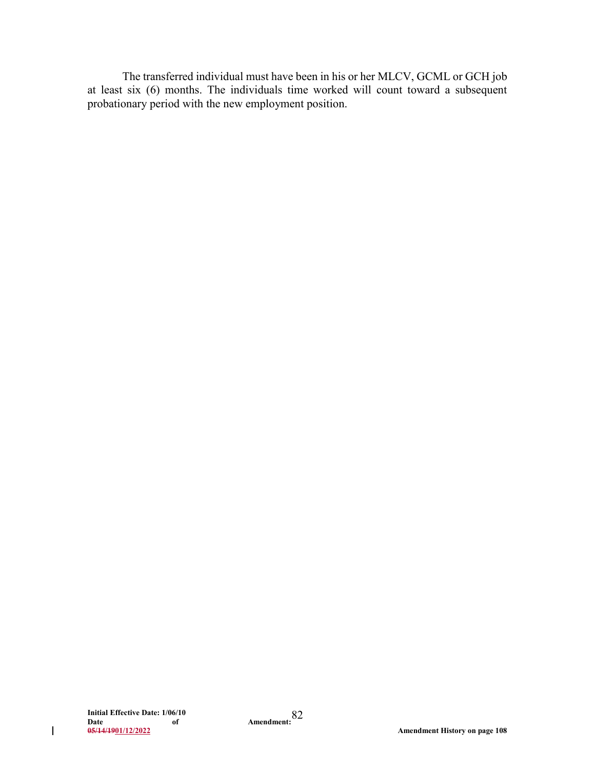The transferred individual must have been in his or her MLCV, GCML or GCH job at least six (6) months. The individuals time worked will count toward a subsequent probationary period with the new employment position.

 $\mathbf I$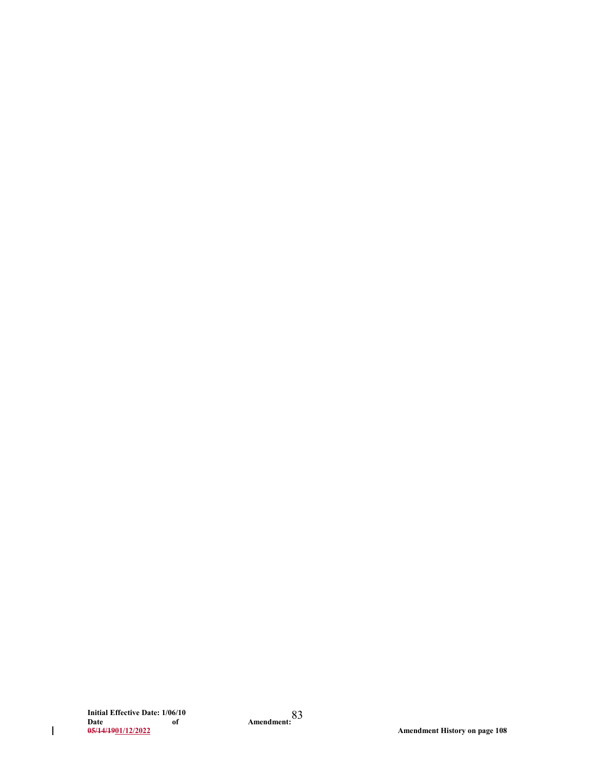$\mathbf{l}$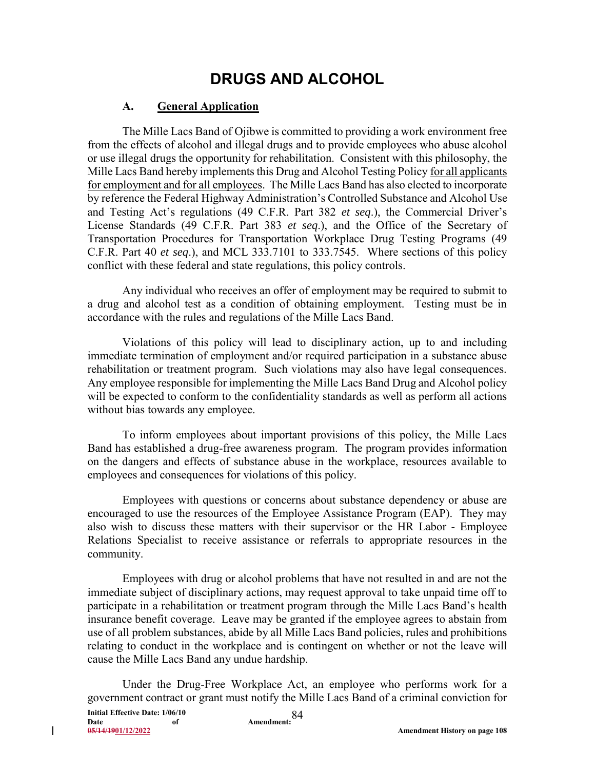# **DRUGS AND ALCOHOL**

#### **A. General Application**

The Mille Lacs Band of Ojibwe is committed to providing a work environment free from the effects of alcohol and illegal drugs and to provide employees who abuse alcohol or use illegal drugs the opportunity for rehabilitation. Consistent with this philosophy, the Mille Lacs Band hereby implements this Drug and Alcohol Testing Policy for all applicants for employment and for all employees. The Mille Lacs Band has also elected to incorporate by reference the Federal Highway Administration's Controlled Substance and Alcohol Use and Testing Act's regulations (49 C.F.R. Part 382 *et seq*.), the Commercial Driver's License Standards (49 C.F.R. Part 383 *et seq*.), and the Office of the Secretary of Transportation Procedures for Transportation Workplace Drug Testing Programs (49 C.F.R. Part 40 *et seq*.), and MCL 333.7101 to 333.7545. Where sections of this policy conflict with these federal and state regulations, this policy controls.

Any individual who receives an offer of employment may be required to submit to a drug and alcohol test as a condition of obtaining employment. Testing must be in accordance with the rules and regulations of the Mille Lacs Band.

Violations of this policy will lead to disciplinary action, up to and including immediate termination of employment and/or required participation in a substance abuse rehabilitation or treatment program. Such violations may also have legal consequences. Any employee responsible for implementing the Mille Lacs Band Drug and Alcohol policy will be expected to conform to the confidentiality standards as well as perform all actions without bias towards any employee.

To inform employees about important provisions of this policy, the Mille Lacs Band has established a drug-free awareness program. The program provides information on the dangers and effects of substance abuse in the workplace, resources available to employees and consequences for violations of this policy.

Employees with questions or concerns about substance dependency or abuse are encouraged to use the resources of the Employee Assistance Program (EAP). They may also wish to discuss these matters with their supervisor or the HR Labor - Employee Relations Specialist to receive assistance or referrals to appropriate resources in the community.

Employees with drug or alcohol problems that have not resulted in and are not the immediate subject of disciplinary actions, may request approval to take unpaid time off to participate in a rehabilitation or treatment program through the Mille Lacs Band's health insurance benefit coverage. Leave may be granted if the employee agrees to abstain from use of all problem substances, abide by all Mille Lacs Band policies, rules and prohibitions relating to conduct in the workplace and is contingent on whether or not the leave will cause the Mille Lacs Band any undue hardship.

**Initial Effective Date: 1/06/10 Date of Amendment:**  84 Under the Drug-Free Workplace Act, an employee who performs work for a government contract or grant must notify the Mille Lacs Band of a criminal conviction for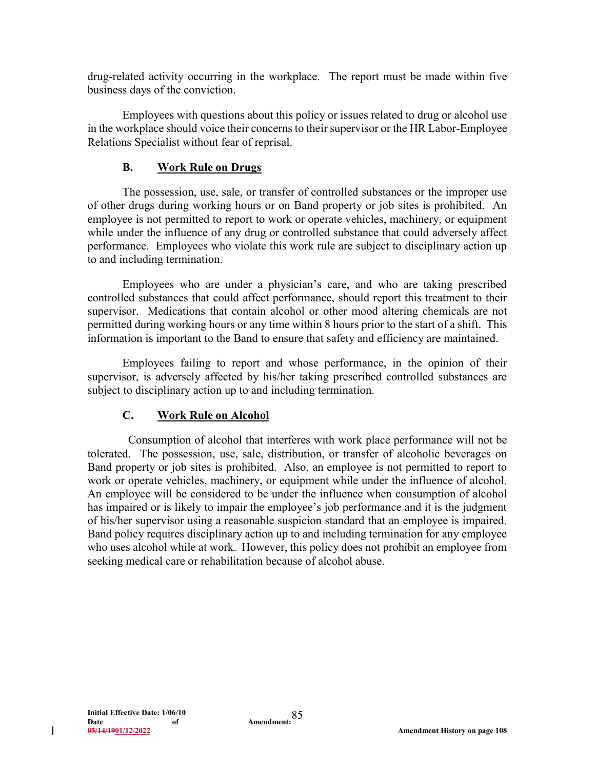drug-related activity occurring in the workplace. The report must be made within five business days of the conviction.

Employees with questions about this policy or issues related to drug or alcohol use in the workplace should voice their concerns to their supervisor or the HR Labor-Employee Relations Specialist without fear of reprisal.

#### **B. Work Rule on Drugs**

The possession, use, sale, or transfer of controlled substances or the improper use of other drugs during working hours or on Band property or job sites is prohibited. An employee is not permitted to report to work or operate vehicles, machinery, or equipment while under the influence of any drug or controlled substance that could adversely affect performance. Employees who violate this work rule are subject to disciplinary action up to and including termination.

Employees who are under a physician's care, and who are taking prescribed controlled substances that could affect performance, should report this treatment to their supervisor. Medications that contain alcohol or other mood altering chemicals are not permitted during working hours or any time within 8 hours prior to the start of a shift. This information is important to the Band to ensure that safety and efficiency are maintained.

Employees failing to report and whose performance, in the opinion of their supervisor, is adversely affected by his/her taking prescribed controlled substances are subject to disciplinary action up to and including termination.

#### **C. Work Rule on Alcohol**

 Consumption of alcohol that interferes with work place performance will not be tolerated. The possession, use, sale, distribution, or transfer of alcoholic beverages on Band property or job sites is prohibited. Also, an employee is not permitted to report to work or operate vehicles, machinery, or equipment while under the influence of alcohol. An employee will be considered to be under the influence when consumption of alcohol has impaired or is likely to impair the employee's job performance and it is the judgment of his/her supervisor using a reasonable suspicion standard that an employee is impaired. Band policy requires disciplinary action up to and including termination for any employee who uses alcohol while at work. However, this policy does not prohibit an employee from seeking medical care or rehabilitation because of alcohol abuse.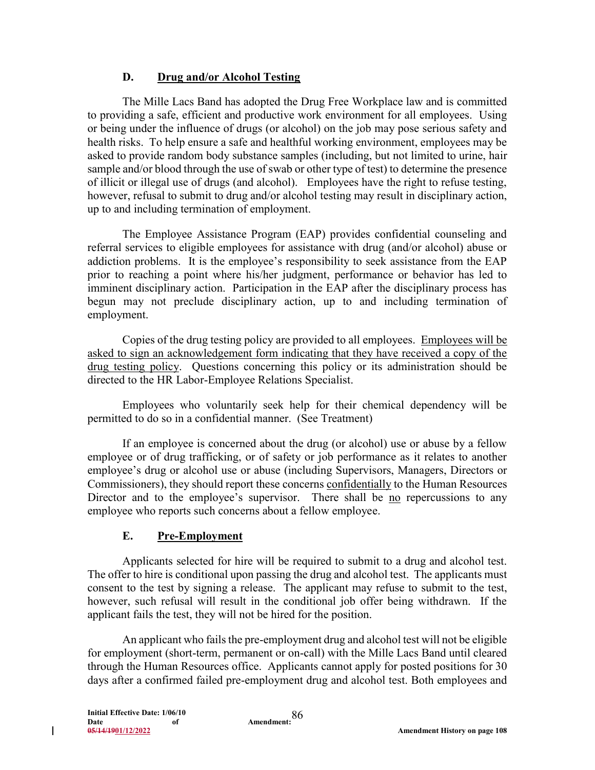#### **D. Drug and/or Alcohol Testing**

The Mille Lacs Band has adopted the Drug Free Workplace law and is committed to providing a safe, efficient and productive work environment for all employees. Using or being under the influence of drugs (or alcohol) on the job may pose serious safety and health risks. To help ensure a safe and healthful working environment, employees may be asked to provide random body substance samples (including, but not limited to urine, hair sample and/or blood through the use of swab or other type of test) to determine the presence of illicit or illegal use of drugs (and alcohol). Employees have the right to refuse testing, however, refusal to submit to drug and/or alcohol testing may result in disciplinary action, up to and including termination of employment.

The Employee Assistance Program (EAP) provides confidential counseling and referral services to eligible employees for assistance with drug (and/or alcohol) abuse or addiction problems. It is the employee's responsibility to seek assistance from the EAP prior to reaching a point where his/her judgment, performance or behavior has led to imminent disciplinary action. Participation in the EAP after the disciplinary process has begun may not preclude disciplinary action, up to and including termination of employment.

Copies of the drug testing policy are provided to all employees. Employees will be asked to sign an acknowledgement form indicating that they have received a copy of the drug testing policy. Questions concerning this policy or its administration should be directed to the HR Labor-Employee Relations Specialist.

Employees who voluntarily seek help for their chemical dependency will be permitted to do so in a confidential manner. (See Treatment)

If an employee is concerned about the drug (or alcohol) use or abuse by a fellow employee or of drug trafficking, or of safety or job performance as it relates to another employee's drug or alcohol use or abuse (including Supervisors, Managers, Directors or Commissioners), they should report these concerns confidentially to the Human Resources Director and to the employee's supervisor. There shall be no repercussions to any employee who reports such concerns about a fellow employee.

#### **E. Pre-Employment**

Applicants selected for hire will be required to submit to a drug and alcohol test. The offer to hire is conditional upon passing the drug and alcohol test. The applicants must consent to the test by signing a release. The applicant may refuse to submit to the test, however, such refusal will result in the conditional job offer being withdrawn. If the applicant fails the test, they will not be hired for the position.

An applicant who fails the pre-employment drug and alcohol test will not be eligible for employment (short-term, permanent or on-call) with the Mille Lacs Band until cleared through the Human Resources office. Applicants cannot apply for posted positions for 30 days after a confirmed failed pre-employment drug and alcohol test. Both employees and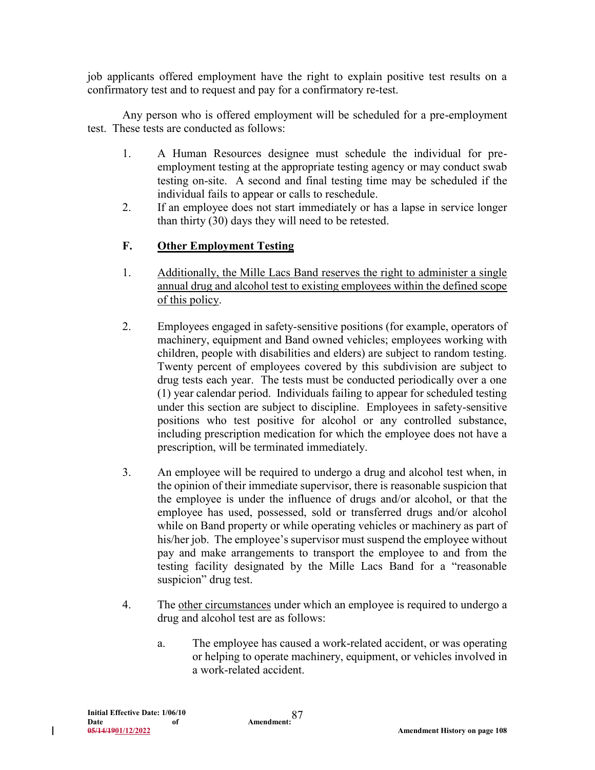job applicants offered employment have the right to explain positive test results on a confirmatory test and to request and pay for a confirmatory re-test.

Any person who is offered employment will be scheduled for a pre-employment test. These tests are conducted as follows:

- 1. A Human Resources designee must schedule the individual for preemployment testing at the appropriate testing agency or may conduct swab testing on-site. A second and final testing time may be scheduled if the individual fails to appear or calls to reschedule.
- 2. If an employee does not start immediately or has a lapse in service longer than thirty (30) days they will need to be retested.

### **F. Other Employment Testing**

- 1. Additionally, the Mille Lacs Band reserves the right to administer a single annual drug and alcohol test to existing employees within the defined scope of this policy.
- 2. Employees engaged in safety-sensitive positions (for example, operators of machinery, equipment and Band owned vehicles; employees working with children, people with disabilities and elders) are subject to random testing. Twenty percent of employees covered by this subdivision are subject to drug tests each year. The tests must be conducted periodically over a one (1) year calendar period. Individuals failing to appear for scheduled testing under this section are subject to discipline. Employees in safety-sensitive positions who test positive for alcohol or any controlled substance, including prescription medication for which the employee does not have a prescription, will be terminated immediately.
- 3. An employee will be required to undergo a drug and alcohol test when, in the opinion of their immediate supervisor, there is reasonable suspicion that the employee is under the influence of drugs and/or alcohol, or that the employee has used, possessed, sold or transferred drugs and/or alcohol while on Band property or while operating vehicles or machinery as part of his/her job. The employee's supervisor must suspend the employee without pay and make arrangements to transport the employee to and from the testing facility designated by the Mille Lacs Band for a "reasonable suspicion" drug test.
- 4. The other circumstances under which an employee is required to undergo a drug and alcohol test are as follows:
	- a. The employee has caused a work-related accident, or was operating or helping to operate machinery, equipment, or vehicles involved in a work-related accident.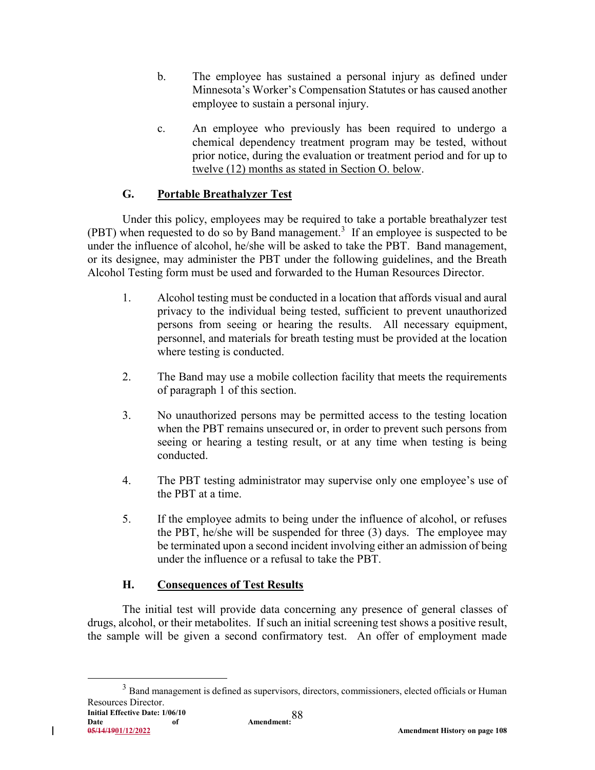- b. The employee has sustained a personal injury as defined under Minnesota's Worker's Compensation Statutes or has caused another employee to sustain a personal injury.
- c. An employee who previously has been required to undergo a chemical dependency treatment program may be tested, without prior notice, during the evaluation or treatment period and for up to twelve (12) months as stated in Section O. below.

#### **G. Portable Breathalyzer Test**

Under this policy, employees may be required to take a portable breathalyzer test  $(PBT)$  when requested to do so by Band management.<sup>3</sup> If an employee is suspected to be under the influence of alcohol, he/she will be asked to take the PBT. Band management, or its designee, may administer the PBT under the following guidelines, and the Breath Alcohol Testing form must be used and forwarded to the Human Resources Director.

- 1. Alcohol testing must be conducted in a location that affords visual and aural privacy to the individual being tested, sufficient to prevent unauthorized persons from seeing or hearing the results. All necessary equipment, personnel, and materials for breath testing must be provided at the location where testing is conducted.
- 2. The Band may use a mobile collection facility that meets the requirements of paragraph 1 of this section.
- 3. No unauthorized persons may be permitted access to the testing location when the PBT remains unsecured or, in order to prevent such persons from seeing or hearing a testing result, or at any time when testing is being conducted.
- 4. The PBT testing administrator may supervise only one employee's use of the PBT at a time.
- 5. If the employee admits to being under the influence of alcohol, or refuses the PBT, he/she will be suspended for three (3) days. The employee may be terminated upon a second incident involving either an admission of being under the influence or a refusal to take the PBT.

### **H. Consequences of Test Results**

The initial test will provide data concerning any presence of general classes of drugs, alcohol, or their metabolites. If such an initial screening test shows a positive result, the sample will be given a second confirmatory test. An offer of employment made

 $\overline{a}$ 

 $3$  Band management is defined as supervisors, directors, commissioners, elected officials or Human Resources Director.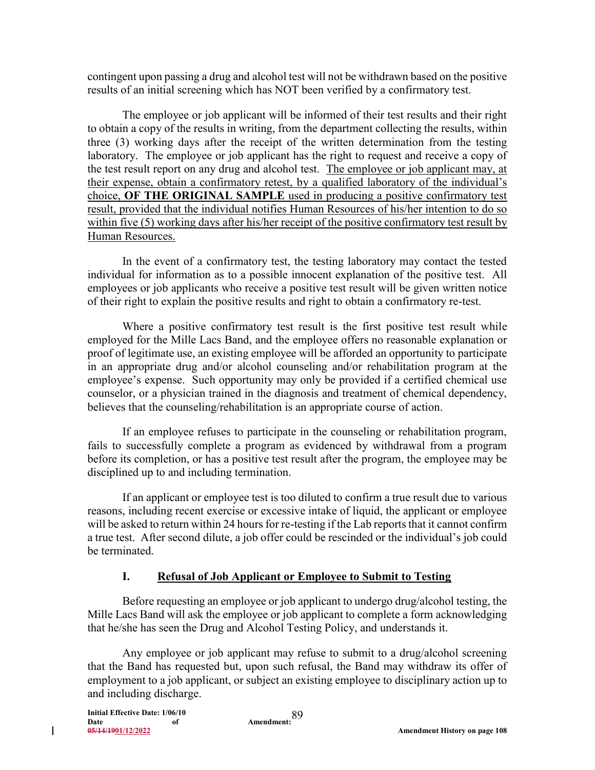contingent upon passing a drug and alcohol test will not be withdrawn based on the positive results of an initial screening which has NOT been verified by a confirmatory test.

The employee or job applicant will be informed of their test results and their right to obtain a copy of the results in writing, from the department collecting the results, within three (3) working days after the receipt of the written determination from the testing laboratory. The employee or job applicant has the right to request and receive a copy of the test result report on any drug and alcohol test. The employee or job applicant may, at their expense, obtain a confirmatory retest, by a qualified laboratory of the individual's choice, **OF THE ORIGINAL SAMPLE** used in producing a positive confirmatory test result, provided that the individual notifies Human Resources of his/her intention to do so within five (5) working days after his/her receipt of the positive confirmatory test result by Human Resources.

In the event of a confirmatory test, the testing laboratory may contact the tested individual for information as to a possible innocent explanation of the positive test. All employees or job applicants who receive a positive test result will be given written notice of their right to explain the positive results and right to obtain a confirmatory re-test.

Where a positive confirmatory test result is the first positive test result while employed for the Mille Lacs Band, and the employee offers no reasonable explanation or proof of legitimate use, an existing employee will be afforded an opportunity to participate in an appropriate drug and/or alcohol counseling and/or rehabilitation program at the employee's expense. Such opportunity may only be provided if a certified chemical use counselor, or a physician trained in the diagnosis and treatment of chemical dependency, believes that the counseling/rehabilitation is an appropriate course of action.

If an employee refuses to participate in the counseling or rehabilitation program, fails to successfully complete a program as evidenced by withdrawal from a program before its completion, or has a positive test result after the program, the employee may be disciplined up to and including termination.

If an applicant or employee test is too diluted to confirm a true result due to various reasons, including recent exercise or excessive intake of liquid, the applicant or employee will be asked to return within 24 hours for re-testing if the Lab reports that it cannot confirm a true test. After second dilute, a job offer could be rescinded or the individual's job could be terminated.

#### **I. Refusal of Job Applicant or Employee to Submit to Testing**

Before requesting an employee or job applicant to undergo drug/alcohol testing, the Mille Lacs Band will ask the employee or job applicant to complete a form acknowledging that he/she has seen the Drug and Alcohol Testing Policy, and understands it.

Any employee or job applicant may refuse to submit to a drug/alcohol screening that the Band has requested but, upon such refusal, the Band may withdraw its offer of employment to a job applicant, or subject an existing employee to disciplinary action up to and including discharge.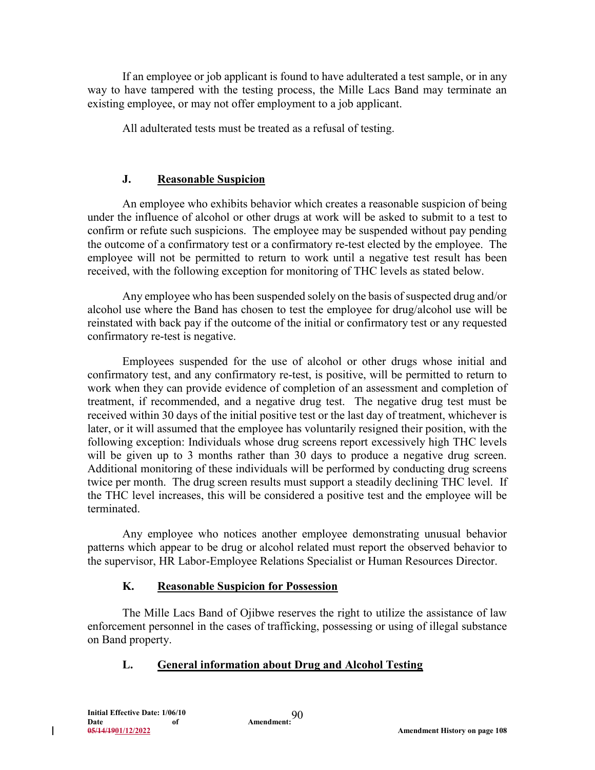If an employee or job applicant is found to have adulterated a test sample, or in any way to have tampered with the testing process, the Mille Lacs Band may terminate an existing employee, or may not offer employment to a job applicant.

All adulterated tests must be treated as a refusal of testing.

#### **J. Reasonable Suspicion**

An employee who exhibits behavior which creates a reasonable suspicion of being under the influence of alcohol or other drugs at work will be asked to submit to a test to confirm or refute such suspicions. The employee may be suspended without pay pending the outcome of a confirmatory test or a confirmatory re-test elected by the employee. The employee will not be permitted to return to work until a negative test result has been received, with the following exception for monitoring of THC levels as stated below.

Any employee who has been suspended solely on the basis of suspected drug and/or alcohol use where the Band has chosen to test the employee for drug/alcohol use will be reinstated with back pay if the outcome of the initial or confirmatory test or any requested confirmatory re-test is negative.

Employees suspended for the use of alcohol or other drugs whose initial and confirmatory test, and any confirmatory re-test, is positive, will be permitted to return to work when they can provide evidence of completion of an assessment and completion of treatment, if recommended, and a negative drug test. The negative drug test must be received within 30 days of the initial positive test or the last day of treatment, whichever is later, or it will assumed that the employee has voluntarily resigned their position, with the following exception: Individuals whose drug screens report excessively high THC levels will be given up to 3 months rather than 30 days to produce a negative drug screen. Additional monitoring of these individuals will be performed by conducting drug screens twice per month. The drug screen results must support a steadily declining THC level. If the THC level increases, this will be considered a positive test and the employee will be terminated.

Any employee who notices another employee demonstrating unusual behavior patterns which appear to be drug or alcohol related must report the observed behavior to the supervisor, HR Labor-Employee Relations Specialist or Human Resources Director.

#### **K. Reasonable Suspicion for Possession**

The Mille Lacs Band of Ojibwe reserves the right to utilize the assistance of law enforcement personnel in the cases of trafficking, possessing or using of illegal substance on Band property.

#### **L. General information about Drug and Alcohol Testing**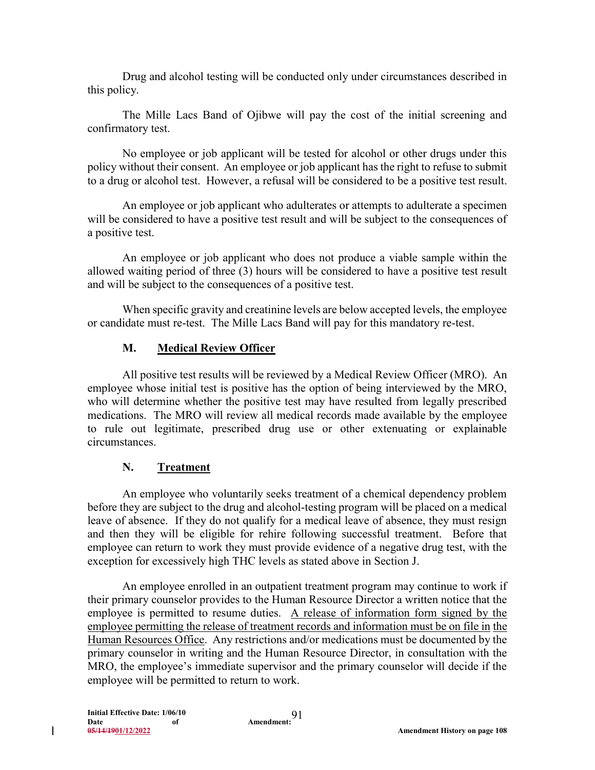Drug and alcohol testing will be conducted only under circumstances described in this policy.

The Mille Lacs Band of Ojibwe will pay the cost of the initial screening and confirmatory test.

No employee or job applicant will be tested for alcohol or other drugs under this policy without their consent. An employee or job applicant has the right to refuse to submit to a drug or alcohol test. However, a refusal will be considered to be a positive test result.

An employee or job applicant who adulterates or attempts to adulterate a specimen will be considered to have a positive test result and will be subject to the consequences of a positive test.

An employee or job applicant who does not produce a viable sample within the allowed waiting period of three (3) hours will be considered to have a positive test result and will be subject to the consequences of a positive test.

When specific gravity and creatinine levels are below accepted levels, the employee or candidate must re-test. The Mille Lacs Band will pay for this mandatory re-test.

#### **M. Medical Review Officer**

All positive test results will be reviewed by a Medical Review Officer (MRO). An employee whose initial test is positive has the option of being interviewed by the MRO, who will determine whether the positive test may have resulted from legally prescribed medications. The MRO will review all medical records made available by the employee to rule out legitimate, prescribed drug use or other extenuating or explainable circumstances.

#### **N. Treatment**

An employee who voluntarily seeks treatment of a chemical dependency problem before they are subject to the drug and alcohol-testing program will be placed on a medical leave of absence. If they do not qualify for a medical leave of absence, they must resign and then they will be eligible for rehire following successful treatment. Before that employee can return to work they must provide evidence of a negative drug test, with the exception for excessively high THC levels as stated above in Section J.

An employee enrolled in an outpatient treatment program may continue to work if their primary counselor provides to the Human Resource Director a written notice that the employee is permitted to resume duties. A release of information form signed by the employee permitting the release of treatment records and information must be on file in the Human Resources Office. Any restrictions and/or medications must be documented by the primary counselor in writing and the Human Resource Director, in consultation with the MRO, the employee's immediate supervisor and the primary counselor will decide if the employee will be permitted to return to work.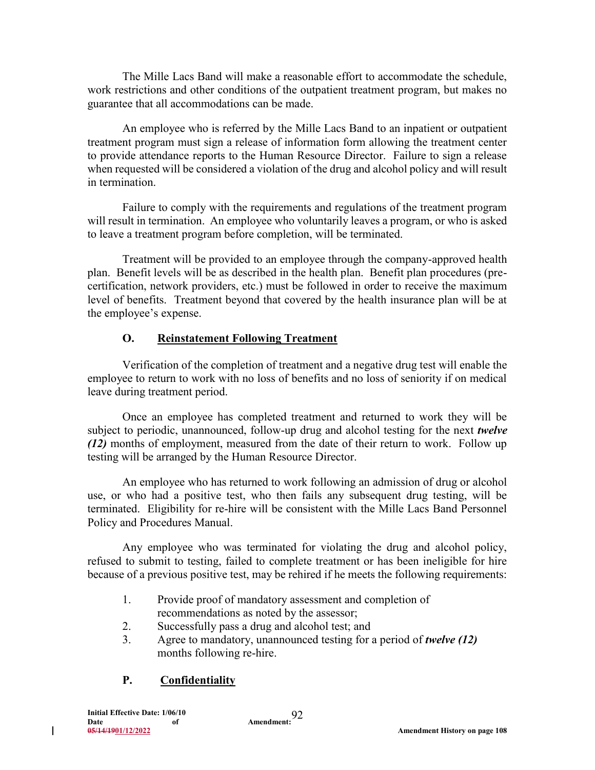The Mille Lacs Band will make a reasonable effort to accommodate the schedule, work restrictions and other conditions of the outpatient treatment program, but makes no guarantee that all accommodations can be made.

An employee who is referred by the Mille Lacs Band to an inpatient or outpatient treatment program must sign a release of information form allowing the treatment center to provide attendance reports to the Human Resource Director. Failure to sign a release when requested will be considered a violation of the drug and alcohol policy and will result in termination.

Failure to comply with the requirements and regulations of the treatment program will result in termination. An employee who voluntarily leaves a program, or who is asked to leave a treatment program before completion, will be terminated.

Treatment will be provided to an employee through the company-approved health plan. Benefit levels will be as described in the health plan. Benefit plan procedures (precertification, network providers, etc.) must be followed in order to receive the maximum level of benefits. Treatment beyond that covered by the health insurance plan will be at the employee's expense.

#### **O. Reinstatement Following Treatment**

Verification of the completion of treatment and a negative drug test will enable the employee to return to work with no loss of benefits and no loss of seniority if on medical leave during treatment period.

Once an employee has completed treatment and returned to work they will be subject to periodic, unannounced, follow-up drug and alcohol testing for the next *twelve (12)* months of employment, measured from the date of their return to work. Follow up testing will be arranged by the Human Resource Director.

An employee who has returned to work following an admission of drug or alcohol use, or who had a positive test, who then fails any subsequent drug testing, will be terminated. Eligibility for re-hire will be consistent with the Mille Lacs Band Personnel Policy and Procedures Manual.

Any employee who was terminated for violating the drug and alcohol policy, refused to submit to testing, failed to complete treatment or has been ineligible for hire because of a previous positive test, may be rehired if he meets the following requirements:

- 1. Provide proof of mandatory assessment and completion of recommendations as noted by the assessor;
- 2. Successfully pass a drug and alcohol test; and
- 3. Agree to mandatory, unannounced testing for a period of *twelve (12)* months following re-hire.

### **P. Confidentiality**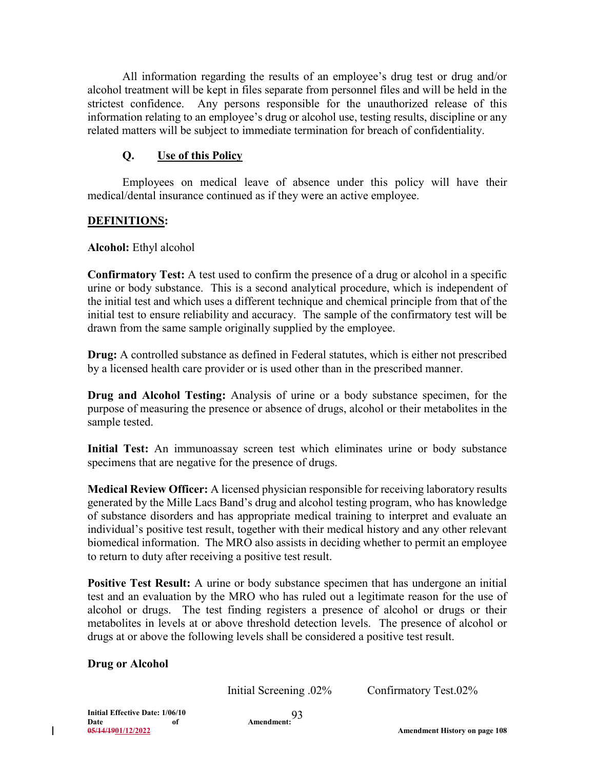All information regarding the results of an employee's drug test or drug and/or alcohol treatment will be kept in files separate from personnel files and will be held in the strictest confidence. Any persons responsible for the unauthorized release of this information relating to an employee's drug or alcohol use, testing results, discipline or any related matters will be subject to immediate termination for breach of confidentiality.

#### **Q. Use of this Policy**

Employees on medical leave of absence under this policy will have their medical/dental insurance continued as if they were an active employee.

#### **DEFINITIONS:**

#### **Alcohol:** Ethyl alcohol

**Confirmatory Test:** A test used to confirm the presence of a drug or alcohol in a specific urine or body substance. This is a second analytical procedure, which is independent of the initial test and which uses a different technique and chemical principle from that of the initial test to ensure reliability and accuracy. The sample of the confirmatory test will be drawn from the same sample originally supplied by the employee.

**Drug:** A controlled substance as defined in Federal statutes, which is either not prescribed by a licensed health care provider or is used other than in the prescribed manner.

**Drug and Alcohol Testing:** Analysis of urine or a body substance specimen, for the purpose of measuring the presence or absence of drugs, alcohol or their metabolites in the sample tested.

**Initial Test:** An immunoassay screen test which eliminates urine or body substance specimens that are negative for the presence of drugs.

**Medical Review Officer:** A licensed physician responsible for receiving laboratory results generated by the Mille Lacs Band's drug and alcohol testing program, who has knowledge of substance disorders and has appropriate medical training to interpret and evaluate an individual's positive test result, together with their medical history and any other relevant biomedical information. The MRO also assists in deciding whether to permit an employee to return to duty after receiving a positive test result.

**Positive Test Result:** A urine or body substance specimen that has undergone an initial test and an evaluation by the MRO who has ruled out a legitimate reason for the use of alcohol or drugs. The test finding registers a presence of alcohol or drugs or their metabolites in levels at or above threshold detection levels. The presence of alcohol or drugs at or above the following levels shall be considered a positive test result.

#### **Drug or Alcohol**

Initial Screening .02% Confirmatory Test.02%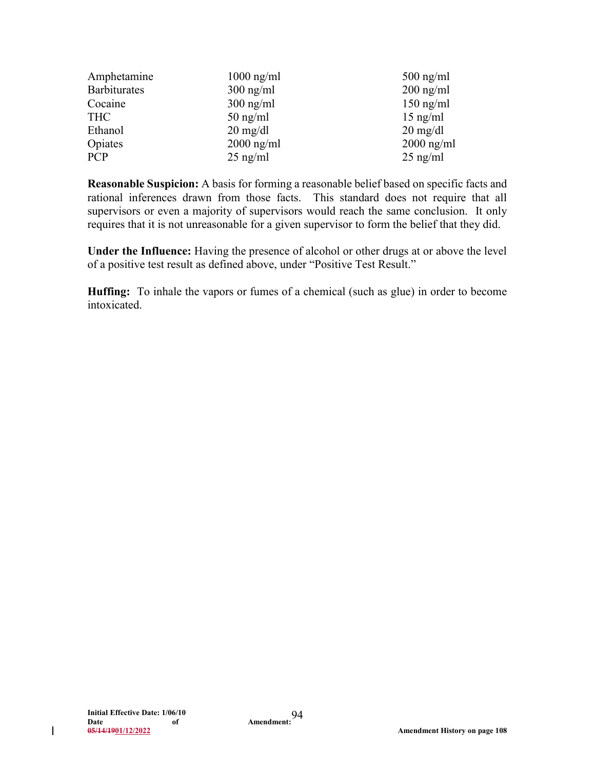| Amphetamine         | $1000$ ng/ml       | $500$ ng/ml        |
|---------------------|--------------------|--------------------|
| <b>Barbiturates</b> | $300$ ng/ml        | $200$ ng/ml        |
| Cocaine             | $300$ ng/ml        | $150$ ng/ml        |
| <b>THC</b>          | $50$ ng/ml         | $15$ ng/ml         |
| Ethanol             | $20 \text{ mg/dl}$ | $20 \text{ mg/dl}$ |
| Opiates             | $2000$ ng/ml       | $2000$ ng/ml       |
| <b>PCP</b>          | $25$ ng/ml         | $25$ ng/ml         |

**Reasonable Suspicion:** A basis for forming a reasonable belief based on specific facts and rational inferences drawn from those facts. This standard does not require that all supervisors or even a majority of supervisors would reach the same conclusion. It only requires that it is not unreasonable for a given supervisor to form the belief that they did.

**Under the Influence:** Having the presence of alcohol or other drugs at or above the level of a positive test result as defined above, under "Positive Test Result."

**Huffing:** To inhale the vapors or fumes of a chemical (such as glue) in order to become intoxicated.

 $\mathbf{I}$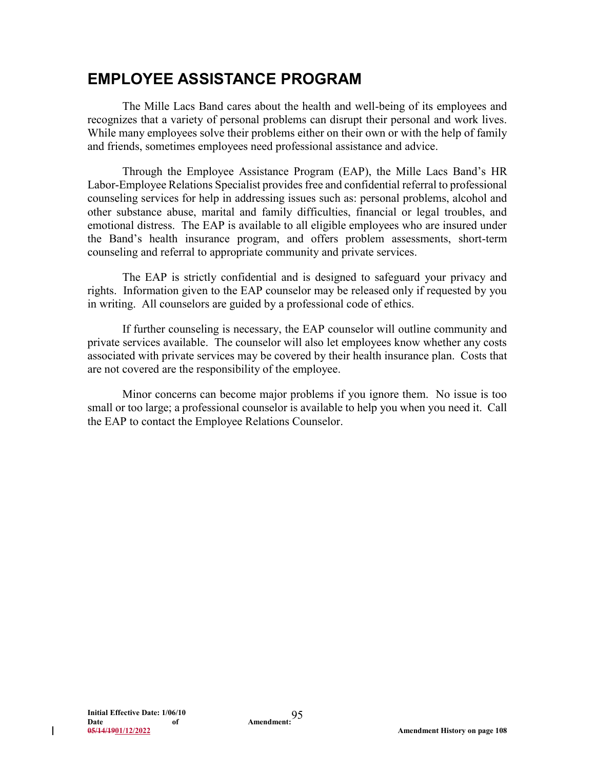# **EMPLOYEE ASSISTANCE PROGRAM**

The Mille Lacs Band cares about the health and well-being of its employees and recognizes that a variety of personal problems can disrupt their personal and work lives. While many employees solve their problems either on their own or with the help of family and friends, sometimes employees need professional assistance and advice.

Through the Employee Assistance Program (EAP), the Mille Lacs Band's HR Labor-Employee Relations Specialist provides free and confidential referral to professional counseling services for help in addressing issues such as: personal problems, alcohol and other substance abuse, marital and family difficulties, financial or legal troubles, and emotional distress. The EAP is available to all eligible employees who are insured under the Band's health insurance program, and offers problem assessments, short-term counseling and referral to appropriate community and private services.

The EAP is strictly confidential and is designed to safeguard your privacy and rights. Information given to the EAP counselor may be released only if requested by you in writing. All counselors are guided by a professional code of ethics.

If further counseling is necessary, the EAP counselor will outline community and private services available. The counselor will also let employees know whether any costs associated with private services may be covered by their health insurance plan. Costs that are not covered are the responsibility of the employee.

Minor concerns can become major problems if you ignore them. No issue is too small or too large; a professional counselor is available to help you when you need it. Call the EAP to contact the Employee Relations Counselor.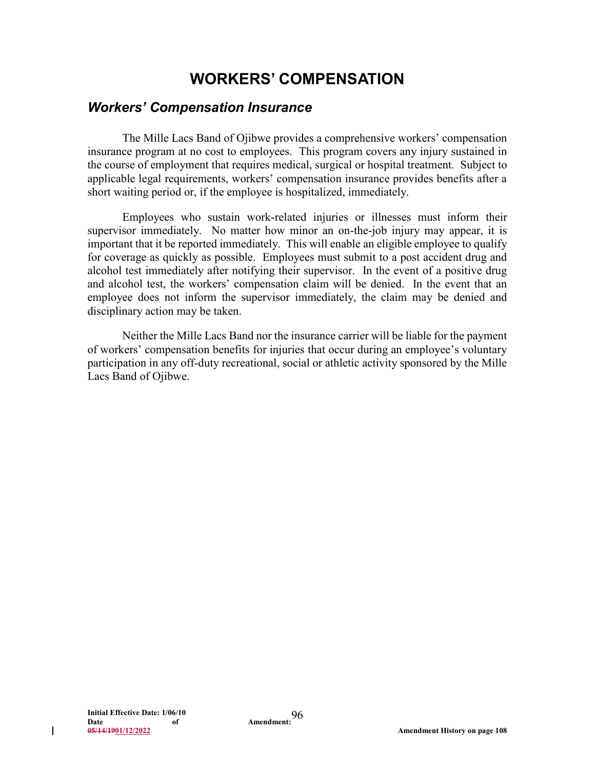# **WORKERS' COMPENSATION**

### *Workers' Compensation Insurance*

The Mille Lacs Band of Ojibwe provides a comprehensive workers' compensation insurance program at no cost to employees. This program covers any injury sustained in the course of employment that requires medical, surgical or hospital treatment. Subject to applicable legal requirements, workers' compensation insurance provides benefits after a short waiting period or, if the employee is hospitalized, immediately.

Employees who sustain work-related injuries or illnesses must inform their supervisor immediately. No matter how minor an on-the-job injury may appear, it is important that it be reported immediately. This will enable an eligible employee to qualify for coverage as quickly as possible. Employees must submit to a post accident drug and alcohol test immediately after notifying their supervisor. In the event of a positive drug and alcohol test, the workers' compensation claim will be denied. In the event that an employee does not inform the supervisor immediately, the claim may be denied and disciplinary action may be taken.

Neither the Mille Lacs Band nor the insurance carrier will be liable for the payment of workers' compensation benefits for injuries that occur during an employee's voluntary participation in any off-duty recreational, social or athletic activity sponsored by the Mille Lacs Band of Ojibwe.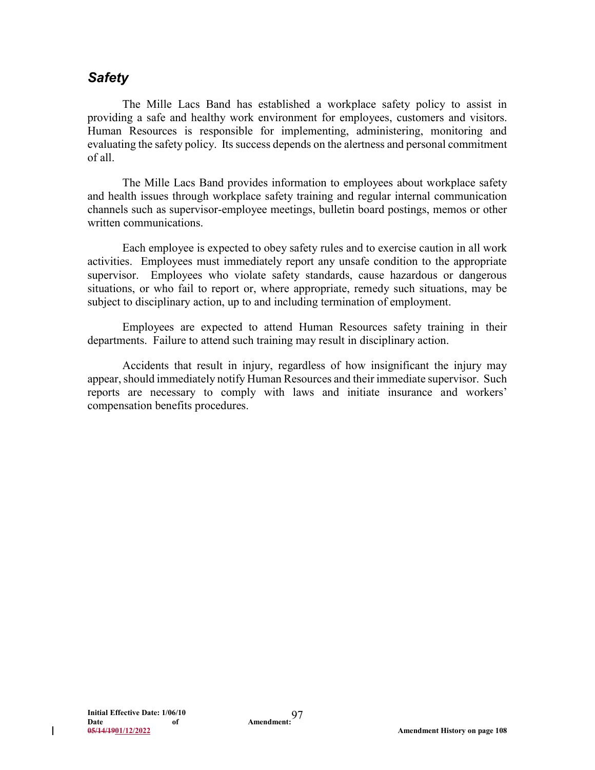### *Safety*

The Mille Lacs Band has established a workplace safety policy to assist in providing a safe and healthy work environment for employees, customers and visitors. Human Resources is responsible for implementing, administering, monitoring and evaluating the safety policy. Its success depends on the alertness and personal commitment of all.

The Mille Lacs Band provides information to employees about workplace safety and health issues through workplace safety training and regular internal communication channels such as supervisor-employee meetings, bulletin board postings, memos or other written communications.

Each employee is expected to obey safety rules and to exercise caution in all work activities. Employees must immediately report any unsafe condition to the appropriate supervisor. Employees who violate safety standards, cause hazardous or dangerous situations, or who fail to report or, where appropriate, remedy such situations, may be subject to disciplinary action, up to and including termination of employment.

Employees are expected to attend Human Resources safety training in their departments. Failure to attend such training may result in disciplinary action.

Accidents that result in injury, regardless of how insignificant the injury may appear, should immediately notify Human Resources and their immediate supervisor. Such reports are necessary to comply with laws and initiate insurance and workers' compensation benefits procedures.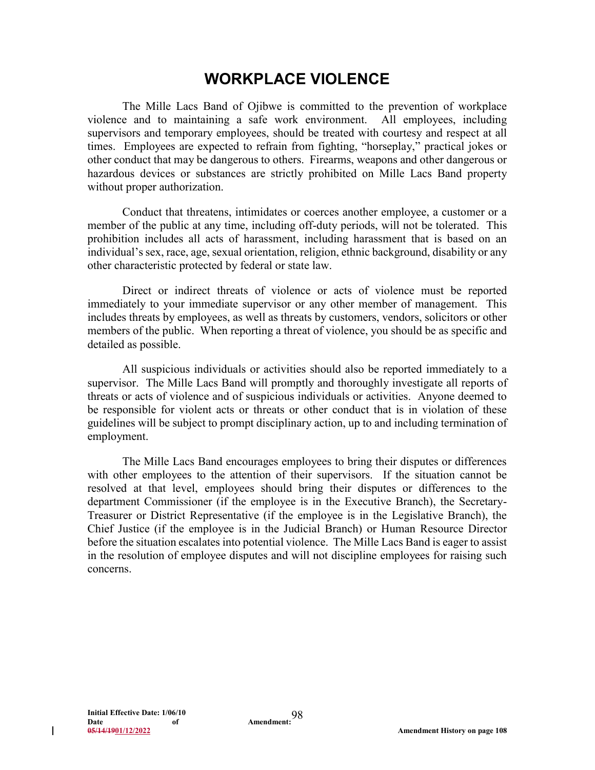## **WORKPLACE VIOLENCE**

The Mille Lacs Band of Ojibwe is committed to the prevention of workplace violence and to maintaining a safe work environment. All employees, including supervisors and temporary employees, should be treated with courtesy and respect at all times. Employees are expected to refrain from fighting, "horseplay," practical jokes or other conduct that may be dangerous to others. Firearms, weapons and other dangerous or hazardous devices or substances are strictly prohibited on Mille Lacs Band property without proper authorization.

Conduct that threatens, intimidates or coerces another employee, a customer or a member of the public at any time, including off-duty periods, will not be tolerated. This prohibition includes all acts of harassment, including harassment that is based on an individual's sex, race, age, sexual orientation, religion, ethnic background, disability or any other characteristic protected by federal or state law.

Direct or indirect threats of violence or acts of violence must be reported immediately to your immediate supervisor or any other member of management. This includes threats by employees, as well as threats by customers, vendors, solicitors or other members of the public. When reporting a threat of violence, you should be as specific and detailed as possible.

All suspicious individuals or activities should also be reported immediately to a supervisor. The Mille Lacs Band will promptly and thoroughly investigate all reports of threats or acts of violence and of suspicious individuals or activities. Anyone deemed to be responsible for violent acts or threats or other conduct that is in violation of these guidelines will be subject to prompt disciplinary action, up to and including termination of employment.

The Mille Lacs Band encourages employees to bring their disputes or differences with other employees to the attention of their supervisors. If the situation cannot be resolved at that level, employees should bring their disputes or differences to the department Commissioner (if the employee is in the Executive Branch), the Secretary-Treasurer or District Representative (if the employee is in the Legislative Branch), the Chief Justice (if the employee is in the Judicial Branch) or Human Resource Director before the situation escalates into potential violence. The Mille Lacs Band is eager to assist in the resolution of employee disputes and will not discipline employees for raising such concerns.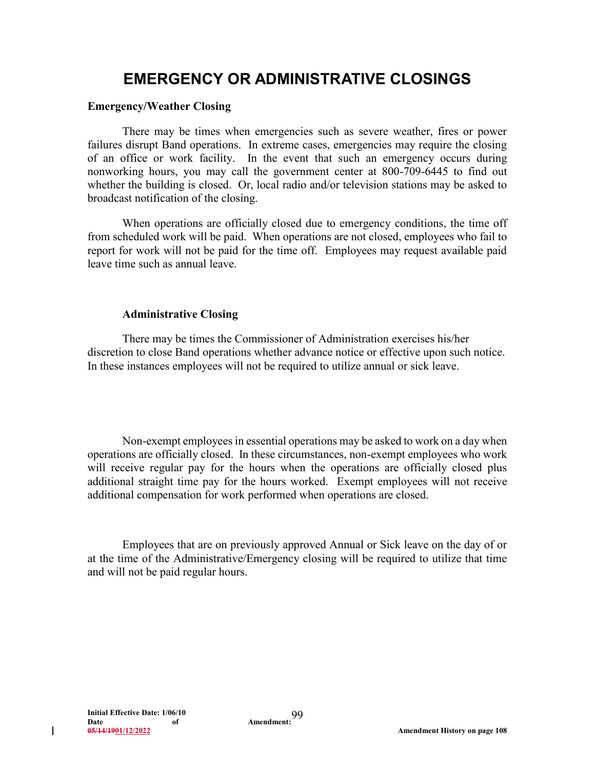# **EMERGENCY OR ADMINISTRATIVE CLOSINGS**

#### **Emergency/Weather Closing**

There may be times when emergencies such as severe weather, fires or power failures disrupt Band operations. In extreme cases, emergencies may require the closing of an office or work facility. In the event that such an emergency occurs during nonworking hours, you may call the government center at 800-709-6445 to find out whether the building is closed. Or, local radio and/or television stations may be asked to broadcast notification of the closing.

When operations are officially closed due to emergency conditions, the time off from scheduled work will be paid. When operations are not closed, employees who fail to report for work will not be paid for the time off. Employees may request available paid leave time such as annual leave.

#### **Administrative Closing**

There may be times the Commissioner of Administration exercises his/her discretion to close Band operations whether advance notice or effective upon such notice. In these instances employees will not be required to utilize annual or sick leave.

Non-exempt employees in essential operations may be asked to work on a day when operations are officially closed. In these circumstances, non-exempt employees who work will receive regular pay for the hours when the operations are officially closed plus additional straight time pay for the hours worked. Exempt employees will not receive additional compensation for work performed when operations are closed.

Employees that are on previously approved Annual or Sick leave on the day of or at the time of the Administrative/Emergency closing will be required to utilize that time and will not be paid regular hours.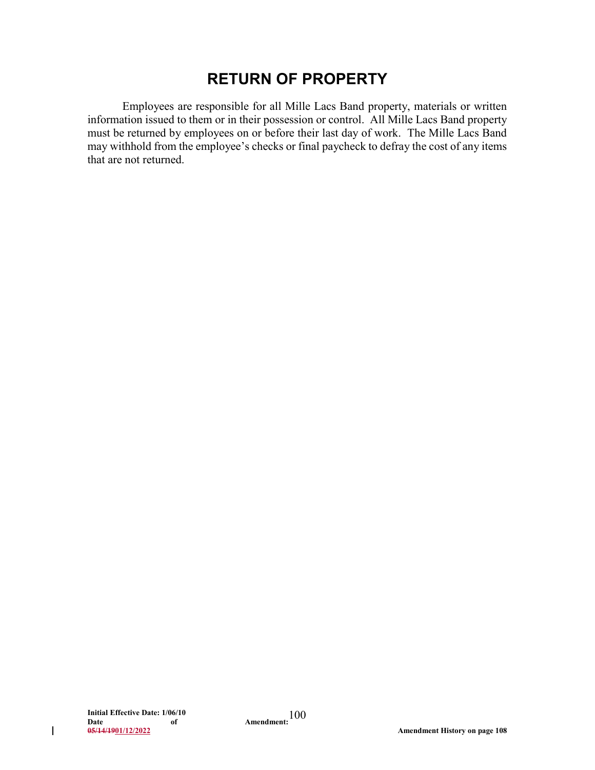# **RETURN OF PROPERTY**

Employees are responsible for all Mille Lacs Band property, materials or written information issued to them or in their possession or control. All Mille Lacs Band property must be returned by employees on or before their last day of work. The Mille Lacs Band may withhold from the employee's checks or final paycheck to defray the cost of any items that are not returned.

 $\overline{\phantom{a}}$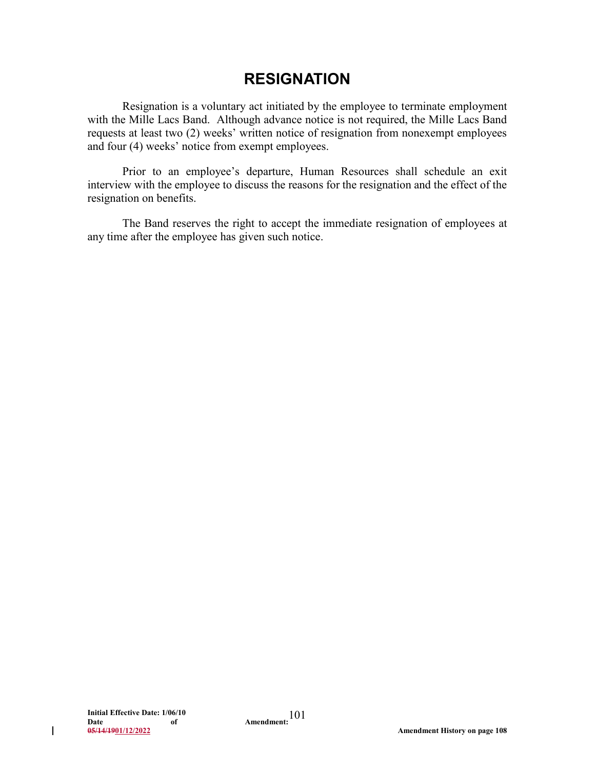# **RESIGNATION**

Resignation is a voluntary act initiated by the employee to terminate employment with the Mille Lacs Band. Although advance notice is not required, the Mille Lacs Band requests at least two (2) weeks' written notice of resignation from nonexempt employees and four (4) weeks' notice from exempt employees.

Prior to an employee's departure, Human Resources shall schedule an exit interview with the employee to discuss the reasons for the resignation and the effect of the resignation on benefits.

The Band reserves the right to accept the immediate resignation of employees at any time after the employee has given such notice.

 $\mathbf{I}$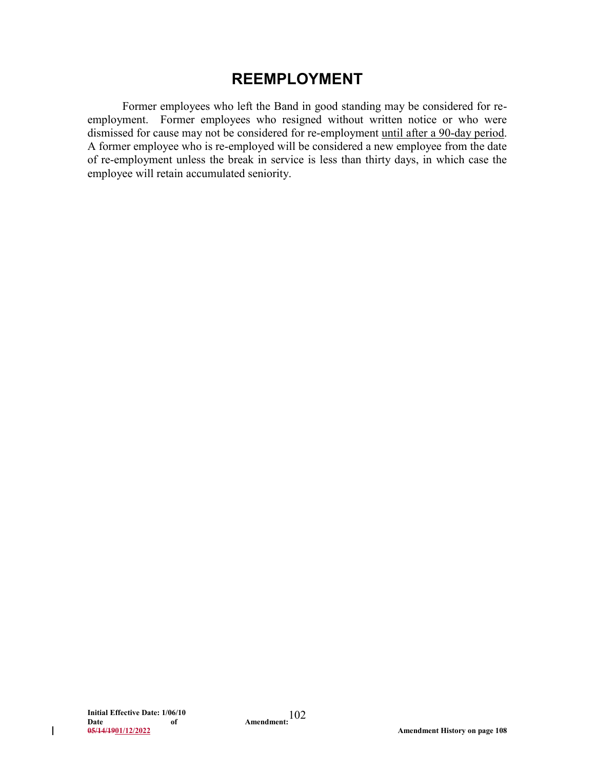## **REEMPLOYMENT**

Former employees who left the Band in good standing may be considered for reemployment. Former employees who resigned without written notice or who were dismissed for cause may not be considered for re-employment until after a 90-day period. A former employee who is re-employed will be considered a new employee from the date of re-employment unless the break in service is less than thirty days, in which case the employee will retain accumulated seniority.

 $\overline{\phantom{a}}$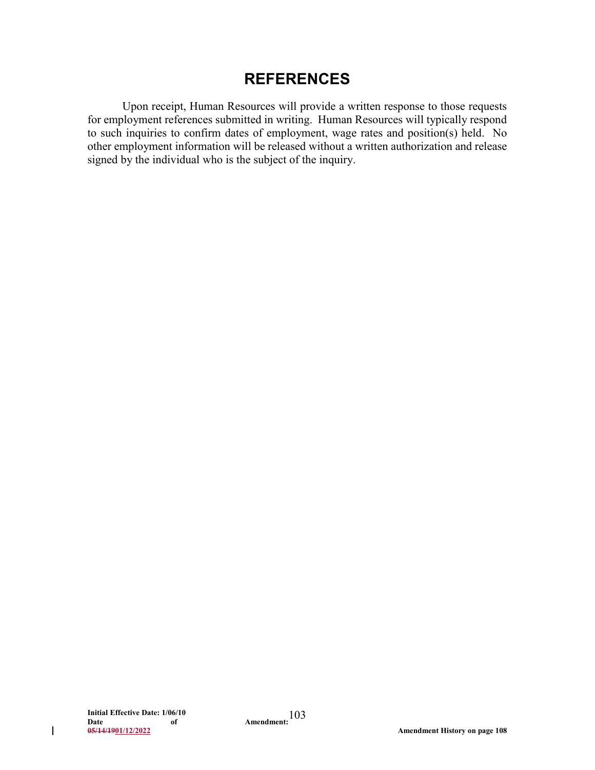# **REFERENCES**

Upon receipt, Human Resources will provide a written response to those requests for employment references submitted in writing. Human Resources will typically respond to such inquiries to confirm dates of employment, wage rates and position(s) held. No other employment information will be released without a written authorization and release signed by the individual who is the subject of the inquiry.

 $\overline{\phantom{a}}$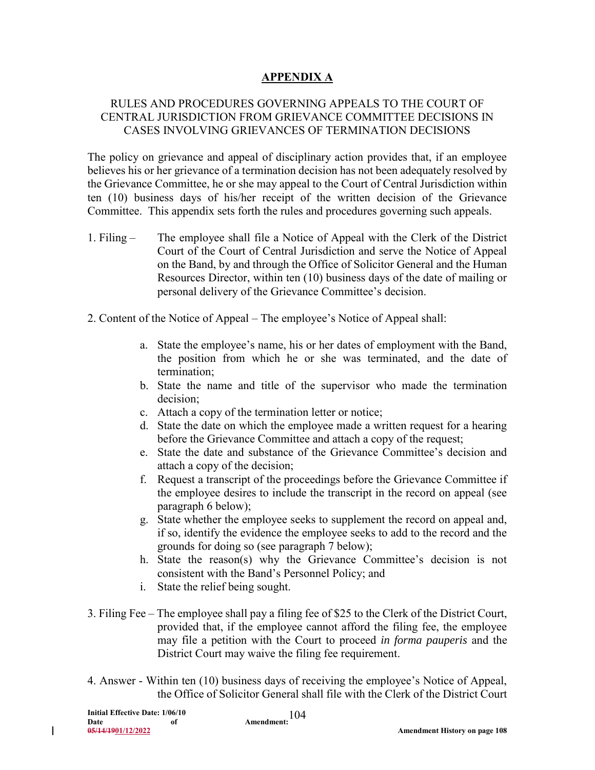#### **APPENDIX A**

#### RULES AND PROCEDURES GOVERNING APPEALS TO THE COURT OF CENTRAL JURISDICTION FROM GRIEVANCE COMMITTEE DECISIONS IN CASES INVOLVING GRIEVANCES OF TERMINATION DECISIONS

The policy on grievance and appeal of disciplinary action provides that, if an employee believes his or her grievance of a termination decision has not been adequately resolved by the Grievance Committee, he or she may appeal to the Court of Central Jurisdiction within ten (10) business days of his/her receipt of the written decision of the Grievance Committee. This appendix sets forth the rules and procedures governing such appeals.

- 1. Filing The employee shall file a Notice of Appeal with the Clerk of the District Court of the Court of Central Jurisdiction and serve the Notice of Appeal on the Band, by and through the Office of Solicitor General and the Human Resources Director, within ten (10) business days of the date of mailing or personal delivery of the Grievance Committee's decision.
- 2. Content of the Notice of Appeal The employee's Notice of Appeal shall:
	- a. State the employee's name, his or her dates of employment with the Band, the position from which he or she was terminated, and the date of termination;
	- b. State the name and title of the supervisor who made the termination decision;
	- c. Attach a copy of the termination letter or notice;
	- d. State the date on which the employee made a written request for a hearing before the Grievance Committee and attach a copy of the request;
	- e. State the date and substance of the Grievance Committee's decision and attach a copy of the decision;
	- f. Request a transcript of the proceedings before the Grievance Committee if the employee desires to include the transcript in the record on appeal (see paragraph 6 below);
	- g. State whether the employee seeks to supplement the record on appeal and, if so, identify the evidence the employee seeks to add to the record and the grounds for doing so (see paragraph 7 below);
	- h. State the reason(s) why the Grievance Committee's decision is not consistent with the Band's Personnel Policy; and
	- i. State the relief being sought.
- 3. Filing Fee The employee shall pay a filing fee of \$25 to the Clerk of the District Court, provided that, if the employee cannot afford the filing fee, the employee may file a petition with the Court to proceed *in forma pauperis* and the District Court may waive the filing fee requirement.
- 4. Answer Within ten (10) business days of receiving the employee's Notice of Appeal, the Office of Solicitor General shall file with the Clerk of the District Court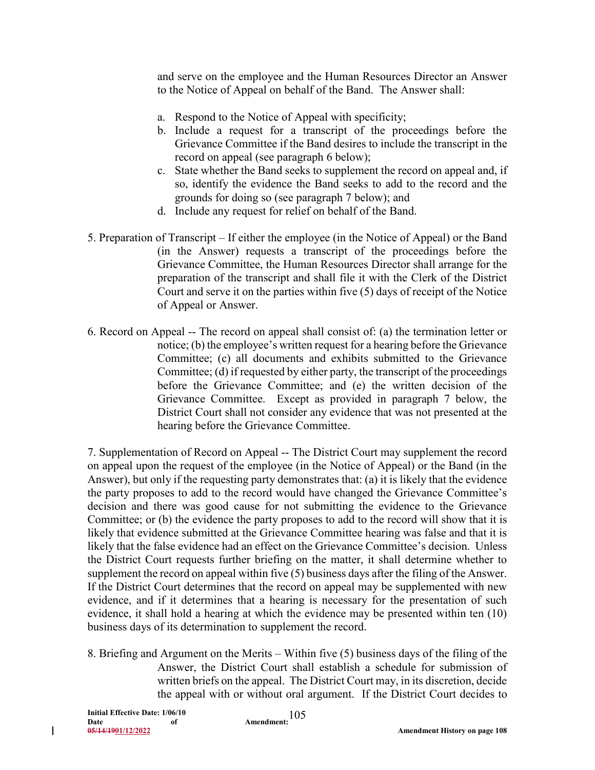and serve on the employee and the Human Resources Director an Answer to the Notice of Appeal on behalf of the Band. The Answer shall:

- a. Respond to the Notice of Appeal with specificity;
- b. Include a request for a transcript of the proceedings before the Grievance Committee if the Band desires to include the transcript in the record on appeal (see paragraph 6 below);
- c. State whether the Band seeks to supplement the record on appeal and, if so, identify the evidence the Band seeks to add to the record and the grounds for doing so (see paragraph 7 below); and
- d. Include any request for relief on behalf of the Band.
- 5. Preparation of Transcript If either the employee (in the Notice of Appeal) or the Band (in the Answer) requests a transcript of the proceedings before the Grievance Committee, the Human Resources Director shall arrange for the preparation of the transcript and shall file it with the Clerk of the District Court and serve it on the parties within five (5) days of receipt of the Notice of Appeal or Answer.
- 6. Record on Appeal -- The record on appeal shall consist of: (a) the termination letter or notice; (b) the employee's written request for a hearing before the Grievance Committee; (c) all documents and exhibits submitted to the Grievance Committee; (d) if requested by either party, the transcript of the proceedings before the Grievance Committee; and (e) the written decision of the Grievance Committee. Except as provided in paragraph 7 below, the District Court shall not consider any evidence that was not presented at the hearing before the Grievance Committee.

7. Supplementation of Record on Appeal -- The District Court may supplement the record on appeal upon the request of the employee (in the Notice of Appeal) or the Band (in the Answer), but only if the requesting party demonstrates that: (a) it is likely that the evidence the party proposes to add to the record would have changed the Grievance Committee's decision and there was good cause for not submitting the evidence to the Grievance Committee; or (b) the evidence the party proposes to add to the record will show that it is likely that evidence submitted at the Grievance Committee hearing was false and that it is likely that the false evidence had an effect on the Grievance Committee's decision. Unless the District Court requests further briefing on the matter, it shall determine whether to supplement the record on appeal within five (5) business days after the filing of the Answer. If the District Court determines that the record on appeal may be supplemented with new evidence, and if it determines that a hearing is necessary for the presentation of such evidence, it shall hold a hearing at which the evidence may be presented within ten (10) business days of its determination to supplement the record.

8. Briefing and Argument on the Merits – Within five (5) business days of the filing of the Answer, the District Court shall establish a schedule for submission of written briefs on the appeal. The District Court may, in its discretion, decide the appeal with or without oral argument. If the District Court decides to

**Initial Effective Date: 1/06/10**<br>Date of **Date of Amendment:**  105 **05/14/1901/12/2022 Amendment History on page 108**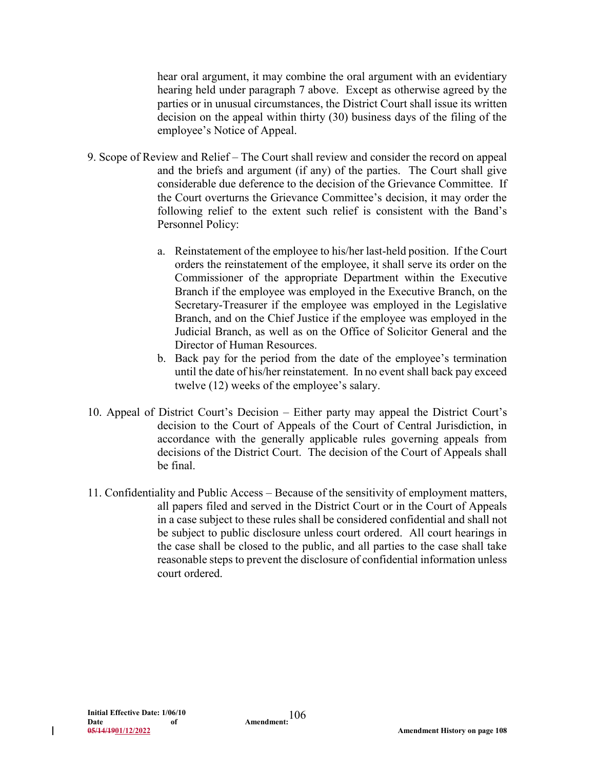hear oral argument, it may combine the oral argument with an evidentiary hearing held under paragraph 7 above. Except as otherwise agreed by the parties or in unusual circumstances, the District Court shall issue its written decision on the appeal within thirty (30) business days of the filing of the employee's Notice of Appeal.

- 9. Scope of Review and Relief The Court shall review and consider the record on appeal and the briefs and argument (if any) of the parties. The Court shall give considerable due deference to the decision of the Grievance Committee. If the Court overturns the Grievance Committee's decision, it may order the following relief to the extent such relief is consistent with the Band's Personnel Policy:
	- a. Reinstatement of the employee to his/her last-held position. If the Court orders the reinstatement of the employee, it shall serve its order on the Commissioner of the appropriate Department within the Executive Branch if the employee was employed in the Executive Branch, on the Secretary-Treasurer if the employee was employed in the Legislative Branch, and on the Chief Justice if the employee was employed in the Judicial Branch, as well as on the Office of Solicitor General and the Director of Human Resources.
	- b. Back pay for the period from the date of the employee's termination until the date of his/her reinstatement. In no event shall back pay exceed twelve (12) weeks of the employee's salary.
- 10. Appeal of District Court's Decision Either party may appeal the District Court's decision to the Court of Appeals of the Court of Central Jurisdiction, in accordance with the generally applicable rules governing appeals from decisions of the District Court. The decision of the Court of Appeals shall be final.
- 11. Confidentiality and Public Access Because of the sensitivity of employment matters, all papers filed and served in the District Court or in the Court of Appeals in a case subject to these rules shall be considered confidential and shall not be subject to public disclosure unless court ordered. All court hearings in the case shall be closed to the public, and all parties to the case shall take reasonable steps to prevent the disclosure of confidential information unless court ordered.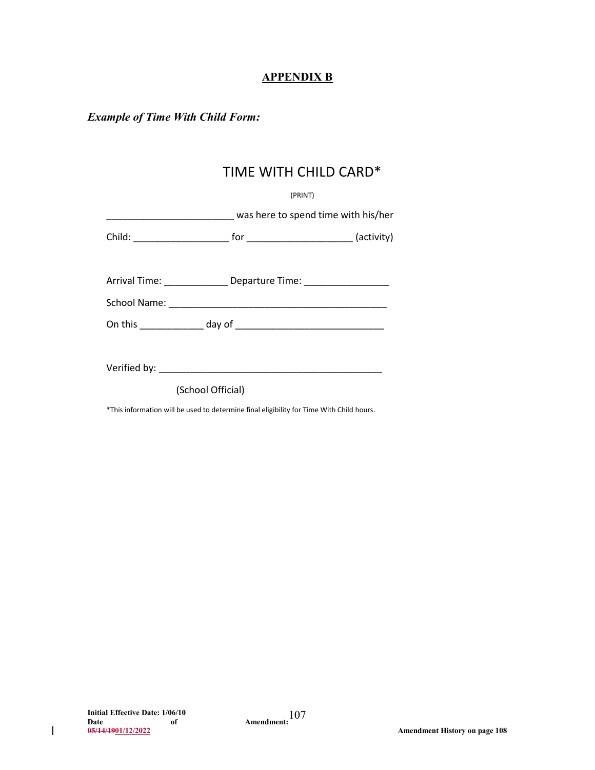## **APPENDIX B**

*Example of Time With Child Form:*

## TIME WITH CHILD CARD\*

|                                                                                  | (PRINT)<br>was here to spend time with his/her |  |
|----------------------------------------------------------------------------------|------------------------------------------------|--|
|                                                                                  |                                                |  |
|                                                                                  |                                                |  |
| Arrival Time: __________________ Departure Time: _______________________________ |                                                |  |
|                                                                                  |                                                |  |
|                                                                                  |                                                |  |
|                                                                                  |                                                |  |
| (School Official)                                                                |                                                |  |

\*This information will be used to determine final eligibility for Time With Child hours.

 $\begin{array}{c} \hline \end{array}$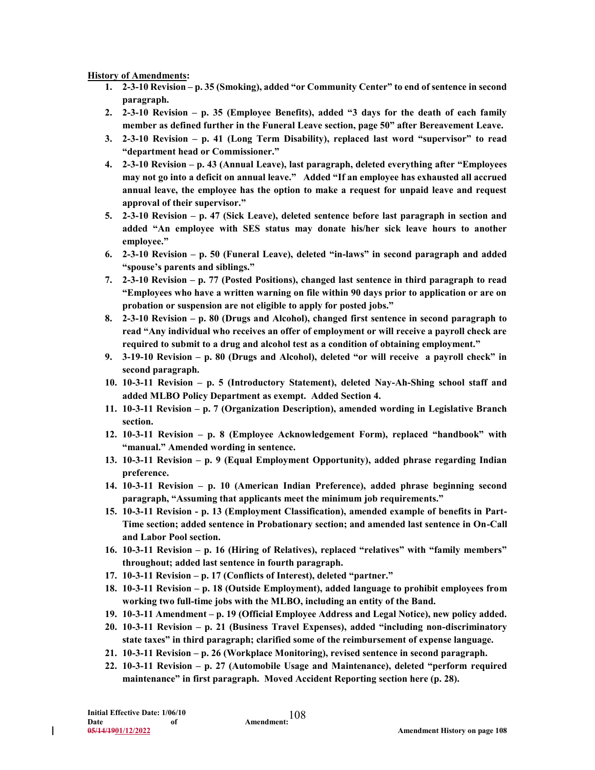## **History of Amendments:**

- **1. 2-3-10 Revision – p. 35 (Smoking), added "or Community Center" to end of sentence in second paragraph.**
- **2. 2-3-10 Revision – p. 35 (Employee Benefits), added "3 days for the death of each family member as defined further in the Funeral Leave section, page 50" after Bereavement Leave.**
- **3. 2-3-10 Revision – p. 41 (Long Term Disability), replaced last word "supervisor" to read "department head or Commissioner."**
- **4. 2-3-10 Revision – p. 43 (Annual Leave), last paragraph, deleted everything after "Employees may not go into a deficit on annual leave." Added "If an employee has exhausted all accrued annual leave, the employee has the option to make a request for unpaid leave and request approval of their supervisor."**
- **5. 2-3-10 Revision – p. 47 (Sick Leave), deleted sentence before last paragraph in section and added "An employee with SES status may donate his/her sick leave hours to another employee."**
- **6. 2-3-10 Revision – p. 50 (Funeral Leave), deleted "in-laws" in second paragraph and added "spouse's parents and siblings."**
- **7. 2-3-10 Revision – p. 77 (Posted Positions), changed last sentence in third paragraph to read "Employees who have a written warning on file within 90 days prior to application or are on probation or suspension are not eligible to apply for posted jobs."**
- **8. 2-3-10 Revision – p. 80 (Drugs and Alcohol), changed first sentence in second paragraph to read "Any individual who receives an offer of employment or will receive a payroll check are required to submit to a drug and alcohol test as a condition of obtaining employment."**
- **9. 3-19-10 Revision – p. 80 (Drugs and Alcohol), deleted "or will receive a payroll check" in second paragraph.**
- **10. 10-3-11 Revision – p. 5 (Introductory Statement), deleted Nay-Ah-Shing school staff and added MLBO Policy Department as exempt. Added Section 4.**
- **11. 10-3-11 Revision – p. 7 (Organization Description), amended wording in Legislative Branch section.**
- **12. 10-3-11 Revision – p. 8 (Employee Acknowledgement Form), replaced "handbook" with "manual." Amended wording in sentence.**
- **13. 10-3-11 Revision – p. 9 (Equal Employment Opportunity), added phrase regarding Indian preference.**
- **14. 10-3-11 Revision – p. 10 (American Indian Preference), added phrase beginning second paragraph, "Assuming that applicants meet the minimum job requirements."**
- **15. 10-3-11 Revision - p. 13 (Employment Classification), amended example of benefits in Part-Time section; added sentence in Probationary section; and amended last sentence in On-Call and Labor Pool section.**
- **16. 10-3-11 Revision – p. 16 (Hiring of Relatives), replaced "relatives" with "family members" throughout; added last sentence in fourth paragraph.**
- **17. 10-3-11 Revision – p. 17 (Conflicts of Interest), deleted "partner."**
- **18. 10-3-11 Revision – p. 18 (Outside Employment), added language to prohibit employees from working two full-time jobs with the MLBO, including an entity of the Band.**
- **19. 10-3-11 Amendment – p. 19 (Official Employee Address and Legal Notice), new policy added.**
- **20. 10-3-11 Revision – p. 21 (Business Travel Expenses), added "including non-discriminatory state taxes" in third paragraph; clarified some of the reimbursement of expense language.**
- **21. 10-3-11 Revision – p. 26 (Workplace Monitoring), revised sentence in second paragraph.**
- **22. 10-3-11 Revision – p. 27 (Automobile Usage and Maintenance), deleted "perform required maintenance" in first paragraph. Moved Accident Reporting section here (p. 28).**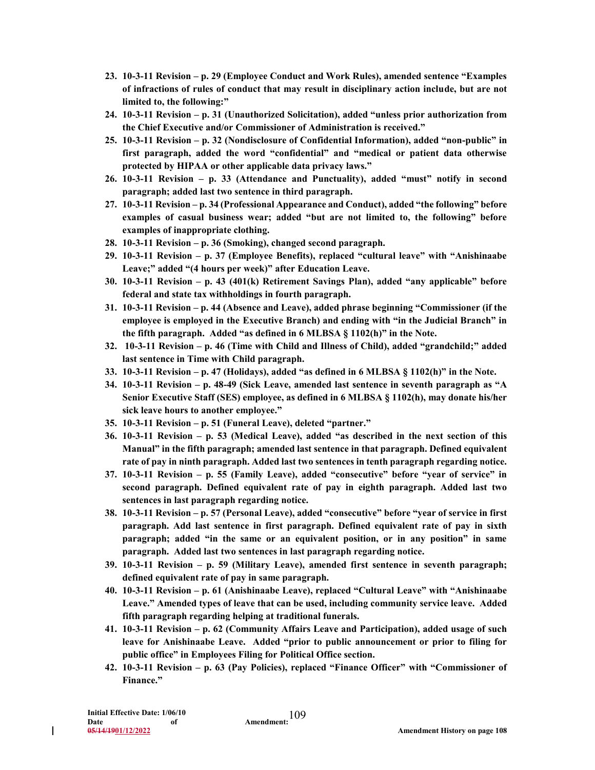- **23. 10-3-11 Revision – p. 29 (Employee Conduct and Work Rules), amended sentence "Examples of infractions of rules of conduct that may result in disciplinary action include, but are not limited to, the following:"**
- **24. 10-3-11 Revision – p. 31 (Unauthorized Solicitation), added "unless prior authorization from the Chief Executive and/or Commissioner of Administration is received."**
- **25. 10-3-11 Revision – p. 32 (Nondisclosure of Confidential Information), added "non-public" in first paragraph, added the word "confidential" and "medical or patient data otherwise protected by HIPAA or other applicable data privacy laws."**
- **26. 10-3-11 Revision – p. 33 (Attendance and Punctuality), added "must" notify in second paragraph; added last two sentence in third paragraph.**
- **27. 10-3-11 Revision – p. 34 (Professional Appearance and Conduct), added "the following" before examples of casual business wear; added "but are not limited to, the following" before examples of inappropriate clothing.**
- **28. 10-3-11 Revision – p. 36 (Smoking), changed second paragraph.**
- **29. 10-3-11 Revision – p. 37 (Employee Benefits), replaced "cultural leave" with "Anishinaabe Leave;" added "(4 hours per week)" after Education Leave.**
- **30. 10-3-11 Revision – p. 43 (401(k) Retirement Savings Plan), added "any applicable" before federal and state tax withholdings in fourth paragraph.**
- **31. 10-3-11 Revision – p. 44 (Absence and Leave), added phrase beginning "Commissioner (if the employee is employed in the Executive Branch) and ending with "in the Judicial Branch" in the fifth paragraph. Added "as defined in 6 MLBSA § 1102(h)" in the Note.**
- **32. 10-3-11 Revision – p. 46 (Time with Child and Illness of Child), added "grandchild;" added last sentence in Time with Child paragraph.**
- **33. 10-3-11 Revision – p. 47 (Holidays), added "as defined in 6 MLBSA § 1102(h)" in the Note.**
- **34. 10-3-11 Revision – p. 48-49 (Sick Leave, amended last sentence in seventh paragraph as "A Senior Executive Staff (SES) employee, as defined in 6 MLBSA § 1102(h), may donate his/her sick leave hours to another employee."**
- **35. 10-3-11 Revision – p. 51 (Funeral Leave), deleted "partner."**
- **36. 10-3-11 Revision – p. 53 (Medical Leave), added "as described in the next section of this Manual" in the fifth paragraph; amended last sentence in that paragraph. Defined equivalent rate of pay in ninth paragraph. Added last two sentences in tenth paragraph regarding notice.**
- **37. 10-3-11 Revision – p. 55 (Family Leave), added "consecutive" before "year of service" in second paragraph. Defined equivalent rate of pay in eighth paragraph. Added last two sentences in last paragraph regarding notice.**
- **38. 10-3-11 Revision – p. 57 (Personal Leave), added "consecutive" before "year of service in first paragraph. Add last sentence in first paragraph. Defined equivalent rate of pay in sixth paragraph; added "in the same or an equivalent position, or in any position" in same paragraph. Added last two sentences in last paragraph regarding notice.**
- **39. 10-3-11 Revision – p. 59 (Military Leave), amended first sentence in seventh paragraph; defined equivalent rate of pay in same paragraph.**
- **40. 10-3-11 Revision – p. 61 (Anishinaabe Leave), replaced "Cultural Leave" with "Anishinaabe Leave." Amended types of leave that can be used, including community service leave. Added fifth paragraph regarding helping at traditional funerals.**
- **41. 10-3-11 Revision – p. 62 (Community Affairs Leave and Participation), added usage of such leave for Anishinaabe Leave. Added "prior to public announcement or prior to filing for public office" in Employees Filing for Political Office section.**
- **42. 10-3-11 Revision – p. 63 (Pay Policies), replaced "Finance Officer" with "Commissioner of Finance."**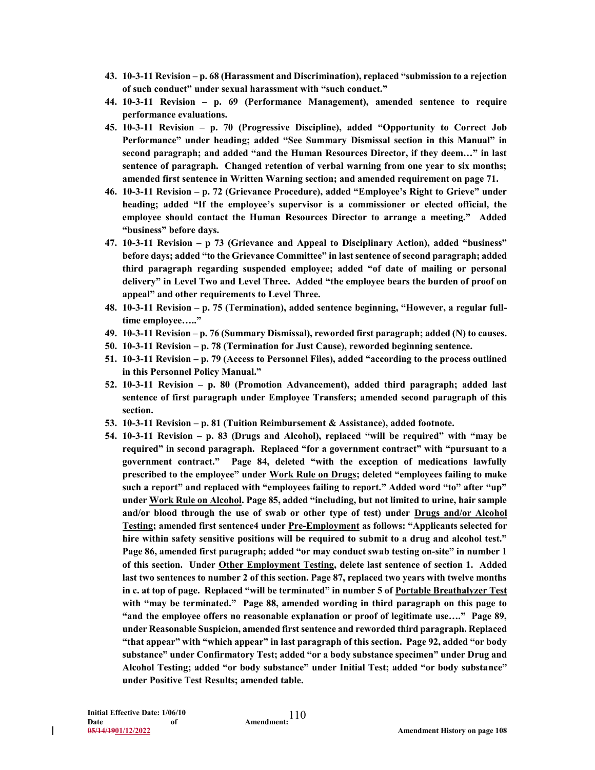- **43. 10-3-11 Revision – p. 68 (Harassment and Discrimination), replaced "submission to a rejection of such conduct" under sexual harassment with "such conduct."**
- **44. 10-3-11 Revision – p. 69 (Performance Management), amended sentence to require performance evaluations.**
- **45. 10-3-11 Revision – p. 70 (Progressive Discipline), added "Opportunity to Correct Job Performance" under heading; added "See Summary Dismissal section in this Manual" in second paragraph; and added "and the Human Resources Director, if they deem…" in last sentence of paragraph. Changed retention of verbal warning from one year to six months; amended first sentence in Written Warning section; and amended requirement on page 71.**
- **46. 10-3-11 Revision – p. 72 (Grievance Procedure), added "Employee's Right to Grieve" under heading; added "If the employee's supervisor is a commissioner or elected official, the employee should contact the Human Resources Director to arrange a meeting." Added "business" before days.**
- **47. 10-3-11 Revision – p 73 (Grievance and Appeal to Disciplinary Action), added "business" before days; added "to the Grievance Committee" in last sentence of second paragraph; added third paragraph regarding suspended employee; added "of date of mailing or personal delivery" in Level Two and Level Three. Added "the employee bears the burden of proof on appeal" and other requirements to Level Three.**
- **48. 10-3-11 Revision – p. 75 (Termination), added sentence beginning, "However, a regular fulltime employee….."**
- **49. 10-3-11 Revision – p. 76 (Summary Dismissal), reworded first paragraph; added (N) to causes.**
- **50. 10-3-11 Revision – p. 78 (Termination for Just Cause), reworded beginning sentence.**
- **51. 10-3-11 Revision – p. 79 (Access to Personnel Files), added "according to the process outlined in this Personnel Policy Manual."**
- **52. 10-3-11 Revision – p. 80 (Promotion Advancement), added third paragraph; added last sentence of first paragraph under Employee Transfers; amended second paragraph of this section.**
- **53. 10-3-11 Revision – p. 81 (Tuition Reimbursement & Assistance), added footnote.**
- **54. 10-3-11 Revision – p. 83 (Drugs and Alcohol), replaced "will be required" with "may be required" in second paragraph. Replaced "for a government contract" with "pursuant to a government contract." Page 84, deleted "with the exception of medications lawfully prescribed to the employee" under Work Rule on Drugs; deleted "employees failing to make such a report" and replaced with "employees failing to report." Added word "to" after "up" under Work Rule on Alcohol. Page 85, added "including, but not limited to urine, hair sample and/or blood through the use of swab or other type of test) under Drugs and/or Alcohol Testing; amended first sentence4 under Pre-Employment as follows: "Applicants selected for hire within safety sensitive positions will be required to submit to a drug and alcohol test." Page 86, amended first paragraph; added "or may conduct swab testing on-site" in number 1 of this section. Under Other Employment Testing, delete last sentence of section 1. Added last two sentences to number 2 of this section. Page 87, replaced two years with twelve months in c. at top of page. Replaced "will be terminated" in number 5 of Portable Breathalyzer Test with "may be terminated." Page 88, amended wording in third paragraph on this page to "and the employee offers no reasonable explanation or proof of legitimate use…." Page 89, under Reasonable Suspicion, amended first sentence and reworded third paragraph. Replaced "that appear" with "which appear" in last paragraph of this section. Page 92, added "or body substance" under Confirmatory Test; added "or a body substance specimen" under Drug and Alcohol Testing; added "or body substance" under Initial Test; added "or body substance" under Positive Test Results; amended table.**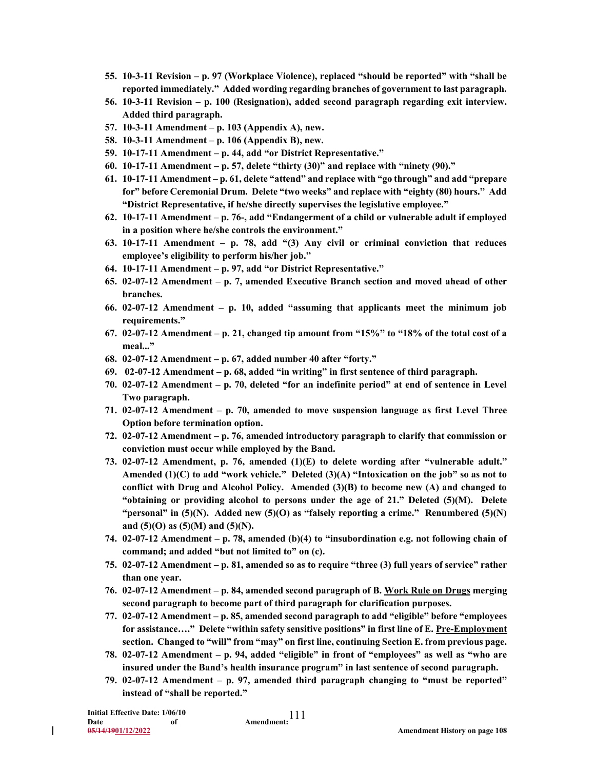- **55. 10-3-11 Revision – p. 97 (Workplace Violence), replaced "should be reported" with "shall be reported immediately." Added wording regarding branches of government to last paragraph.**
- **56. 10-3-11 Revision – p. 100 (Resignation), added second paragraph regarding exit interview. Added third paragraph.**
- **57. 10-3-11 Amendment – p. 103 (Appendix A), new.**
- **58. 10-3-11 Amendment – p. 106 (Appendix B), new.**
- **59. 10-17-11 Amendment – p. 44, add "or District Representative."**
- **60. 10-17-11 Amendment – p. 57, delete "thirty (30)" and replace with "ninety (90)."**
- **61. 10-17-11 Amendment – p. 61, delete "attend" and replace with "go through" and add "prepare for" before Ceremonial Drum. Delete "two weeks" and replace with "eighty (80) hours." Add "District Representative, if he/she directly supervises the legislative employee."**
- **62. 10-17-11 Amendment – p. 76-, add "Endangerment of a child or vulnerable adult if employed in a position where he/she controls the environment."**
- **63. 10-17-11 Amendment – p. 78, add "(3) Any civil or criminal conviction that reduces employee's eligibility to perform his/her job."**
- **64. 10-17-11 Amendment – p. 97, add "or District Representative."**
- **65. 02-07-12 Amendment – p. 7, amended Executive Branch section and moved ahead of other branches.**
- **66. 02-07-12 Amendment – p. 10, added "assuming that applicants meet the minimum job requirements."**
- **67. 02-07-12 Amendment – p. 21, changed tip amount from "15%" to "18% of the total cost of a meal..."**
- **68. 02-07-12 Amendment – p. 67, added number 40 after "forty."**
- **69. 02-07-12 Amendment – p. 68, added "in writing" in first sentence of third paragraph.**
- **70. 02-07-12 Amendment – p. 70, deleted "for an indefinite period" at end of sentence in Level Two paragraph.**
- **71. 02-07-12 Amendment – p. 70, amended to move suspension language as first Level Three Option before termination option.**
- **72. 02-07-12 Amendment – p. 76, amended introductory paragraph to clarify that commission or conviction must occur while employed by the Band.**
- **73. 02-07-12 Amendment, p. 76, amended (1)(E) to delete wording after "vulnerable adult." Amended (1)(C) to add "work vehicle." Deleted (3)(A) "Intoxication on the job" so as not to conflict with Drug and Alcohol Policy. Amended (3)(B) to become new (A) and changed to "obtaining or providing alcohol to persons under the age of 21." Deleted (5)(M). Delete "personal" in (5)(N). Added new (5)(O) as "falsely reporting a crime." Renumbered (5)(N) and (5)(O) as (5)(M) and (5)(N).**
- **74. 02-07-12 Amendment – p. 78, amended (b)(4) to "insubordination e.g. not following chain of command; and added "but not limited to" on (c).**
- **75. 02-07-12 Amendment – p. 81, amended so as to require "three (3) full years of service" rather than one year.**
- **76. 02-07-12 Amendment – p. 84, amended second paragraph of B. Work Rule on Drugs merging second paragraph to become part of third paragraph for clarification purposes.**
- **77. 02-07-12 Amendment – p. 85, amended second paragraph to add "eligible" before "employees for assistance…." Delete "within safety sensitive positions" in first line of E. Pre-Employment section. Changed to "will" from "may" on first line, continuing Section E. from previous page.**
- **78. 02-07-12 Amendment – p. 94, added "eligible" in front of "employees" as well as "who are insured under the Band's health insurance program" in last sentence of second paragraph.**
- **79. 02-07-12 Amendment – p. 97, amended third paragraph changing to "must be reported" instead of "shall be reported."**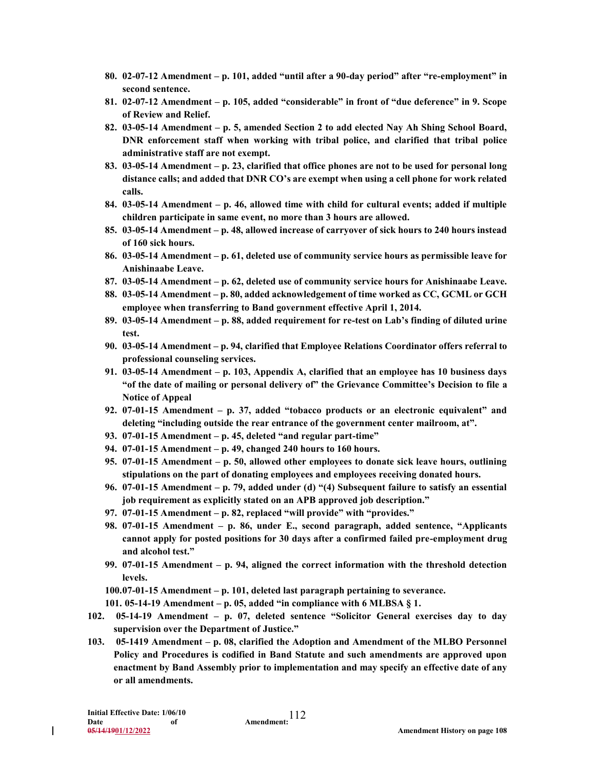- **80. 02-07-12 Amendment – p. 101, added "until after a 90-day period" after "re-employment" in second sentence.**
- **81. 02-07-12 Amendment – p. 105, added "considerable" in front of "due deference" in 9. Scope of Review and Relief.**
- **82. 03-05-14 Amendment – p. 5, amended Section 2 to add elected Nay Ah Shing School Board, DNR enforcement staff when working with tribal police, and clarified that tribal police administrative staff are not exempt.**
- **83. 03-05-14 Amendment – p. 23, clarified that office phones are not to be used for personal long distance calls; and added that DNR CO's are exempt when using a cell phone for work related calls.**
- **84. 03-05-14 Amendment – p. 46, allowed time with child for cultural events; added if multiple children participate in same event, no more than 3 hours are allowed.**
- **85. 03-05-14 Amendment – p. 48, allowed increase of carryover of sick hours to 240 hours instead of 160 sick hours.**
- **86. 03-05-14 Amendment – p. 61, deleted use of community service hours as permissible leave for Anishinaabe Leave.**
- **87. 03-05-14 Amendment – p. 62, deleted use of community service hours for Anishinaabe Leave.**
- **88. 03-05-14 Amendment – p. 80, added acknowledgement of time worked as CC, GCML or GCH employee when transferring to Band government effective April 1, 2014.**
- **89. 03-05-14 Amendment – p. 88, added requirement for re-test on Lab's finding of diluted urine test.**
- **90. 03-05-14 Amendment – p. 94, clarified that Employee Relations Coordinator offers referral to professional counseling services.**
- **91. 03-05-14 Amendment – p. 103, Appendix A, clarified that an employee has 10 business days "of the date of mailing or personal delivery of" the Grievance Committee's Decision to file a Notice of Appeal**
- **92. 07-01-15 Amendment – p. 37, added "tobacco products or an electronic equivalent" and deleting "including outside the rear entrance of the government center mailroom, at".**
- **93. 07-01-15 Amendment – p. 45, deleted "and regular part-time"**
- **94. 07-01-15 Amendment – p. 49, changed 240 hours to 160 hours.**
- **95. 07-01-15 Amendment – p. 50, allowed other employees to donate sick leave hours, outlining stipulations on the part of donating employees and employees receiving donated hours.**
- **96. 07-01-15 Amendment – p. 79, added under (d) "(4) Subsequent failure to satisfy an essential job requirement as explicitly stated on an APB approved job description."**
- **97. 07-01-15 Amendment – p. 82, replaced "will provide" with "provides."**
- **98. 07-01-15 Amendment – p. 86, under E., second paragraph, added sentence, "Applicants cannot apply for posted positions for 30 days after a confirmed failed pre-employment drug and alcohol test."**
- **99. 07-01-15 Amendment – p. 94, aligned the correct information with the threshold detection levels.**
- **100.07-01-15 Amendment – p. 101, deleted last paragraph pertaining to severance.**
- **101. 05-14-19 Amendment – p. 05, added "in compliance with 6 MLBSA § 1.**
- **102. 05-14-19 Amendment – p. 07, deleted sentence "Solicitor General exercises day to day supervision over the Department of Justice."**
- **103. 05-1419 Amendment – p. 08, clarified the Adoption and Amendment of the MLBO Personnel Policy and Procedures is codified in Band Statute and such amendments are approved upon enactment by Band Assembly prior to implementation and may specify an effective date of any or all amendments.**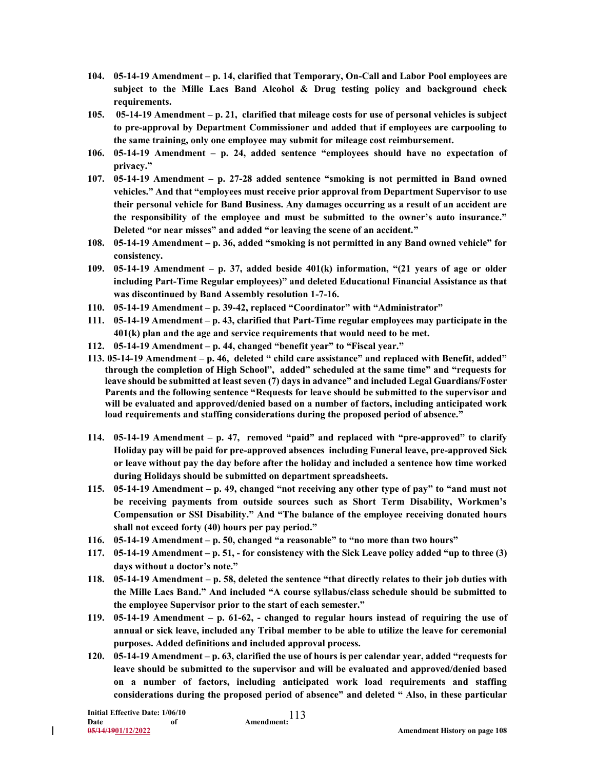- **104. 05-14-19 Amendment – p. 14, clarified that Temporary, On-Call and Labor Pool employees are subject to the Mille Lacs Band Alcohol & Drug testing policy and background check requirements.**
- **105. 05-14-19 Amendment – p. 21, clarified that mileage costs for use of personal vehicles is subject to pre-approval by Department Commissioner and added that if employees are carpooling to the same training, only one employee may submit for mileage cost reimbursement.**
- **106. 05-14-19 Amendment – p. 24, added sentence "employees should have no expectation of privacy."**
- **107. 05-14-19 Amendment – p. 27-28 added sentence "smoking is not permitted in Band owned vehicles." And that "employees must receive prior approval from Department Supervisor to use their personal vehicle for Band Business. Any damages occurring as a result of an accident are the responsibility of the employee and must be submitted to the owner's auto insurance." Deleted "or near misses" and added "or leaving the scene of an accident."**
- **108. 05-14-19 Amendment – p. 36, added "smoking is not permitted in any Band owned vehicle" for consistency.**
- **109. 05-14-19 Amendment – p. 37, added beside 401(k) information, "(21 years of age or older including Part-Time Regular employees)" and deleted Educational Financial Assistance as that was discontinued by Band Assembly resolution 1-7-16.**
- **110. 05-14-19 Amendment – p. 39-42, replaced "Coordinator" with "Administrator"**
- **111. 05-14-19 Amendment – p. 43, clarified that Part-Time regular employees may participate in the 401(k) plan and the age and service requirements that would need to be met.**
- **112. 05-14-19 Amendment – p. 44, changed "benefit year" to "Fiscal year."**
- **113. 05-14-19 Amendment – p. 46, deleted " child care assistance" and replaced with Benefit, added" through the completion of High School", added" scheduled at the same time" and "requests for leave should be submitted at least seven (7) days in advance" and included Legal Guardians/Foster Parents and the following sentence "Requests for leave should be submitted to the supervisor and will be evaluated and approved/denied based on a number of factors, including anticipated work load requirements and staffing considerations during the proposed period of absence."**
- **114. 05-14-19 Amendment – p. 47, removed "paid" and replaced with "pre-approved" to clarify Holiday pay will be paid for pre-approved absences including Funeral leave, pre-approved Sick or leave without pay the day before after the holiday and included a sentence how time worked during Holidays should be submitted on department spreadsheets.**
- **115. 05-14-19 Amendment – p. 49, changed "not receiving any other type of pay" to "and must not be receiving payments from outside sources such as Short Term Disability, Workmen's Compensation or SSI Disability." And "The balance of the employee receiving donated hours shall not exceed forty (40) hours per pay period."**
- **116. 05-14-19 Amendment – p. 50, changed "a reasonable" to "no more than two hours"**
- **117. 05-14-19 Amendment – p. 51, - for consistency with the Sick Leave policy added "up to three (3) days without a doctor's note."**
- **118. 05-14-19 Amendment – p. 58, deleted the sentence "that directly relates to their job duties with the Mille Lacs Band." And included "A course syllabus/class schedule should be submitted to the employee Supervisor prior to the start of each semester."**
- **119. 05-14-19 Amendment – p. 61-62, - changed to regular hours instead of requiring the use of annual or sick leave, included any Tribal member to be able to utilize the leave for ceremonial purposes. Added definitions and included approval process.**
- **120. 05-14-19 Amendment – p. 63, clarified the use of hours is per calendar year, added "requests for leave should be submitted to the supervisor and will be evaluated and approved/denied based on a number of factors, including anticipated work load requirements and staffing considerations during the proposed period of absence" and deleted " Also, in these particular**